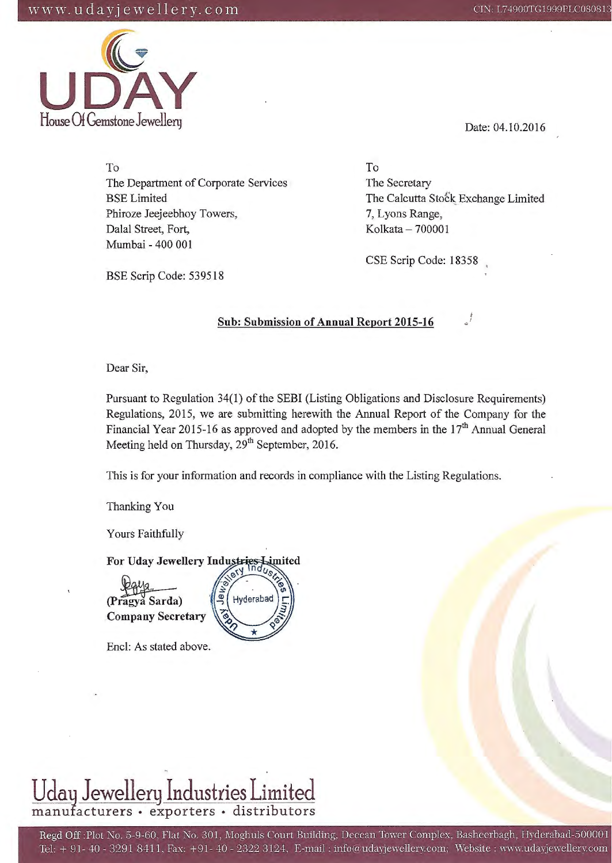# w w w  $\mathbf{u} \, \mathbf{d} \, \mathbf{a} \, \mathbf{y}$  j e w e 11 e r y  $\mathbf{c} \, \mathbf{o} \, \mathbf{m}$  consequences constant  $\mathbf{c} \, \mathbf{n}$ : L74900TG1999PLC08081





Date: 04.10.2016

To The Department of Corporate Services BSE Limited Phiroze Jeejeebhoy Towers, Dalal Street, Fort, Mumbai - 400 001

BSE Scrip Code: 539518

To The Secretary The Calcutta Stock Exchange Limited 7, Lyons Range, Kolkata - 700001

CSE Scrip Code: 18358

# **Sub: Submission of Annual Report 2015-16**

Dear Sir,

Pursuant to Regulation 34(1) of the SEBI (Listing Obligations and Disclosure Requirements) Regulations, 2015, we are submitting herewith the Annual Report of the Company for the Financial Year 2015-16 as approved and adopted by the members in the  $17<sup>th</sup>$  Annual General Meeting held on Thursday, 29<sup>th</sup> September, 2016.

This is for your information and records in compliance with the Listing Regulations.

Thanking You

Yours Faithfully

For Uday Jewellery Industries Limited

(Pragya Sarda) **Company Secretary** 

Encl: As stated above.



# <u>Uday Jewellery Industries Limited</u><br>manufacturers · exporters · distributors

Regd Off: Plot No. 5-9-60, Flat No. 301, Moghuls Court Building, Deccan Tower Complex, Basheerbagh, Hyderabad-500001 Tel: + 91- 40 - 3291 8411, Fax: +91- 40 - 2322 3124, E-mail : info(audayjewellery.com; Website : www.udayjewellery.com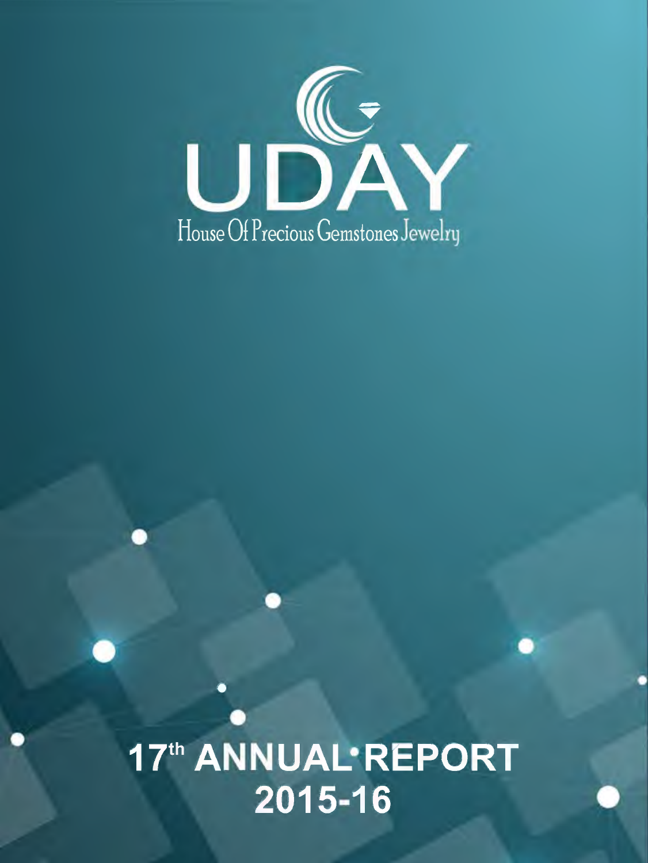

17th ANNUAL<sup>.</sup>REPORT 2015-16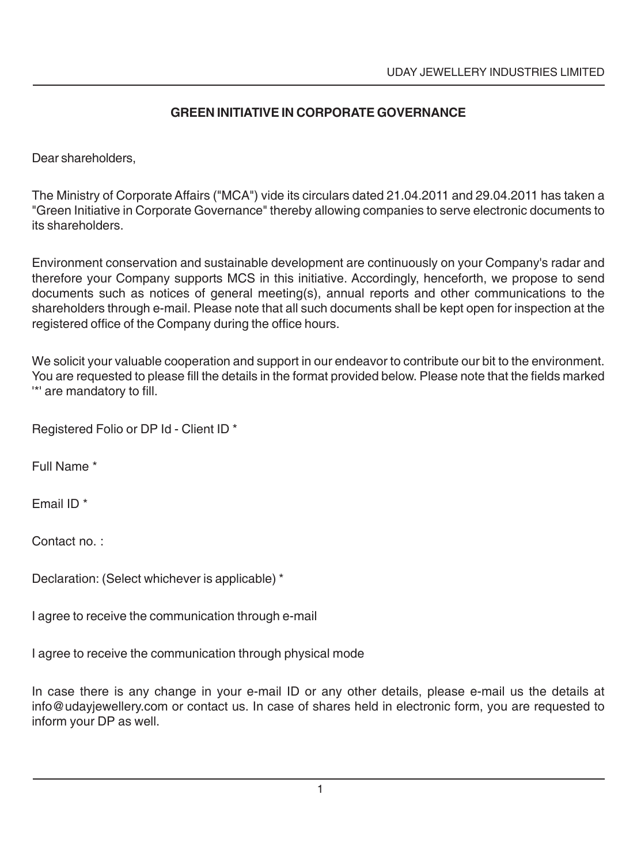# **GREEN INITIATIVE IN CORPORATE GOVERNANCE**

Dear shareholders,

The Ministry of Corporate Affairs ("MCA") vide its circulars dated 21.04.2011 and 29.04.2011 has taken a "Green Initiative in Corporate Governance" thereby allowing companies to serve electronic documents to its shareholders.

Environment conservation and sustainable development are continuously on your Company's radar and therefore your Company supports MCS in this initiative. Accordingly, henceforth, we propose to send documents such as notices of general meeting(s), annual reports and other communications to the shareholders through e-mail. Please note that all such documents shall be kept open for inspection at the registered office of the Company during the office hours.

We solicit your valuable cooperation and support in our endeavor to contribute our bit to the environment. You are requested to please fill the details in the format provided below. Please note that the fields marked '\*' are mandatory to fill.

Registered Folio or DP Id - Client ID \*

Full Name \*

Email ID \*

Contact no. :

Declaration: (Select whichever is applicable) \*

I agree to receive the communication through e-mail

I agree to receive the communication through physical mode

In case there is any change in your e-mail ID or any other details, please e-mail us the details at info@udayjewellery.com or contact us. In case of shares held in electronic form, you are requested to inform your DP as well.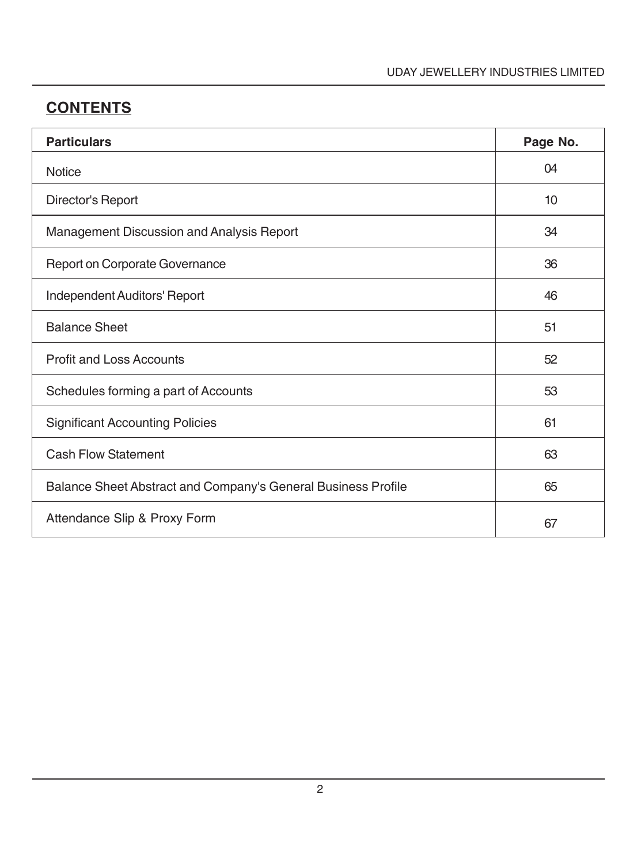# **CONTENTS**

| <b>Particulars</b>                                            | Page No. |
|---------------------------------------------------------------|----------|
| <b>Notice</b>                                                 | 04       |
| Director's Report                                             | 10       |
| Management Discussion and Analysis Report                     | 34       |
| Report on Corporate Governance                                | 36       |
| Independent Auditors' Report                                  | 46       |
| <b>Balance Sheet</b>                                          | 51       |
| <b>Profit and Loss Accounts</b>                               | 52       |
| Schedules forming a part of Accounts                          | 53       |
| <b>Significant Accounting Policies</b>                        | 61       |
| <b>Cash Flow Statement</b>                                    | 63       |
| Balance Sheet Abstract and Company's General Business Profile | 65       |
| Attendance Slip & Proxy Form                                  | 67       |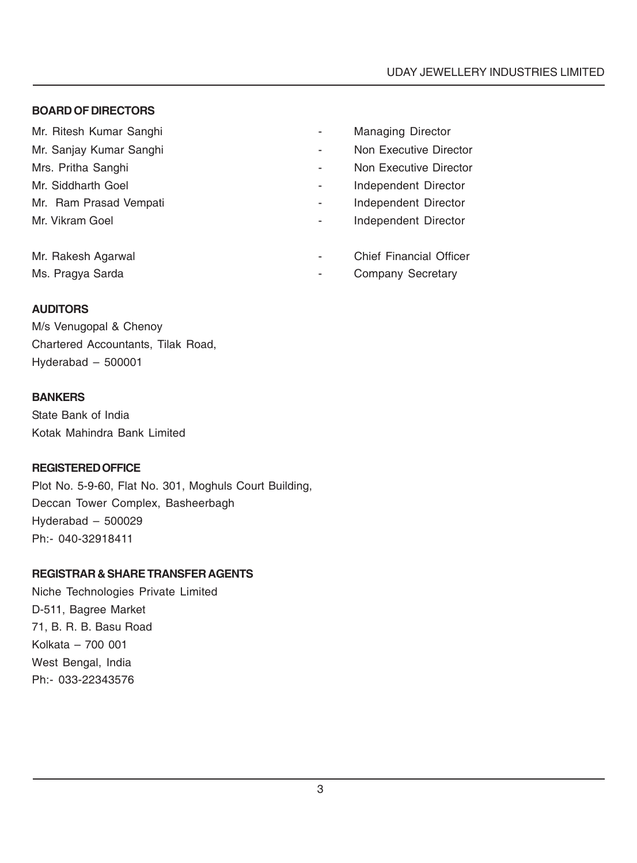#### **BOARD OF DIRECTORS**

Mr. Ritesh Kumar Sanghi **Mr. Ritesh Kumar Sanghi All Accords** 2014 - Managing Director

- 
- 
- 
- 
- 

- Mr. Sanjay Kumar Sanghi **Anggresian Sanghi American** Non Executive Director
- Mrs. Pritha Sanghi **Mrs.** Pritha Sanghi  **Non Executive Director**
- Mr. Siddharth Goel **Independent Director Independent Director**
- Mr. Ram Prasad Vempati **All Accords** 2014 Independent Director
- Mr. Vikram Goel **Independent Director Independent Director**
- Mr. Rakesh Agarwal **Mr. Rakesh Agarwal Chief Financial Officer**
- Ms. Pragya Sarda  **Company Secretary** Company Secretary

#### **AUDITORS**

M/s Venugopal & Chenoy Chartered Accountants, Tilak Road, Hyderabad – 500001

#### **BANKERS**

State Bank of India Kotak Mahindra Bank Limited

#### **REGISTERED OFFICE**

Plot No. 5-9-60, Flat No. 301, Moghuls Court Building, Deccan Tower Complex, Basheerbagh Hyderabad – 500029 Ph:- 040-32918411

# **REGISTRAR & SHARE TRANSFER AGENTS**

Niche Technologies Private Limited D-511, Bagree Market 71, B. R. B. Basu Road Kolkata – 700 001 West Bengal, India Ph:- 033-22343576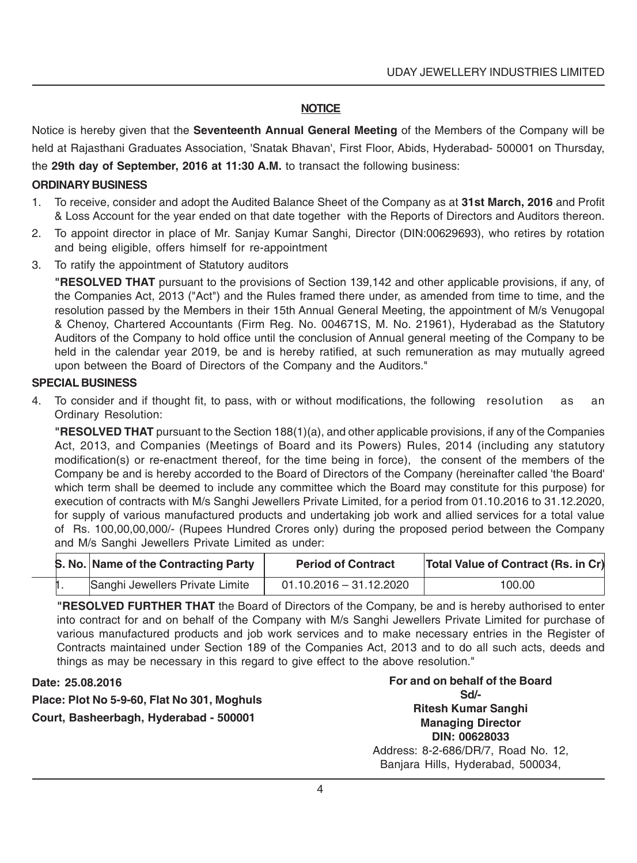#### **NOTICE**

Notice is hereby given that the **Seventeenth Annual General Meeting** of the Members of the Company will be held at Rajasthani Graduates Association, 'Snatak Bhavan', First Floor, Abids, Hyderabad- 500001 on Thursday, the **29th day of September, 2016 at 11:30 A.M.** to transact the following business:

#### **ORDINARY BUSINESS**

- 1. To receive, consider and adopt the Audited Balance Sheet of the Company as at **31st March, 2016** and Profit & Loss Account for the year ended on that date together with the Reports of Directors and Auditors thereon.
- 2. To appoint director in place of Mr. Sanjay Kumar Sanghi, Director (DIN:00629693), who retires by rotation and being eligible, offers himself for re-appointment
- 3. To ratify the appointment of Statutory auditors

**"RESOLVED THAT** pursuant to the provisions of Section 139,142 and other applicable provisions, if any, of the Companies Act, 2013 ("Act") and the Rules framed there under, as amended from time to time, and the resolution passed by the Members in their 15th Annual General Meeting, the appointment of M/s Venugopal & Chenoy, Chartered Accountants (Firm Reg. No. 004671S, M. No. 21961), Hyderabad as the Statutory Auditors of the Company to hold office until the conclusion of Annual general meeting of the Company to be held in the calendar year 2019, be and is hereby ratified, at such remuneration as may mutually agreed upon between the Board of Directors of the Company and the Auditors."

#### **SPECIAL BUSINESS**

4. To consider and if thought fit, to pass, with or without modifications, the following resolution as an Ordinary Resolution:

**"RESOLVED THAT** pursuant to the Section 188(1)(a), and other applicable provisions, if any of the Companies Act, 2013, and Companies (Meetings of Board and its Powers) Rules, 2014 (including any statutory modification(s) or re-enactment thereof, for the time being in force), the consent of the members of the Company be and is hereby accorded to the Board of Directors of the Company (hereinafter called 'the Board' which term shall be deemed to include any committee which the Board may constitute for this purpose) for execution of contracts with M/s Sanghi Jewellers Private Limited, for a period from 01.10.2016 to 31.12.2020, for supply of various manufactured products and undertaking job work and allied services for a total value of Rs. 100,00,00,000/- (Rupees Hundred Crores only) during the proposed period between the Company and M/s Sanghi Jewellers Private Limited as under:

|  | S. No. Name of the Contracting Party | <b>Period of Contract</b> | <b>Total Value of Contract (Rs. in Cr)</b> |
|--|--------------------------------------|---------------------------|--------------------------------------------|
|  | Sanghi Jewellers Private Limite      | $01.10.2016 - 31.12.2020$ | 100.00                                     |

**"RESOLVED FURTHER THAT** the Board of Directors of the Company, be and is hereby authorised to enter into contract for and on behalf of the Company with M/s Sanghi Jewellers Private Limited for purchase of various manufactured products and job work services and to make necessary entries in the Register of Contracts maintained under Section 189 of the Companies Act, 2013 and to do all such acts, deeds and things as may be necessary in this regard to give effect to the above resolution."

#### **Date: 25.08.2016**

**Place: Plot No 5-9-60, Flat No 301, Moghuls Court, Basheerbagh, Hyderabad - 500001**

**For and on behalf of the Board Sd/- Ritesh Kumar Sanghi Managing Director DIN: 00628033** Address: 8-2-686/DR/7, Road No. 12, Banjara Hills, Hyderabad, 500034,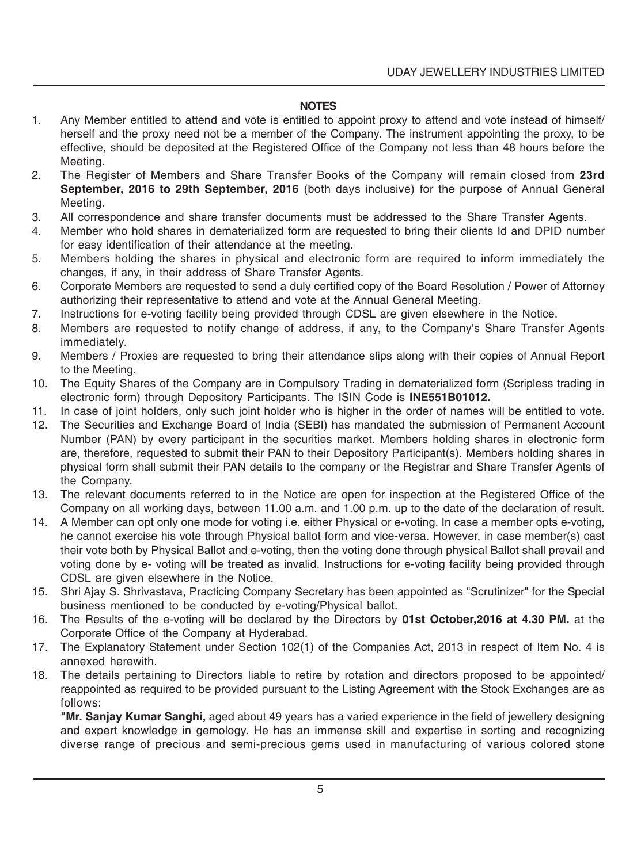#### **NOTES**

- 1. Any Member entitled to attend and vote is entitled to appoint proxy to attend and vote instead of himself/ herself and the proxy need not be a member of the Company. The instrument appointing the proxy, to be effective, should be deposited at the Registered Office of the Company not less than 48 hours before the Meeting.
- 2. The Register of Members and Share Transfer Books of the Company will remain closed from **23rd September, 2016 to 29th September, 2016** (both days inclusive) for the purpose of Annual General Meeting.
- 3. All correspondence and share transfer documents must be addressed to the Share Transfer Agents.
- 4. Member who hold shares in dematerialized form are requested to bring their clients Id and DPID number for easy identification of their attendance at the meeting.
- 5. Members holding the shares in physical and electronic form are required to inform immediately the changes, if any, in their address of Share Transfer Agents.
- 6. Corporate Members are requested to send a duly certified copy of the Board Resolution / Power of Attorney authorizing their representative to attend and vote at the Annual General Meeting.
- 7. Instructions for e-voting facility being provided through CDSL are given elsewhere in the Notice.
- 8. Members are requested to notify change of address, if any, to the Company's Share Transfer Agents immediately.
- 9. Members / Proxies are requested to bring their attendance slips along with their copies of Annual Report to the Meeting.
- 10. The Equity Shares of the Company are in Compulsory Trading in dematerialized form (Scripless trading in electronic form) through Depository Participants. The ISIN Code is **INE551B01012.**
- 11. In case of joint holders, only such joint holder who is higher in the order of names will be entitled to vote.
- 12. The Securities and Exchange Board of India (SEBI) has mandated the submission of Permanent Account Number (PAN) by every participant in the securities market. Members holding shares in electronic form are, therefore, requested to submit their PAN to their Depository Participant(s). Members holding shares in physical form shall submit their PAN details to the company or the Registrar and Share Transfer Agents of the Company.
- 13. The relevant documents referred to in the Notice are open for inspection at the Registered Office of the Company on all working days, between 11.00 a.m. and 1.00 p.m. up to the date of the declaration of result.
- 14. A Member can opt only one mode for voting i.e. either Physical or e-voting. In case a member opts e-voting, he cannot exercise his vote through Physical ballot form and vice-versa. However, in case member(s) cast their vote both by Physical Ballot and e-voting, then the voting done through physical Ballot shall prevail and voting done by e- voting will be treated as invalid. Instructions for e-voting facility being provided through CDSL are given elsewhere in the Notice.
- 15. Shri Ajay S. Shrivastava, Practicing Company Secretary has been appointed as "Scrutinizer" for the Special business mentioned to be conducted by e-voting/Physical ballot.
- 16. The Results of the e-voting will be declared by the Directors by **01st October,2016 at 4.30 PM.** at the Corporate Office of the Company at Hyderabad.
- 17. The Explanatory Statement under Section 102(1) of the Companies Act, 2013 in respect of Item No. 4 is annexed herewith.
- 18. The details pertaining to Directors liable to retire by rotation and directors proposed to be appointed/ reappointed as required to be provided pursuant to the Listing Agreement with the Stock Exchanges are as follows:

**"Mr. Sanjay Kumar Sanghi,** aged about 49 years has a varied experience in the field of jewellery designing and expert knowledge in gemology. He has an immense skill and expertise in sorting and recognizing diverse range of precious and semi-precious gems used in manufacturing of various colored stone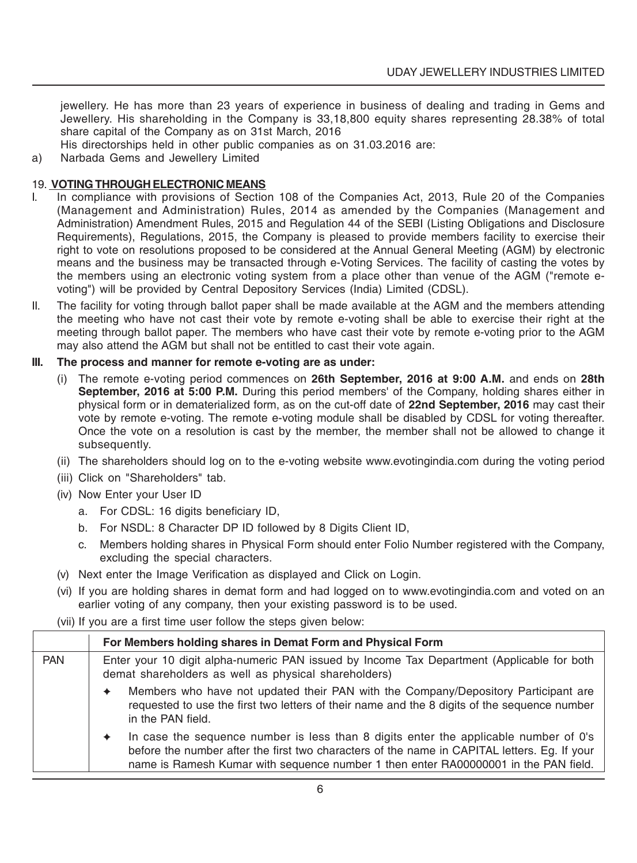jewellery. He has more than 23 years of experience in business of dealing and trading in Gems and Jewellery. His shareholding in the Company is 33,18,800 equity shares representing 28.38% of total share capital of the Company as on 31st March, 2016

His directorships held in other public companies as on 31.03.2016 are:

a) Narbada Gems and Jewellery Limited

#### 19. **VOTING THROUGH ELECTRONIC MEANS**

- I. In compliance with provisions of Section 108 of the Companies Act, 2013, Rule 20 of the Companies (Management and Administration) Rules, 2014 as amended by the Companies (Management and Administration) Amendment Rules, 2015 and Regulation 44 of the SEBI (Listing Obligations and Disclosure Requirements), Regulations, 2015, the Company is pleased to provide members facility to exercise their right to vote on resolutions proposed to be considered at the Annual General Meeting (AGM) by electronic means and the business may be transacted through e-Voting Services. The facility of casting the votes by the members using an electronic voting system from a place other than venue of the AGM ("remote evoting") will be provided by Central Depository Services (India) Limited (CDSL).
- II. The facility for voting through ballot paper shall be made available at the AGM and the members attending the meeting who have not cast their vote by remote e-voting shall be able to exercise their right at the meeting through ballot paper. The members who have cast their vote by remote e-voting prior to the AGM may also attend the AGM but shall not be entitled to cast their vote again.

#### **III. The process and manner for remote e-voting are as under:**

- (i) The remote e-voting period commences on **26th September, 2016 at 9:00 A.M.** and ends on **28th September, 2016 at 5:00 P.M.** During this period members' of the Company, holding shares either in physical form or in dematerialized form, as on the cut-off date of **22nd September, 2016** may cast their vote by remote e-voting. The remote e-voting module shall be disabled by CDSL for voting thereafter. Once the vote on a resolution is cast by the member, the member shall not be allowed to change it subsequently.
- (ii) The shareholders should log on to the e-voting website www.evotingindia.com during the voting period
- (iii) Click on "Shareholders" tab.
- (iv) Now Enter your User ID
	- a. For CDSL: 16 digits beneficiary ID,
	- b. For NSDL: 8 Character DP ID followed by 8 Digits Client ID,
	- c. Members holding shares in Physical Form should enter Folio Number registered with the Company, excluding the special characters.
- (v) Next enter the Image Verification as displayed and Click on Login.
- (vi) If you are holding shares in demat form and had logged on to www.evotingindia.com and voted on an earlier voting of any company, then your existing password is to be used.
- (vii) If you are a first time user follow the steps given below:

|            | For Members holding shares in Demat Form and Physical Form                                                                                         |                                                                                                                                                                                                                                                                             |  |
|------------|----------------------------------------------------------------------------------------------------------------------------------------------------|-----------------------------------------------------------------------------------------------------------------------------------------------------------------------------------------------------------------------------------------------------------------------------|--|
| <b>PAN</b> | Enter your 10 digit alpha-numeric PAN issued by Income Tax Department (Applicable for both<br>demat shareholders as well as physical shareholders) |                                                                                                                                                                                                                                                                             |  |
|            | ۰                                                                                                                                                  | Members who have not updated their PAN with the Company/Depository Participant are<br>requested to use the first two letters of their name and the 8 digits of the sequence number<br>in the PAN field.                                                                     |  |
|            | ۰                                                                                                                                                  | In case the sequence number is less than 8 digits enter the applicable number of 0's<br>before the number after the first two characters of the name in CAPITAL letters. Eg. If your<br>name is Ramesh Kumar with sequence number 1 then enter RA00000001 in the PAN field. |  |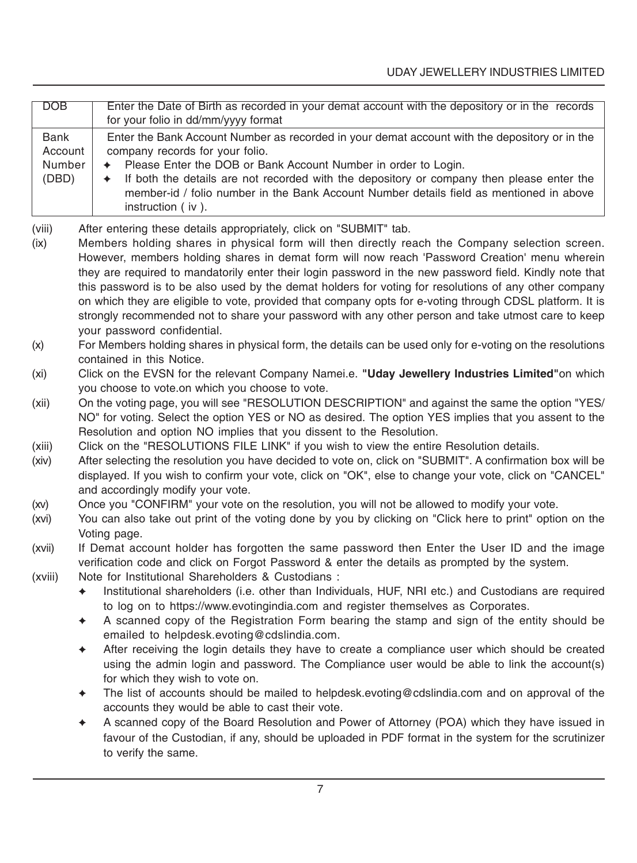| DOB         | Enter the Date of Birth as recorded in your demat account with the depository or in the records |
|-------------|-------------------------------------------------------------------------------------------------|
|             |                                                                                                 |
|             | for your folio in dd/mm/yyyy format                                                             |
| <b>Bank</b> | Enter the Bank Account Number as recorded in your demat account with the depository or in the   |
|             |                                                                                                 |
| Account     | company records for your folio.                                                                 |
| Number      | ← Please Enter the DOB or Bank Account Number in order to Login.                                |
| (DBD)       | • If both the details are not recorded with the depository or company then please enter the     |
|             | member-id / folio number in the Bank Account Number details field as mentioned in above         |
|             |                                                                                                 |
|             | instruction (iv).                                                                               |
|             |                                                                                                 |

(viii) After entering these details appropriately, click on "SUBMIT" tab.

- (ix) Members holding shares in physical form will then directly reach the Company selection screen. However, members holding shares in demat form will now reach 'Password Creation' menu wherein they are required to mandatorily enter their login password in the new password field. Kindly note that this password is to be also used by the demat holders for voting for resolutions of any other company on which they are eligible to vote, provided that company opts for e-voting through CDSL platform. It is strongly recommended not to share your password with any other person and take utmost care to keep your password confidential.
- (x) For Members holding shares in physical form, the details can be used only for e-voting on the resolutions contained in this Notice.

- (xii) On the voting page, you will see "RESOLUTION DESCRIPTION" and against the same the option "YES/ NO" for voting. Select the option YES or NO as desired. The option YES implies that you assent to the Resolution and option NO implies that you dissent to the Resolution.
- (xiii) Click on the "RESOLUTIONS FILE LINK" if you wish to view the entire Resolution details.
- (xiv) After selecting the resolution you have decided to vote on, click on "SUBMIT". A confirmation box will be displayed. If you wish to confirm your vote, click on "OK", else to change your vote, click on "CANCEL" and accordingly modify your vote.
- (xv) Once you "CONFIRM" your vote on the resolution, you will not be allowed to modify your vote.
- (xvi) You can also take out print of the voting done by you by clicking on "Click here to print" option on the Voting page.
- (xvii) If Demat account holder has forgotten the same password then Enter the User ID and the image verification code and click on Forgot Password & enter the details as prompted by the system.
- (xviii) Note for Institutional Shareholders & Custodians :
	- ✦ Institutional shareholders (i.e. other than Individuals, HUF, NRI etc.) and Custodians are required to log on to https://www.evotingindia.com and register themselves as Corporates.
	- ✦ A scanned copy of the Registration Form bearing the stamp and sign of the entity should be emailed to helpdesk.evoting@cdslindia.com.
	- ✦ After receiving the login details they have to create a compliance user which should be created using the admin login and password. The Compliance user would be able to link the account(s) for which they wish to vote on.
	- ✦ The list of accounts should be mailed to helpdesk.evoting@cdslindia.com and on approval of the accounts they would be able to cast their vote.
	- ✦ A scanned copy of the Board Resolution and Power of Attorney (POA) which they have issued in favour of the Custodian, if any, should be uploaded in PDF format in the system for the scrutinizer to verify the same.

<sup>(</sup>xi) Click on the EVSN for the relevant Company Namei.e. **"Uday Jewellery Industries Limited"**on which you choose to vote.on which you choose to vote.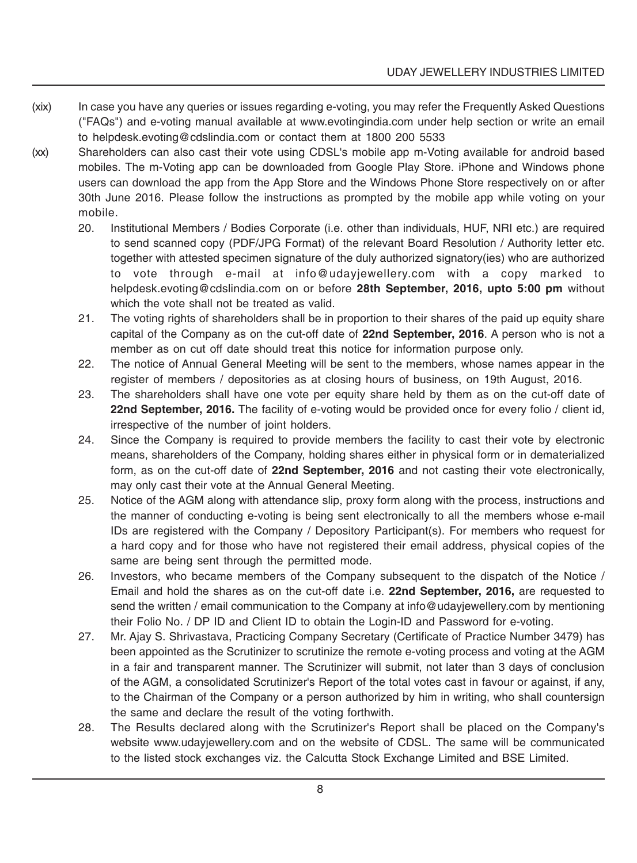- (xix) In case you have any queries or issues regarding e-voting, you may refer the Frequently Asked Questions ("FAQs") and e-voting manual available at www.evotingindia.com under help section or write an email to helpdesk.evoting@cdslindia.com or contact them at 1800 200 5533
- (xx) Shareholders can also cast their vote using CDSL's mobile app m-Voting available for android based mobiles. The m-Voting app can be downloaded from Google Play Store. iPhone and Windows phone users can download the app from the App Store and the Windows Phone Store respectively on or after 30th June 2016. Please follow the instructions as prompted by the mobile app while voting on your mobile.
	- 20. Institutional Members / Bodies Corporate (i.e. other than individuals, HUF, NRI etc.) are required to send scanned copy (PDF/JPG Format) of the relevant Board Resolution / Authority letter etc. together with attested specimen signature of the duly authorized signatory(ies) who are authorized to vote through e-mail at info@udayjewellery.com with a copy marked to helpdesk.evoting@cdslindia.com on or before **28th September, 2016, upto 5:00 pm** without which the vote shall not be treated as valid.
	- 21. The voting rights of shareholders shall be in proportion to their shares of the paid up equity share capital of the Company as on the cut-off date of **22nd September, 2016**. A person who is not a member as on cut off date should treat this notice for information purpose only.
	- 22. The notice of Annual General Meeting will be sent to the members, whose names appear in the register of members / depositories as at closing hours of business, on 19th August, 2016.
	- 23. The shareholders shall have one vote per equity share held by them as on the cut-off date of 22nd September, 2016. The facility of e-voting would be provided once for every folio / client id, irrespective of the number of joint holders.
	- 24. Since the Company is required to provide members the facility to cast their vote by electronic means, shareholders of the Company, holding shares either in physical form or in dematerialized form, as on the cut-off date of **22nd September, 2016** and not casting their vote electronically, may only cast their vote at the Annual General Meeting.
	- 25. Notice of the AGM along with attendance slip, proxy form along with the process, instructions and the manner of conducting e-voting is being sent electronically to all the members whose e-mail IDs are registered with the Company / Depository Participant(s). For members who request for a hard copy and for those who have not registered their email address, physical copies of the same are being sent through the permitted mode.
	- 26. Investors, who became members of the Company subsequent to the dispatch of the Notice / Email and hold the shares as on the cut-off date i.e. **22nd September, 2016,** are requested to send the written / email communication to the Company at info@udayjewellery.com by mentioning their Folio No. / DP ID and Client ID to obtain the Login-ID and Password for e-voting.
	- 27. Mr. Ajay S. Shrivastava, Practicing Company Secretary (Certificate of Practice Number 3479) has been appointed as the Scrutinizer to scrutinize the remote e-voting process and voting at the AGM in a fair and transparent manner. The Scrutinizer will submit, not later than 3 days of conclusion of the AGM, a consolidated Scrutinizer's Report of the total votes cast in favour or against, if any, to the Chairman of the Company or a person authorized by him in writing, who shall countersign the same and declare the result of the voting forthwith.
	- 28. The Results declared along with the Scrutinizer's Report shall be placed on the Company's website www.udayjewellery.com and on the website of CDSL. The same will be communicated to the listed stock exchanges viz. the Calcutta Stock Exchange Limited and BSE Limited.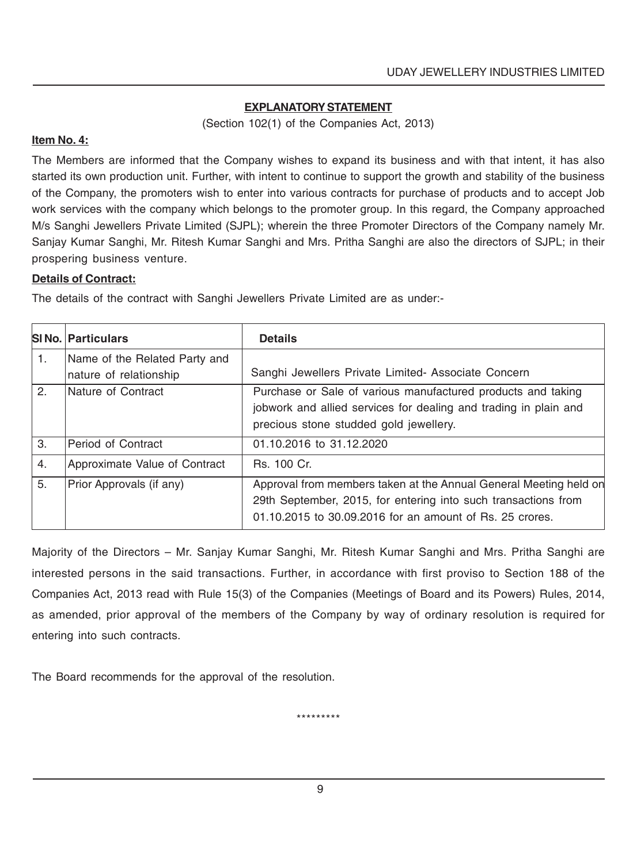#### **EXPLANATORY STATEMENT**

(Section 102(1) of the Companies Act, 2013)

#### **Item No. 4:**

The Members are informed that the Company wishes to expand its business and with that intent, it has also started its own production unit. Further, with intent to continue to support the growth and stability of the business of the Company, the promoters wish to enter into various contracts for purchase of products and to accept Job work services with the company which belongs to the promoter group. In this regard, the Company approached M/s Sanghi Jewellers Private Limited (SJPL); wherein the three Promoter Directors of the Company namely Mr. Sanjay Kumar Sanghi, Mr. Ritesh Kumar Sanghi and Mrs. Pritha Sanghi are also the directors of SJPL; in their prospering business venture.

#### **Details of Contract:**

The details of the contract with Sanghi Jewellers Private Limited are as under:-

|    | <b>SINO. Particulars</b>      | <b>Details</b>                                                                                                                                                                                  |
|----|-------------------------------|-------------------------------------------------------------------------------------------------------------------------------------------------------------------------------------------------|
| 1. | Name of the Related Party and |                                                                                                                                                                                                 |
|    | nature of relationship        | Sanghi Jewellers Private Limited- Associate Concern                                                                                                                                             |
| 2. | Nature of Contract            | Purchase or Sale of various manufactured products and taking<br>jobwork and allied services for dealing and trading in plain and<br>precious stone studded gold jewellery.                      |
| 3. | Period of Contract            | 01.10.2016 to 31.12.2020                                                                                                                                                                        |
| 4. | Approximate Value of Contract | Rs. 100 Cr.                                                                                                                                                                                     |
| 5. | Prior Approvals (if any)      | Approval from members taken at the Annual General Meeting held on<br>29th September, 2015, for entering into such transactions from<br>01.10.2015 to 30.09.2016 for an amount of Rs. 25 crores. |

Majority of the Directors – Mr. Sanjay Kumar Sanghi, Mr. Ritesh Kumar Sanghi and Mrs. Pritha Sanghi are interested persons in the said transactions. Further, in accordance with first proviso to Section 188 of the Companies Act, 2013 read with Rule 15(3) of the Companies (Meetings of Board and its Powers) Rules, 2014, as amended, prior approval of the members of the Company by way of ordinary resolution is required for entering into such contracts.

The Board recommends for the approval of the resolution.

\*\*\*\*\*\*\*\*\*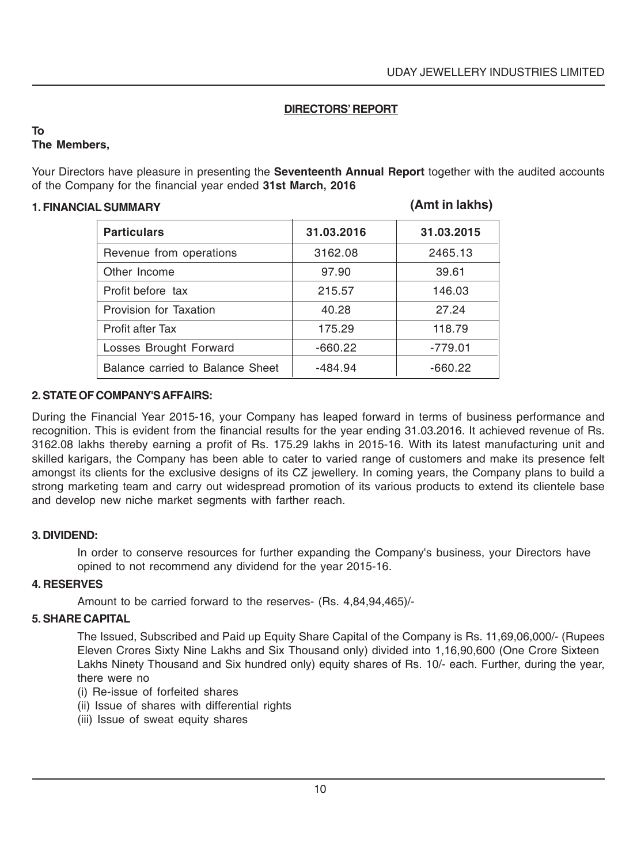#### **DIRECTORS' REPORT**

#### **To The Members,**

Your Directors have pleasure in presenting the **Seventeenth Annual Report** together with the audited accounts of the Company for the financial year ended **31st March, 2016**

#### **1. FINANCIAL SUMMARY**

#### **(Amt in lakhs)**

| <b>Particulars</b>               | 31.03.2016 | 31.03.2015 |
|----------------------------------|------------|------------|
| Revenue from operations          | 3162.08    | 2465.13    |
| Other Income                     | 97.90      | 39.61      |
| Profit before tax                | 215.57     | 146.03     |
| Provision for Taxation           | 40.28      | 27.24      |
| Profit after Tax                 | 175.29     | 118.79     |
| Losses Brought Forward           | $-660.22$  | $-779.01$  |
| Balance carried to Balance Sheet | $-484.94$  | $-660.22$  |

#### **2. STATE OF COMPANY'S AFFAIRS:**

During the Financial Year 2015-16, your Company has leaped forward in terms of business performance and recognition. This is evident from the financial results for the year ending 31.03.2016. It achieved revenue of Rs. 3162.08 lakhs thereby earning a profit of Rs. 175.29 lakhs in 2015-16. With its latest manufacturing unit and skilled karigars, the Company has been able to cater to varied range of customers and make its presence felt amongst its clients for the exclusive designs of its CZ jewellery. In coming years, the Company plans to build a strong marketing team and carry out widespread promotion of its various products to extend its clientele base and develop new niche market segments with farther reach.

#### **3. DIVIDEND:**

In order to conserve resources for further expanding the Company's business, your Directors have opined to not recommend any dividend for the year 2015-16.

#### **4. RESERVES**

Amount to be carried forward to the reserves- (Rs. 4,84,94,465)/-

#### **5. SHARE CAPITAL**

The Issued, Subscribed and Paid up Equity Share Capital of the Company is Rs. 11,69,06,000/- (Rupees Eleven Crores Sixty Nine Lakhs and Six Thousand only) divided into 1,16,90,600 (One Crore Sixteen Lakhs Ninety Thousand and Six hundred only) equity shares of Rs. 10/- each. Further, during the year, there were no

- (i) Re-issue of forfeited shares
- (ii) Issue of shares with differential rights
- (iii) Issue of sweat equity shares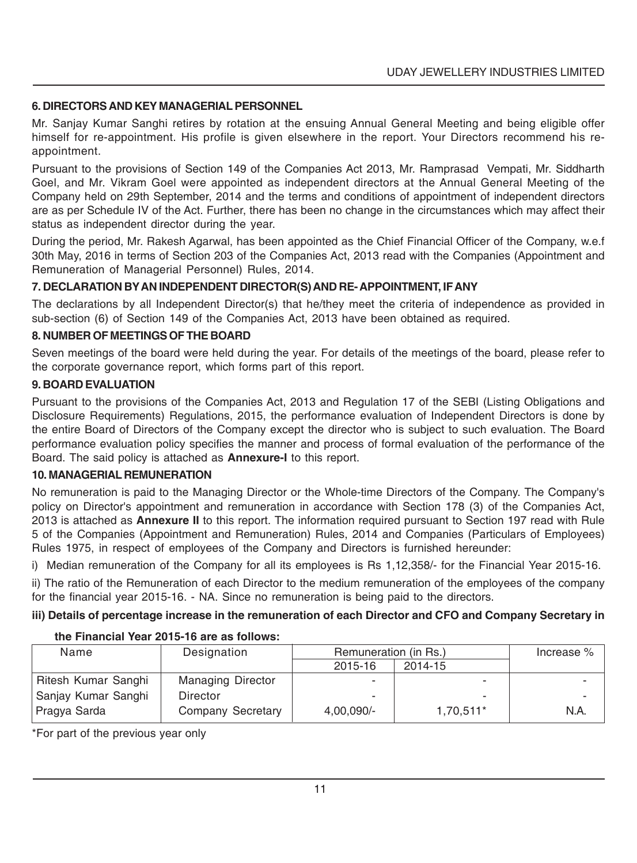#### **6. DIRECTORS AND KEY MANAGERIAL PERSONNEL**

Mr. Sanjay Kumar Sanghi retires by rotation at the ensuing Annual General Meeting and being eligible offer himself for re-appointment. His profile is given elsewhere in the report. Your Directors recommend his reappointment.

Pursuant to the provisions of Section 149 of the Companies Act 2013, Mr. Ramprasad Vempati, Mr. Siddharth Goel, and Mr. Vikram Goel were appointed as independent directors at the Annual General Meeting of the Company held on 29th September, 2014 and the terms and conditions of appointment of independent directors are as per Schedule IV of the Act. Further, there has been no change in the circumstances which may affect their status as independent director during the year.

During the period, Mr. Rakesh Agarwal, has been appointed as the Chief Financial Officer of the Company, w.e.f 30th May, 2016 in terms of Section 203 of the Companies Act, 2013 read with the Companies (Appointment and Remuneration of Managerial Personnel) Rules, 2014.

#### **7. DECLARATION BY AN INDEPENDENT DIRECTOR(S) AND RE- APPOINTMENT, IF ANY**

The declarations by all Independent Director(s) that he/they meet the criteria of independence as provided in sub-section (6) of Section 149 of the Companies Act, 2013 have been obtained as required.

#### **8. NUMBER OF MEETINGS OF THE BOARD**

Seven meetings of the board were held during the year. For details of the meetings of the board, please refer to the corporate governance report, which forms part of this report.

#### **9. BOARD EVALUATION**

Pursuant to the provisions of the Companies Act, 2013 and Regulation 17 of the SEBI (Listing Obligations and Disclosure Requirements) Regulations, 2015, the performance evaluation of Independent Directors is done by the entire Board of Directors of the Company except the director who is subject to such evaluation. The Board performance evaluation policy specifies the manner and process of formal evaluation of the performance of the Board. The said policy is attached as **Annexure-I** to this report.

# **10. MANAGERIAL REMUNERATION**

No remuneration is paid to the Managing Director or the Whole-time Directors of the Company. The Company's policy on Director's appointment and remuneration in accordance with Section 178 (3) of the Companies Act, 2013 is attached as **Annexure II** to this report. The information required pursuant to Section 197 read with Rule 5 of the Companies (Appointment and Remuneration) Rules, 2014 and Companies (Particulars of Employees) Rules 1975, in respect of employees of the Company and Directors is furnished hereunder:

i) Median remuneration of the Company for all its employees is Rs 1,12,358/- for the Financial Year 2015-16.

ii) The ratio of the Remuneration of each Director to the medium remuneration of the employees of the company for the financial year 2015-16. - NA. Since no remuneration is being paid to the directors.

#### **iii) Details of percentage increase in the remuneration of each Director and CFO and Company Secretary in**

#### **the Financial Year 2015-16 are as follows:**

| Name                | Designation              | Remuneration (in Rs.)    |           | Increase % |
|---------------------|--------------------------|--------------------------|-----------|------------|
|                     |                          | 2015-16                  | 2014-15   |            |
| Ritesh Kumar Sanghi | <b>Managing Director</b> | $\overline{\phantom{a}}$ |           |            |
| Sanjay Kumar Sanghi | Director                 | $\overline{\phantom{0}}$ |           |            |
| Pragya Sarda        | Company Secretary        | $4.00.090/-$             | 1,70,511* | N.A.       |

\*For part of the previous year only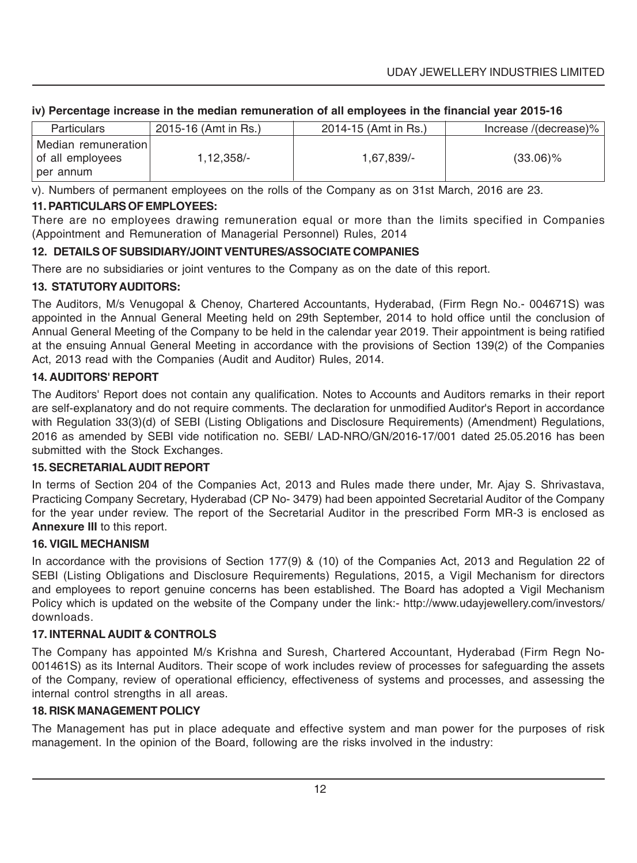#### **iv) Percentage increase in the median remuneration of all employees in the financial year 2015-16**

| Particulars                                            | 2015-16 (Amt in Rs.) | 2014-15 (Amt in Rs.) | lncrease /(decrease)% |
|--------------------------------------------------------|----------------------|----------------------|-----------------------|
| Median remuneration l<br>of all employees<br>per annum | 1,12,358/-           | 1,67,839/-           | $(33.06)\%$           |

v). Numbers of permanent employees on the rolls of the Company as on 31st March, 2016 are 23.

#### **11. PARTICULARS OF EMPLOYEES:**

There are no employees drawing remuneration equal or more than the limits specified in Companies (Appointment and Remuneration of Managerial Personnel) Rules, 2014

#### **12. DETAILS OF SUBSIDIARY/JOINT VENTURES/ASSOCIATE COMPANIES**

There are no subsidiaries or joint ventures to the Company as on the date of this report.

#### **13. STATUTORY AUDITORS:**

The Auditors, M/s Venugopal & Chenoy, Chartered Accountants, Hyderabad, (Firm Regn No.- 004671S) was appointed in the Annual General Meeting held on 29th September, 2014 to hold office until the conclusion of Annual General Meeting of the Company to be held in the calendar year 2019. Their appointment is being ratified at the ensuing Annual General Meeting in accordance with the provisions of Section 139(2) of the Companies Act, 2013 read with the Companies (Audit and Auditor) Rules, 2014.

#### **14. AUDITORS' REPORT**

The Auditors' Report does not contain any qualification. Notes to Accounts and Auditors remarks in their report are self-explanatory and do not require comments. The declaration for unmodified Auditor's Report in accordance with Regulation 33(3)(d) of SEBI (Listing Obligations and Disclosure Requirements) (Amendment) Regulations, 2016 as amended by SEBI vide notification no. SEBI/ LAD-NRO/GN/2016-17/001 dated 25.05.2016 has been submitted with the Stock Exchanges.

#### **15. SECRETARIAL AUDIT REPORT**

In terms of Section 204 of the Companies Act, 2013 and Rules made there under, Mr. Ajay S. Shrivastava, Practicing Company Secretary, Hyderabad (CP No- 3479) had been appointed Secretarial Auditor of the Company for the year under review. The report of the Secretarial Auditor in the prescribed Form MR-3 is enclosed as **Annexure III** to this report.

#### **16. VIGIL MECHANISM**

In accordance with the provisions of Section 177(9) & (10) of the Companies Act, 2013 and Regulation 22 of SEBI (Listing Obligations and Disclosure Requirements) Regulations, 2015, a Vigil Mechanism for directors and employees to report genuine concerns has been established. The Board has adopted a Vigil Mechanism Policy which is updated on the website of the Company under the link:- http://www.udayjewellery.com/investors/ downloads.

#### **17. INTERNAL AUDIT & CONTROLS**

The Company has appointed M/s Krishna and Suresh, Chartered Accountant, Hyderabad (Firm Regn No-001461S) as its Internal Auditors. Their scope of work includes review of processes for safeguarding the assets of the Company, review of operational efficiency, effectiveness of systems and processes, and assessing the internal control strengths in all areas.

#### **18. RISK MANAGEMENT POLICY**

The Management has put in place adequate and effective system and man power for the purposes of risk management. In the opinion of the Board, following are the risks involved in the industry: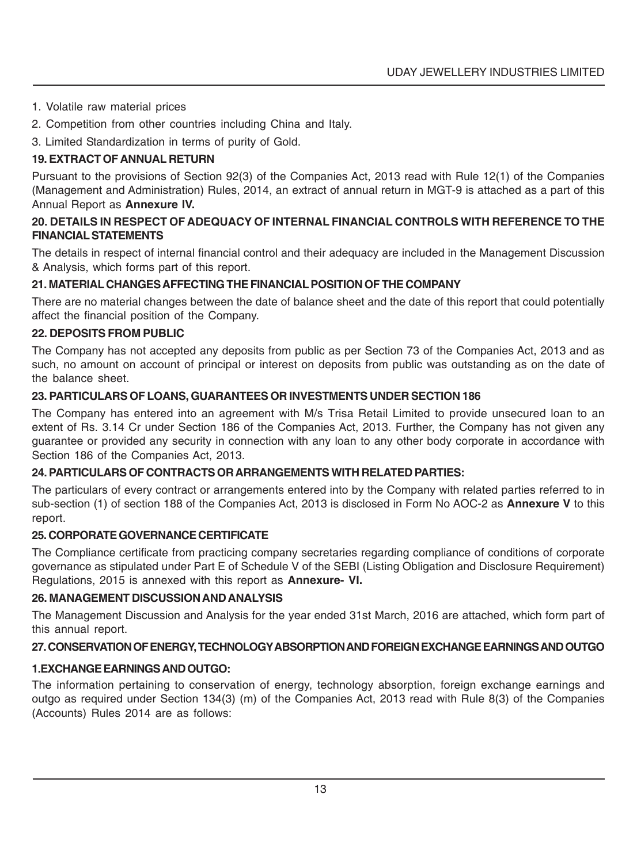- 1. Volatile raw material prices
- 2. Competition from other countries including China and Italy.
- 3. Limited Standardization in terms of purity of Gold.

# **19. EXTRACT OF ANNUAL RETURN**

Pursuant to the provisions of Section 92(3) of the Companies Act, 2013 read with Rule 12(1) of the Companies (Management and Administration) Rules, 2014, an extract of annual return in MGT-9 is attached as a part of this Annual Report as **Annexure IV.**

#### **20. DETAILS IN RESPECT OF ADEQUACY OF INTERNAL FINANCIAL CONTROLS WITH REFERENCE TO THE FINANCIAL STATEMENTS**

The details in respect of internal financial control and their adequacy are included in the Management Discussion & Analysis, which forms part of this report.

#### **21. MATERIAL CHANGES AFFECTING THE FINANCIAL POSITION OF THE COMPANY**

There are no material changes between the date of balance sheet and the date of this report that could potentially affect the financial position of the Company.

#### **22. DEPOSITS FROM PUBLIC**

The Company has not accepted any deposits from public as per Section 73 of the Companies Act, 2013 and as such, no amount on account of principal or interest on deposits from public was outstanding as on the date of the balance sheet.

#### **23. PARTICULARS OF LOANS, GUARANTEES OR INVESTMENTS UNDER SECTION 186**

The Company has entered into an agreement with M/s Trisa Retail Limited to provide unsecured loan to an extent of Rs. 3.14 Cr under Section 186 of the Companies Act, 2013. Further, the Company has not given any guarantee or provided any security in connection with any loan to any other body corporate in accordance with Section 186 of the Companies Act, 2013.

#### **24. PARTICULARS OF CONTRACTS OR ARRANGEMENTS WITH RELATED PARTIES:**

The particulars of every contract or arrangements entered into by the Company with related parties referred to in sub-section (1) of section 188 of the Companies Act, 2013 is disclosed in Form No AOC-2 as **Annexure V** to this report.

#### **25. CORPORATE GOVERNANCE CERTIFICATE**

The Compliance certificate from practicing company secretaries regarding compliance of conditions of corporate governance as stipulated under Part E of Schedule V of the SEBI (Listing Obligation and Disclosure Requirement) Regulations, 2015 is annexed with this report as **Annexure- VI.**

#### **26. MANAGEMENT DISCUSSION AND ANALYSIS**

The Management Discussion and Analysis for the year ended 31st March, 2016 are attached, which form part of this annual report.

# **27. CONSERVATION OF ENERGY, TECHNOLOGY ABSORPTION AND FOREIGN EXCHANGE EARNINGS AND OUTGO**

# **1.EXCHANGE EARNINGS AND OUTGO:**

The information pertaining to conservation of energy, technology absorption, foreign exchange earnings and outgo as required under Section 134(3) (m) of the Companies Act, 2013 read with Rule 8(3) of the Companies (Accounts) Rules 2014 are as follows: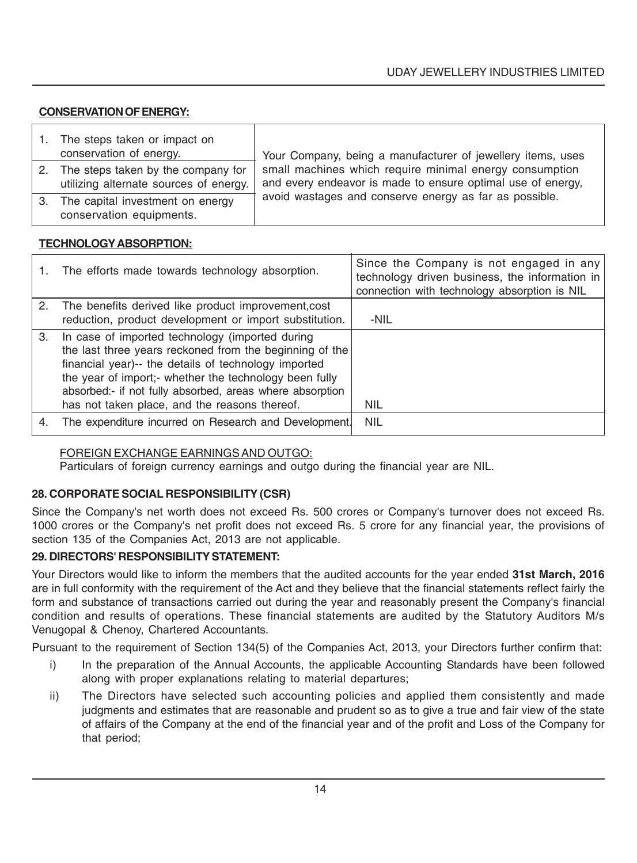#### **CONSERVATION OF ENERGY:**

| The steps taken or impact on<br>conservation of energy.                         | Your Company, being a manufacturer of jewellery items, uses                                                            |
|---------------------------------------------------------------------------------|------------------------------------------------------------------------------------------------------------------------|
| 2. The steps taken by the company for<br>utilizing alternate sources of energy. | small machines which require minimal energy consumption<br>and every endeavor is made to ensure optimal use of energy, |
| 3. The capital investment on energy<br>conservation equipments.                 | avoid wastages and conserve energy as far as possible.                                                                 |

#### **TECHNOLOGY ABSORPTION:**

|    | The efforts made towards technology absorption.                                                                                                                                                                                                                                                                                           | Since the Company is not engaged in any<br>technology driven business, the information in<br>connection with technology absorption is NIL |
|----|-------------------------------------------------------------------------------------------------------------------------------------------------------------------------------------------------------------------------------------------------------------------------------------------------------------------------------------------|-------------------------------------------------------------------------------------------------------------------------------------------|
|    | 2. The benefits derived like product improvement, cost                                                                                                                                                                                                                                                                                    |                                                                                                                                           |
|    | reduction, product development or import substitution.                                                                                                                                                                                                                                                                                    | -NIL                                                                                                                                      |
| 3. | In case of imported technology (imported during<br>the last three years reckoned from the beginning of the<br>financial year)-- the details of technology imported<br>the year of import;- whether the technology been fully<br>absorbed:- if not fully absorbed, areas where absorption<br>has not taken place, and the reasons thereof. | NIL                                                                                                                                       |
| 4. | The expenditure incurred on Research and Development.                                                                                                                                                                                                                                                                                     | <b>NIL</b>                                                                                                                                |

#### FOREIGN EXCHANGE EARNINGS AND OUTGO:

Particulars of foreign currency earnings and outgo during the financial year are NIL.

#### **28. CORPORATE SOCIAL RESPONSIBILITY (CSR)**

Since the Company's net worth does not exceed Rs. 500 crores or Company's turnover does not exceed Rs. 1000 crores or the Company's net profit does not exceed Rs. 5 crore for any financial year, the provisions of section 135 of the Companies Act, 2013 are not applicable.

#### **29. DIRECTORS' RESPONSIBILITY STATEMENT:**

Your Directors would like to inform the members that the audited accounts for the year ended **31st March, 2016** are in full conformity with the requirement of the Act and they believe that the financial statements reflect fairly the form and substance of transactions carried out during the year and reasonably present the Company's financial condition and results of operations. These financial statements are audited by the Statutory Auditors M/s Venugopal & Chenoy, Chartered Accountants.

Pursuant to the requirement of Section 134(5) of the Companies Act, 2013, your Directors further confirm that:

- i) In the preparation of the Annual Accounts, the applicable Accounting Standards have been followed along with proper explanations relating to material departures;
- ii) The Directors have selected such accounting policies and applied them consistently and made judgments and estimates that are reasonable and prudent so as to give a true and fair view of the state of affairs of the Company at the end of the financial year and of the profit and Loss of the Company for that period;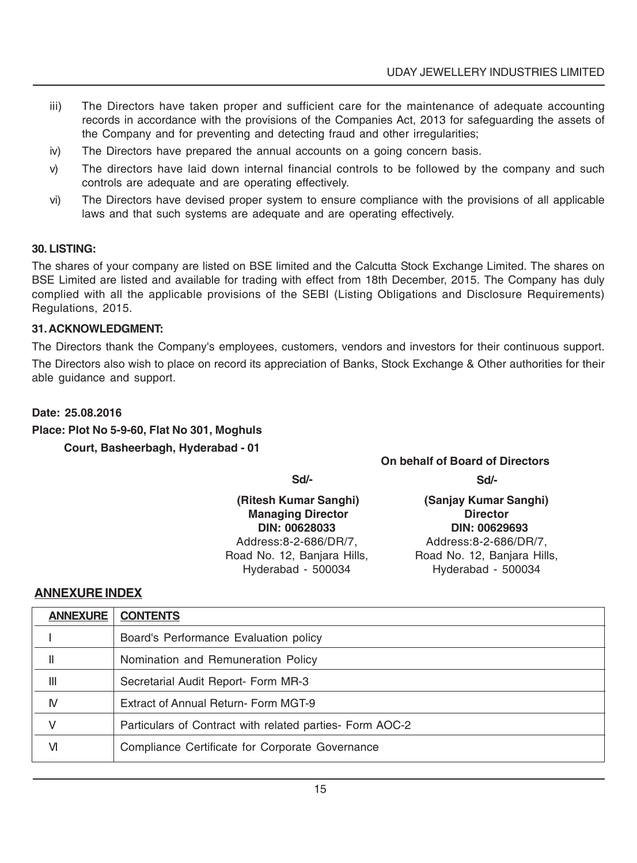- iii) The Directors have taken proper and sufficient care for the maintenance of adequate accounting records in accordance with the provisions of the Companies Act, 2013 for safeguarding the assets of the Company and for preventing and detecting fraud and other irregularities;
- iv) The Directors have prepared the annual accounts on a going concern basis.
- v) The directors have laid down internal financial controls to be followed by the company and such controls are adequate and are operating effectively.
- vi) The Directors have devised proper system to ensure compliance with the provisions of all applicable laws and that such systems are adequate and are operating effectively.

#### **30. LISTING:**

The shares of your company are listed on BSE limited and the Calcutta Stock Exchange Limited. The shares on BSE Limited are listed and available for trading with effect from 18th December, 2015. The Company has duly complied with all the applicable provisions of the SEBI (Listing Obligations and Disclosure Requirements) Regulations, 2015.

#### **31. ACKNOWLEDGMENT:**

The Directors thank the Company's employees, customers, vendors and investors for their continuous support. The Directors also wish to place on record its appreciation of Banks, Stock Exchange & Other authorities for their able guidance and support.

#### **Date: 25.08.2016**

#### **Place: Plot No 5-9-60, Flat No 301, Moghuls Court, Basheerbagh, Hyderabad - 01**

**Managing Director** Hyderabad - 500034 Hyderabad - 500034

# **On behalf of Board of Directors**

**Sd/- Sd/-**

 **(Ritesh Kumar Sanghi) (Sanjay Kumar Sanghi) DIN: 00628033 DIN: 00629693** Address:8-2-686/DR/7, Address:8-2-686/DR/7, Road No. 12, Banjara Hills, Road No. 12, Banjara Hills,

#### **ANNEXURE INDEX**

| <b>ANNEXURE</b> | <b>CONTENTS</b>                                          |  |
|-----------------|----------------------------------------------------------|--|
|                 | Board's Performance Evaluation policy                    |  |
| Ш               | Nomination and Remuneration Policy                       |  |
| $\mathsf{III}$  | Secretarial Audit Report- Form MR-3                      |  |
| N               | Extract of Annual Return- Form MGT-9                     |  |
| V               | Particulars of Contract with related parties- Form AOC-2 |  |
| VI              | Compliance Certificate for Corporate Governance          |  |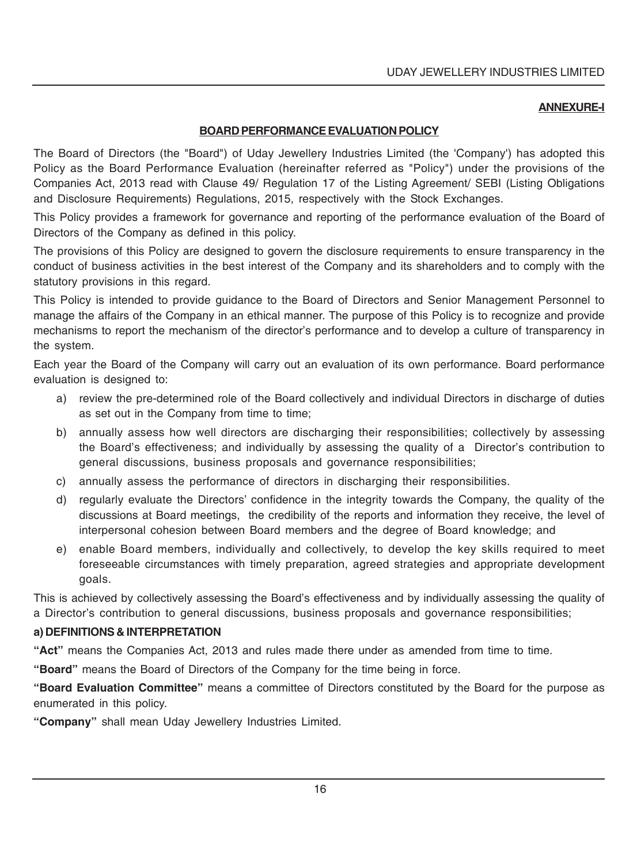#### **ANNEXURE-I**

#### **BOARD PERFORMANCE EVALUATION POLICY**

The Board of Directors (the "Board") of Uday Jewellery Industries Limited (the 'Company') has adopted this Policy as the Board Performance Evaluation (hereinafter referred as "Policy") under the provisions of the Companies Act, 2013 read with Clause 49/ Regulation 17 of the Listing Agreement/ SEBI (Listing Obligations and Disclosure Requirements) Regulations, 2015, respectively with the Stock Exchanges.

This Policy provides a framework for governance and reporting of the performance evaluation of the Board of Directors of the Company as defined in this policy.

The provisions of this Policy are designed to govern the disclosure requirements to ensure transparency in the conduct of business activities in the best interest of the Company and its shareholders and to comply with the statutory provisions in this regard.

This Policy is intended to provide guidance to the Board of Directors and Senior Management Personnel to manage the affairs of the Company in an ethical manner. The purpose of this Policy is to recognize and provide mechanisms to report the mechanism of the director's performance and to develop a culture of transparency in the system.

Each year the Board of the Company will carry out an evaluation of its own performance. Board performance evaluation is designed to:

- a) review the pre-determined role of the Board collectively and individual Directors in discharge of duties as set out in the Company from time to time;
- b) annually assess how well directors are discharging their responsibilities; collectively by assessing the Board's effectiveness; and individually by assessing the quality of a Director's contribution to general discussions, business proposals and governance responsibilities;
- c) annually assess the performance of directors in discharging their responsibilities.
- d) regularly evaluate the Directors' confidence in the integrity towards the Company, the quality of the discussions at Board meetings, the credibility of the reports and information they receive, the level of interpersonal cohesion between Board members and the degree of Board knowledge; and
- e) enable Board members, individually and collectively, to develop the key skills required to meet foreseeable circumstances with timely preparation, agreed strategies and appropriate development goals.

This is achieved by collectively assessing the Board's effectiveness and by individually assessing the quality of a Director's contribution to general discussions, business proposals and governance responsibilities;

#### **a) DEFINITIONS & INTERPRETATION**

**"Act"** means the Companies Act, 2013 and rules made there under as amended from time to time.

**"Board"** means the Board of Directors of the Company for the time being in force.

**"Board Evaluation Committee"** means a committee of Directors constituted by the Board for the purpose as enumerated in this policy.

**"Company"** shall mean Uday Jewellery Industries Limited.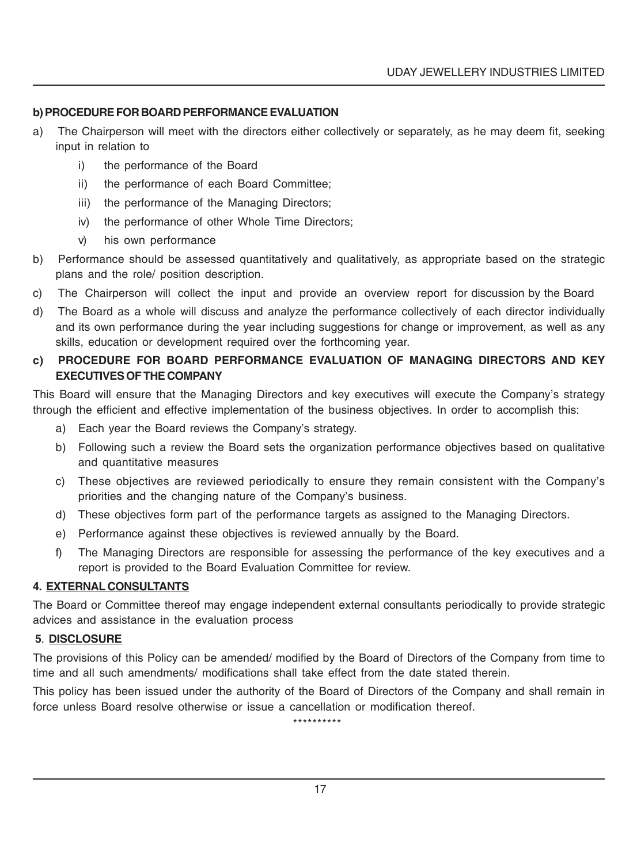#### **b) PROCEDURE FOR BOARD PERFORMANCE EVALUATION**

- a) The Chairperson will meet with the directors either collectively or separately, as he may deem fit, seeking input in relation to
	- i) the performance of the Board
	- ii) the performance of each Board Committee;
	- iii) the performance of the Managing Directors;
	- iv) the performance of other Whole Time Directors;
	- v) his own performance
- b) Performance should be assessed quantitatively and qualitatively, as appropriate based on the strategic plans and the role/ position description.
- c) The Chairperson will collect the input and provide an overview report for discussion by the Board
- d) The Board as a whole will discuss and analyze the performance collectively of each director individually and its own performance during the year including suggestions for change or improvement, as well as any skills, education or development required over the forthcoming year.

#### **c) PROCEDURE FOR BOARD PERFORMANCE EVALUATION OF MANAGING DIRECTORS AND KEY EXECUTIVES OF THE COMPANY**

This Board will ensure that the Managing Directors and key executives will execute the Company's strategy through the efficient and effective implementation of the business objectives. In order to accomplish this:

- a) Each year the Board reviews the Company's strategy.
- b) Following such a review the Board sets the organization performance objectives based on qualitative and quantitative measures
- c) These objectives are reviewed periodically to ensure they remain consistent with the Company's priorities and the changing nature of the Company's business.
- d) These objectives form part of the performance targets as assigned to the Managing Directors.
- e) Performance against these objectives is reviewed annually by the Board.
- f) The Managing Directors are responsible for assessing the performance of the key executives and a report is provided to the Board Evaluation Committee for review.

#### **4. EXTERNAL CONSULTANTS**

The Board or Committee thereof may engage independent external consultants periodically to provide strategic advices and assistance in the evaluation process

#### **5**. **DISCLOSURE**

The provisions of this Policy can be amended/ modified by the Board of Directors of the Company from time to time and all such amendments/ modifications shall take effect from the date stated therein.

This policy has been issued under the authority of the Board of Directors of the Company and shall remain in force unless Board resolve otherwise or issue a cancellation or modification thereof.

\*\*\*\*\*\*\*\*\*\*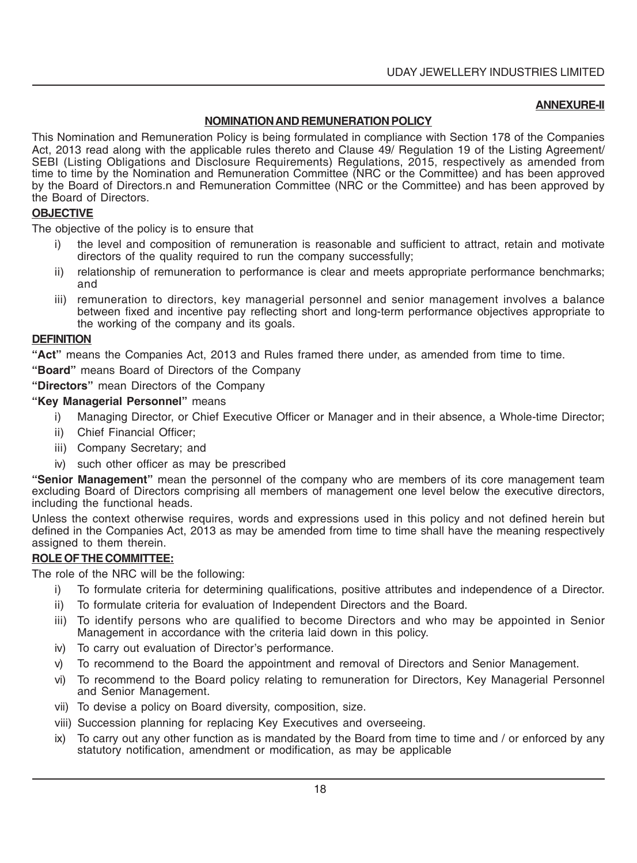#### **ANNEXURE-II**

#### **NOMINATION AND REMUNERATION POLICY**

This Nomination and Remuneration Policy is being formulated in compliance with Section 178 of the Companies Act, 2013 read along with the applicable rules thereto and Clause 49/ Regulation 19 of the Listing Agreement/ SEBI (Listing Obligations and Disclosure Requirements) Regulations, 2015, respectively as amended from time to time by the Nomination and Remuneration Committee (NRC or the Committee) and has been approved by the Board of Directors.n and Remuneration Committee (NRC or the Committee) and has been approved by the Board of Directors.

#### **OBJECTIVE**

The objective of the policy is to ensure that

- the level and composition of remuneration is reasonable and sufficient to attract, retain and motivate directors of the quality required to run the company successfully;
- ii) relationship of remuneration to performance is clear and meets appropriate performance benchmarks; and
- iii) remuneration to directors, key managerial personnel and senior management involves a balance between fixed and incentive pay reflecting short and long-term performance objectives appropriate to the working of the company and its goals.

#### **DEFINITION**

**"Act"** means the Companies Act, 2013 and Rules framed there under, as amended from time to time.

**"Board"** means Board of Directors of the Company

**"Directors"** mean Directors of the Company

#### **"Key Managerial Personnel"** means

- i) Managing Director, or Chief Executive Officer or Manager and in their absence, a Whole-time Director;
- ii) Chief Financial Officer;
- iii) Company Secretary; and
- iv) such other officer as may be prescribed

**"Senior Management"** mean the personnel of the company who are members of its core management team excluding Board of Directors comprising all members of management one level below the executive directors, including the functional heads.

Unless the context otherwise requires, words and expressions used in this policy and not defined herein but defined in the Companies Act, 2013 as may be amended from time to time shall have the meaning respectively assigned to them therein.

#### **ROLE OF THE COMMITTEE:**

The role of the NRC will be the following:

- i) To formulate criteria for determining qualifications, positive attributes and independence of a Director.
- ii) To formulate criteria for evaluation of Independent Directors and the Board.
- iii) To identify persons who are qualified to become Directors and who may be appointed in Senior Management in accordance with the criteria laid down in this policy.
- iv) To carry out evaluation of Director's performance.
- v) To recommend to the Board the appointment and removal of Directors and Senior Management.
- vi) To recommend to the Board policy relating to remuneration for Directors, Key Managerial Personnel and Senior Management.
- vii) To devise a policy on Board diversity, composition, size.
- viii) Succession planning for replacing Key Executives and overseeing.
- ix) To carry out any other function as is mandated by the Board from time to time and / or enforced by any statutory notification, amendment or modification, as may be applicable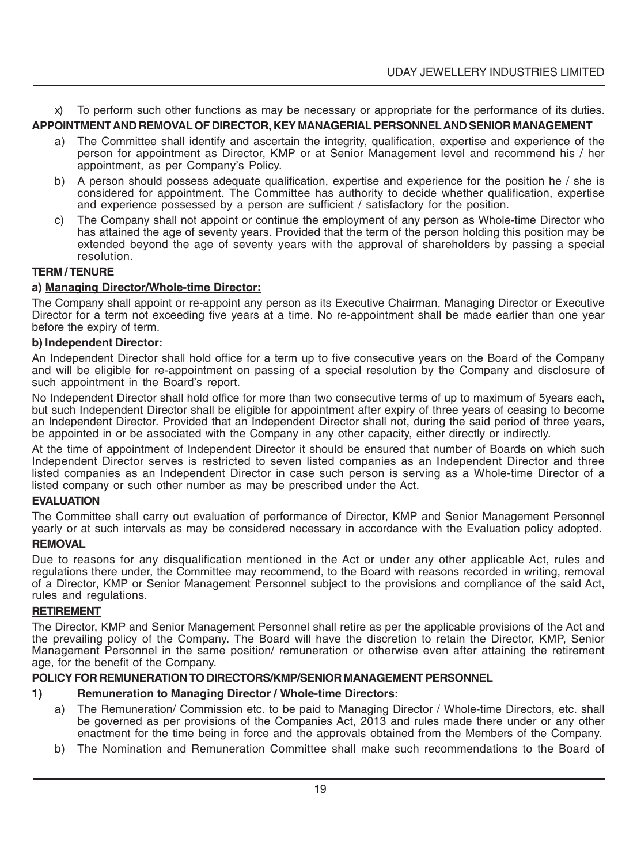x) To perform such other functions as may be necessary or appropriate for the performance of its duties.

# **APPOINTMENT AND REMOVAL OF DIRECTOR, KEY MANAGERIAL PERSONNELAND SENIOR MANAGEMENT**

- a) The Committee shall identify and ascertain the integrity, qualification, expertise and experience of the person for appointment as Director, KMP or at Senior Management level and recommend his / her appointment, as per Company's Policy.
- b) A person should possess adequate qualification, expertise and experience for the position he / she is considered for appointment. The Committee has authority to decide whether qualification, expertise and experience possessed by a person are sufficient / satisfactory for the position.
- c) The Company shall not appoint or continue the employment of any person as Whole-time Director who has attained the age of seventy years. Provided that the term of the person holding this position may be extended beyond the age of seventy years with the approval of shareholders by passing a special resolution.

#### **TERM / TENURE**

#### **a) Managing Director/Whole-time Director:**

The Company shall appoint or re-appoint any person as its Executive Chairman, Managing Director or Executive Director for a term not exceeding five years at a time. No re-appointment shall be made earlier than one year before the expiry of term.

#### **b) Independent Director:**

An Independent Director shall hold office for a term up to five consecutive years on the Board of the Company and will be eligible for re-appointment on passing of a special resolution by the Company and disclosure of such appointment in the Board's report.

No Independent Director shall hold office for more than two consecutive terms of up to maximum of 5years each, but such Independent Director shall be eligible for appointment after expiry of three years of ceasing to become an Independent Director. Provided that an Independent Director shall not, during the said period of three years, be appointed in or be associated with the Company in any other capacity, either directly or indirectly.

At the time of appointment of Independent Director it should be ensured that number of Boards on which such Independent Director serves is restricted to seven listed companies as an Independent Director and three listed companies as an Independent Director in case such person is serving as a Whole-time Director of a listed company or such other number as may be prescribed under the Act.

#### **EVALUATION**

The Committee shall carry out evaluation of performance of Director, KMP and Senior Management Personnel yearly or at such intervals as may be considered necessary in accordance with the Evaluation policy adopted.

#### **REMOVAL**

Due to reasons for any disqualification mentioned in the Act or under any other applicable Act, rules and regulations there under, the Committee may recommend, to the Board with reasons recorded in writing, removal of a Director, KMP or Senior Management Personnel subject to the provisions and compliance of the said Act, rules and regulations.

#### **RETIREMENT**

The Director, KMP and Senior Management Personnel shall retire as per the applicable provisions of the Act and the prevailing policy of the Company. The Board will have the discretion to retain the Director, KMP, Senior Management Personnel in the same position/ remuneration or otherwise even after attaining the retirement age, for the benefit of the Company.

#### **POLICY FOR REMUNERATION TO DIRECTORS/KMP/SENIOR MANAGEMENT PERSONNEL**

#### **1) Remuneration to Managing Director / Whole-time Directors:**

- a) The Remuneration/ Commission etc. to be paid to Managing Director / Whole-time Directors, etc. shall be governed as per provisions of the Companies Act, 2013 and rules made there under or any other enactment for the time being in force and the approvals obtained from the Members of the Company.
- b) The Nomination and Remuneration Committee shall make such recommendations to the Board of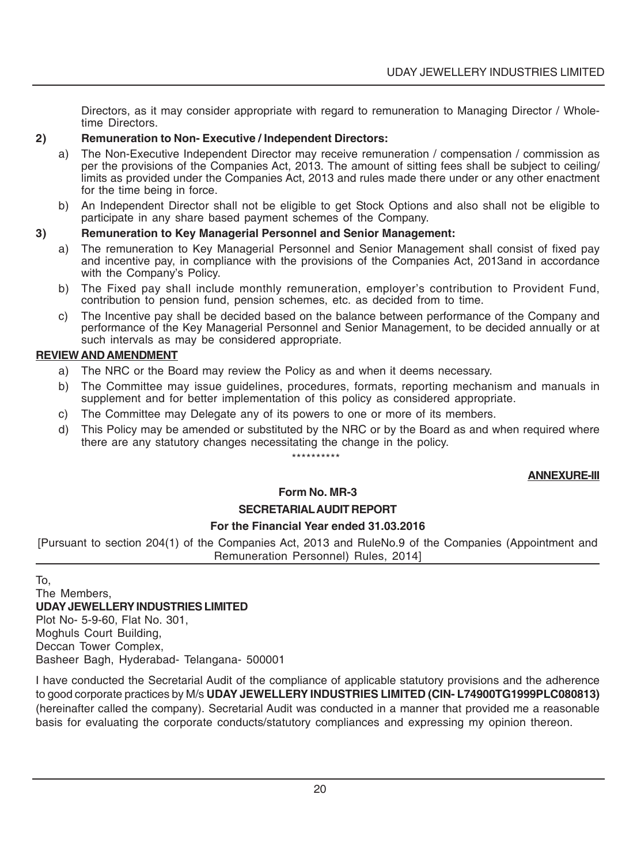Directors, as it may consider appropriate with regard to remuneration to Managing Director / Wholetime Directors.

#### **2) Remuneration to Non- Executive / Independent Directors:**

- a) The Non-Executive Independent Director may receive remuneration / compensation / commission as per the provisions of the Companies Act, 2013. The amount of sitting fees shall be subject to ceiling/ limits as provided under the Companies Act, 2013 and rules made there under or any other enactment for the time being in force.
- b) An Independent Director shall not be eligible to get Stock Options and also shall not be eligible to participate in any share based payment schemes of the Company.

#### **3) Remuneration to Key Managerial Personnel and Senior Management:**

- a) The remuneration to Key Managerial Personnel and Senior Management shall consist of fixed pay and incentive pay, in compliance with the provisions of the Companies Act, 2013and in accordance with the Company's Policy.
- b) The Fixed pay shall include monthly remuneration, employer's contribution to Provident Fund, contribution to pension fund, pension schemes, etc. as decided from to time.
- c) The Incentive pay shall be decided based on the balance between performance of the Company and performance of the Key Managerial Personnel and Senior Management, to be decided annually or at such intervals as may be considered appropriate.

#### **REVIEW AND AMENDMENT**

- a) The NRC or the Board may review the Policy as and when it deems necessary.
- b) The Committee may issue guidelines, procedures, formats, reporting mechanism and manuals in supplement and for better implementation of this policy as considered appropriate.
- c) The Committee may Delegate any of its powers to one or more of its members.
- d) This Policy may be amended or substituted by the NRC or by the Board as and when required where there are any statutory changes necessitating the change in the policy.

#### \*\*\*\*\*\*\*\*\*\*

#### **ANNEXURE-III**

#### **Form No. MR-3 SECRETARIAL AUDIT REPORT**

#### **For the Financial Year ended 31.03.2016**

[Pursuant to section 204(1) of the Companies Act, 2013 and RuleNo.9 of the Companies (Appointment and Remuneration Personnel) Rules, 2014]

To,

#### The Members, **UDAY JEWELLERY INDUSTRIES LIMITED**

Plot No- 5-9-60, Flat No. 301, Moghuls Court Building, Deccan Tower Complex, Basheer Bagh, Hyderabad- Telangana- 500001

I have conducted the Secretarial Audit of the compliance of applicable statutory provisions and the adherence to good corporate practices by M/s **UDAY JEWELLERY INDUSTRIES LIMITED (CIN- L74900TG1999PLC080813)** (hereinafter called the company). Secretarial Audit was conducted in a manner that provided me a reasonable basis for evaluating the corporate conducts/statutory compliances and expressing my opinion thereon.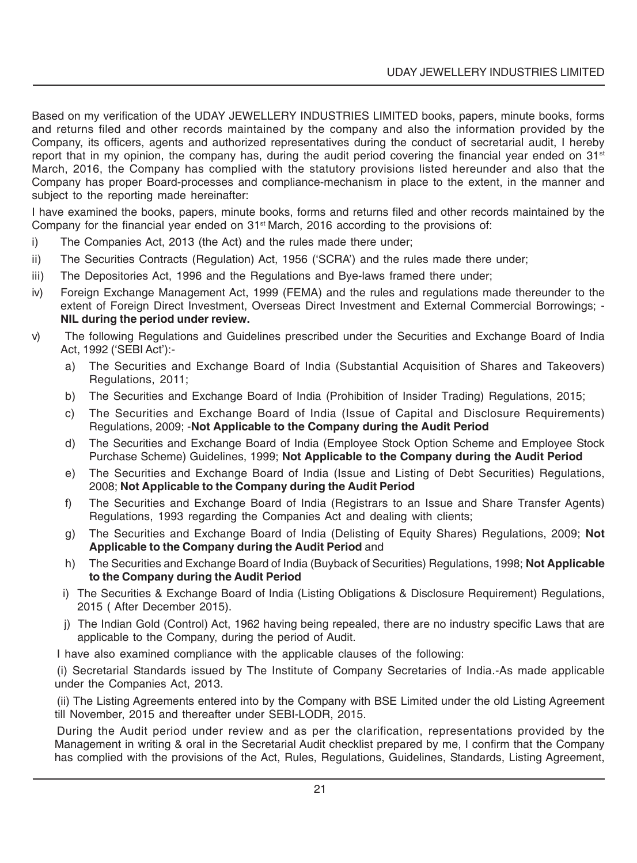Based on my verification of the UDAY JEWELLERY INDUSTRIES LIMITED books, papers, minute books, forms and returns filed and other records maintained by the company and also the information provided by the Company, its officers, agents and authorized representatives during the conduct of secretarial audit, I hereby report that in my opinion, the company has, during the audit period covering the financial year ended on 31<sup>st</sup> March, 2016, the Company has complied with the statutory provisions listed hereunder and also that the Company has proper Board-processes and compliance-mechanism in place to the extent, in the manner and subject to the reporting made hereinafter:

I have examined the books, papers, minute books, forms and returns filed and other records maintained by the Company for the financial year ended on  $31<sup>st</sup>$  March, 2016 according to the provisions of:

- i) The Companies Act, 2013 (the Act) and the rules made there under;
- ii) The Securities Contracts (Regulation) Act, 1956 ('SCRA') and the rules made there under;
- iii) The Depositories Act, 1996 and the Regulations and Bye-laws framed there under;
- iv) Foreign Exchange Management Act, 1999 (FEMA) and the rules and regulations made thereunder to the extent of Foreign Direct Investment, Overseas Direct Investment and External Commercial Borrowings; - **NIL during the period under review.**
- v) The following Regulations and Guidelines prescribed under the Securities and Exchange Board of India Act, 1992 ('SEBI Act'):
	- a) The Securities and Exchange Board of India (Substantial Acquisition of Shares and Takeovers) Regulations, 2011;
	- b) The Securities and Exchange Board of India (Prohibition of Insider Trading) Regulations, 2015;
	- c) The Securities and Exchange Board of India (Issue of Capital and Disclosure Requirements) Regulations, 2009; -**Not Applicable to the Company during the Audit Period**
	- d) The Securities and Exchange Board of India (Employee Stock Option Scheme and Employee Stock Purchase Scheme) Guidelines, 1999; **Not Applicable to the Company during the Audit Period**
	- e) The Securities and Exchange Board of India (Issue and Listing of Debt Securities) Regulations, 2008; **Not Applicable to the Company during the Audit Period**
	- f) The Securities and Exchange Board of India (Registrars to an Issue and Share Transfer Agents) Regulations, 1993 regarding the Companies Act and dealing with clients;
	- g) The Securities and Exchange Board of India (Delisting of Equity Shares) Regulations, 2009; **Not Applicable to the Company during the Audit Period** and
	- h) The Securities and Exchange Board of India (Buyback of Securities) Regulations, 1998; **Not Applicable to the Company during the Audit Period**
	- i) The Securities & Exchange Board of India (Listing Obligations & Disclosure Requirement) Regulations, 2015 ( After December 2015).
	- j) The Indian Gold (Control) Act, 1962 having being repealed, there are no industry specific Laws that are applicable to the Company, during the period of Audit.

I have also examined compliance with the applicable clauses of the following:

(i) Secretarial Standards issued by The Institute of Company Secretaries of India.-As made applicable under the Companies Act, 2013.

(ii) The Listing Agreements entered into by the Company with BSE Limited under the old Listing Agreement till November, 2015 and thereafter under SEBI-LODR, 2015.

During the Audit period under review and as per the clarification, representations provided by the Management in writing & oral in the Secretarial Audit checklist prepared by me, I confirm that the Company has complied with the provisions of the Act, Rules, Regulations, Guidelines, Standards, Listing Agreement,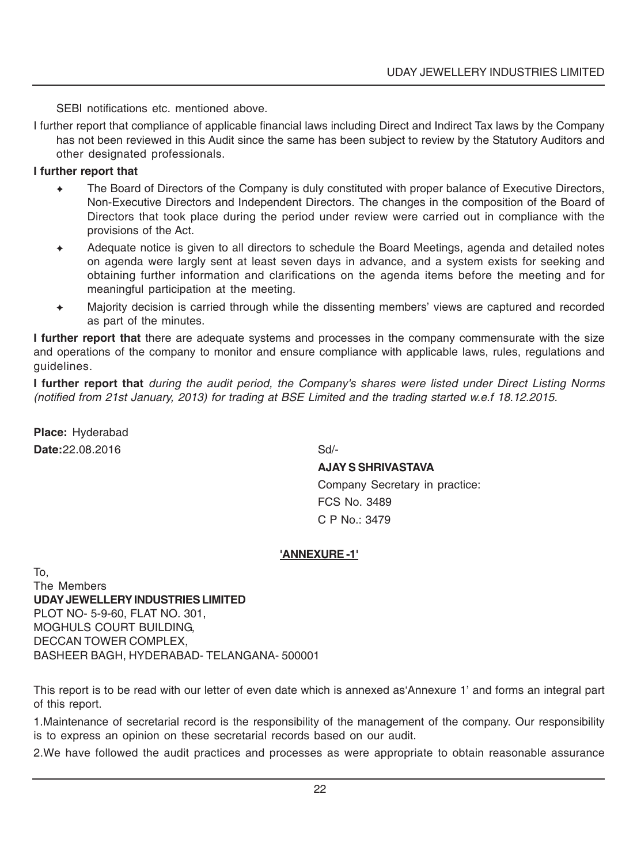SEBI notifications etc. mentioned above.

I further report that compliance of applicable financial laws including Direct and Indirect Tax laws by the Company has not been reviewed in this Audit since the same has been subject to review by the Statutory Auditors and other designated professionals.

#### **I further report that**

- The Board of Directors of the Company is duly constituted with proper balance of Executive Directors, Non-Executive Directors and Independent Directors. The changes in the composition of the Board of Directors that took place during the period under review were carried out in compliance with the provisions of the Act.
- ✦ Adequate notice is given to all directors to schedule the Board Meetings, agenda and detailed notes on agenda were largly sent at least seven days in advance, and a system exists for seeking and obtaining further information and clarifications on the agenda items before the meeting and for meaningful participation at the meeting.
- Majority decision is carried through while the dissenting members' views are captured and recorded as part of the minutes.

**I further report that** there are adequate systems and processes in the company commensurate with the size and operations of the company to monitor and ensure compliance with applicable laws, rules, regulations and guidelines.

**I further report that** *during the audit period, the Company's shares were listed under Direct Listing Norms (notified from 21st January, 2013) for trading at BSE Limited and the trading started w.e.f 18.12.2015.*

**Place:** Hyderabad **Date:**22.08.2016 Sd/-

#### **AJAY S SHRIVASTAVA**

Company Secretary in practice: FCS No. 3489  $C$  P No $\cdot$  3479

#### **'ANNEXURE -1'**

To, The Members **UDAY JEWELLERY INDUSTRIES LIMITED** PLOT NO- 5-9-60, FLAT NO. 301, MOGHULS COURT BUILDING, DECCAN TOWER COMPLEX, BASHEER BAGH, HYDERABAD- TELANGANA- 500001

This report is to be read with our letter of even date which is annexed as'Annexure 1' and forms an integral part of this report.

1.Maintenance of secretarial record is the responsibility of the management of the company. Our responsibility is to express an opinion on these secretarial records based on our audit.

2.We have followed the audit practices and processes as were appropriate to obtain reasonable assurance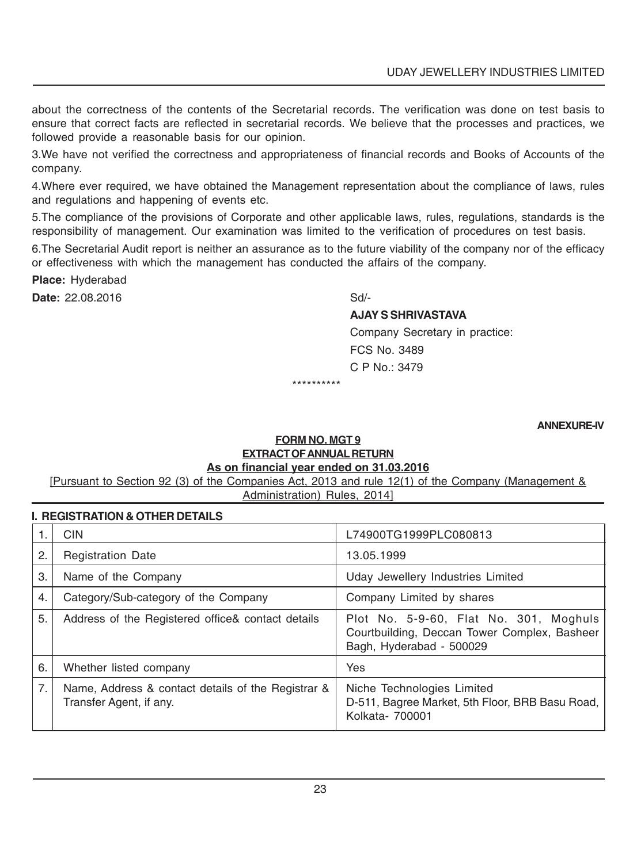about the correctness of the contents of the Secretarial records. The verification was done on test basis to ensure that correct facts are reflected in secretarial records. We believe that the processes and practices, we followed provide a reasonable basis for our opinion.

3.We have not verified the correctness and appropriateness of financial records and Books of Accounts of the company.

4.Where ever required, we have obtained the Management representation about the compliance of laws, rules and regulations and happening of events etc.

5.The compliance of the provisions of Corporate and other applicable laws, rules, regulations, standards is the responsibility of management. Our examination was limited to the verification of procedures on test basis.

6.The Secretarial Audit report is neither an assurance as to the future viability of the company nor of the efficacy or effectiveness with which the management has conducted the affairs of the company.

**Place:** Hyderabad

**Date:** 22.08.2016 Sd/-

#### **AJAY S SHRIVASTAVA**

Company Secretary in practice: FCS No. 3489 C P No.: 3479

\*\*\*\*\*\*\*\*\*\*

**ANNEXURE-IV**

#### **FORM NO. MGT 9 EXTRACT OF ANNUAL RETURN As on financial year ended on 31.03.2016**

[Pursuant to Section 92 (3) of the Companies Act, 2013 and rule 12(1) of the Company (Management & Administration) Rules, 2014]

#### **I. REGISTRATION & OTHER DETAILS**

|    | <b>CIN</b>                                                                    | L74900TG1999PLC080813                                                                                              |
|----|-------------------------------------------------------------------------------|--------------------------------------------------------------------------------------------------------------------|
| 2. | <b>Registration Date</b>                                                      | 13.05.1999                                                                                                         |
| 3. | Name of the Company                                                           | Uday Jewellery Industries Limited                                                                                  |
| 4. | Category/Sub-category of the Company                                          | Company Limited by shares                                                                                          |
| 5. | Address of the Registered office& contact details                             | Plot No. 5-9-60, Flat No. 301, Moghuls<br>Courtbuilding, Deccan Tower Complex, Basheer<br>Bagh, Hyderabad - 500029 |
| 6. | Whether listed company                                                        | Yes                                                                                                                |
| 7. | Name, Address & contact details of the Registrar &<br>Transfer Agent, if any. | Niche Technologies Limited<br>D-511, Bagree Market, 5th Floor, BRB Basu Road,<br>Kolkata- 700001                   |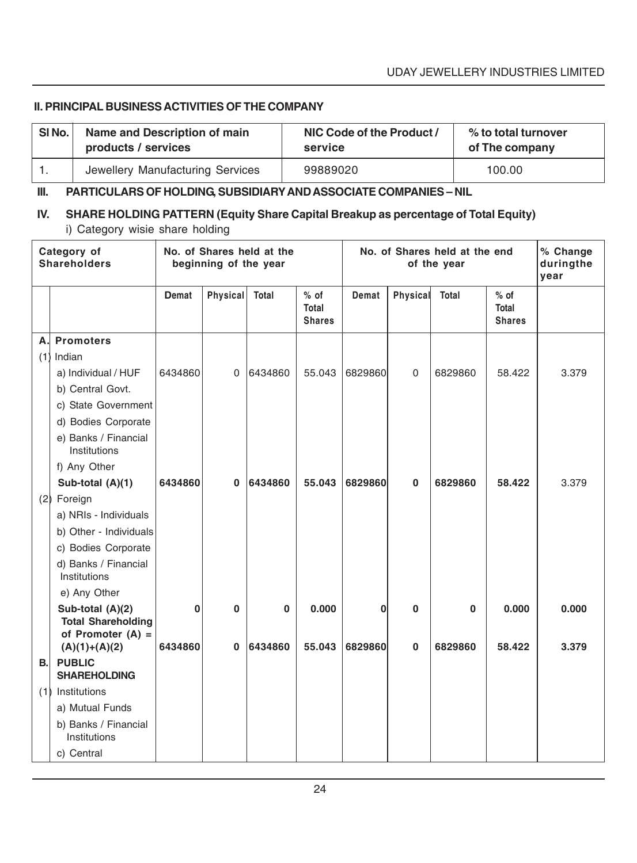#### **II. PRINCIPAL BUSINESS ACTIVITIES OF THE COMPANY**

| SI <sub>No.</sub> | Name and Description of main     | NIC Code of the Product / | % to total turnover |
|-------------------|----------------------------------|---------------------------|---------------------|
|                   | products / services              | service                   | of The company      |
|                   | Jewellery Manufacturing Services | 99889020                  | 100.00              |

#### **III. PARTICULARS OF HOLDING, SUBSIDIARY AND ASSOCIATE COMPANIES – NIL**

# **IV. SHARE HOLDING PATTERN (Equity Share Capital Breakup as percentage of Total Equity)** i) Category wisie share holding

| Category of<br><b>Shareholders</b> |                                                                      | No. of Shares held at the<br>beginning of the year |              |          | No. of Shares held at the end<br>of the year |         |              |             | % Change<br>duringthe<br>vear    |       |
|------------------------------------|----------------------------------------------------------------------|----------------------------------------------------|--------------|----------|----------------------------------------------|---------|--------------|-------------|----------------------------------|-------|
|                                    |                                                                      | Demat                                              | Physical     | Total    | $%$ of<br>Total<br><b>Shares</b>             | Demat   | Physical     | Total       | $%$ of<br>Total<br><b>Shares</b> |       |
| Α.                                 | <b>Promoters</b>                                                     |                                                    |              |          |                                              |         |              |             |                                  |       |
| (1)                                | Indian                                                               |                                                    |              |          |                                              |         |              |             |                                  |       |
|                                    | a) Individual / HUF                                                  | 6434860                                            | $\Omega$     | 6434860  | 55.043                                       | 6829860 | $\Omega$     | 6829860     | 58.422                           | 3.379 |
|                                    | b) Central Govt.                                                     |                                                    |              |          |                                              |         |              |             |                                  |       |
|                                    | c) State Government                                                  |                                                    |              |          |                                              |         |              |             |                                  |       |
|                                    | d) Bodies Corporate                                                  |                                                    |              |          |                                              |         |              |             |                                  |       |
|                                    | e) Banks / Financial<br>Institutions                                 |                                                    |              |          |                                              |         |              |             |                                  |       |
|                                    | f) Any Other                                                         |                                                    |              |          |                                              |         |              |             |                                  |       |
|                                    | Sub-total (A)(1)                                                     | 6434860                                            | $\mathbf{0}$ | 6434860  | 55.043                                       | 6829860 | $\mathbf{0}$ | 6829860     | 58.422                           | 3.379 |
|                                    | (2) Foreign                                                          |                                                    |              |          |                                              |         |              |             |                                  |       |
|                                    | a) NRIs - Individuals                                                |                                                    |              |          |                                              |         |              |             |                                  |       |
|                                    | b) Other - Individuals                                               |                                                    |              |          |                                              |         |              |             |                                  |       |
|                                    | c) Bodies Corporate                                                  |                                                    |              |          |                                              |         |              |             |                                  |       |
|                                    | d) Banks / Financial<br>Institutions                                 |                                                    |              |          |                                              |         |              |             |                                  |       |
|                                    | e) Any Other                                                         |                                                    |              |          |                                              |         |              |             |                                  |       |
|                                    | Sub-total (A)(2)<br><b>Total Shareholding</b><br>of Promoter $(A) =$ | $\bf{0}$                                           | $\bf{0}$     | $\bf{0}$ | 0.000                                        | 0       | 0            | $\mathbf 0$ | 0.000                            | 0.000 |
|                                    | $(A)(1)+(A)(2)$                                                      | 6434860                                            | $\bf{0}$     | 6434860  | 55.043                                       | 6829860 | $\bf{0}$     | 6829860     | 58.422                           | 3.379 |
| <b>B.</b>                          | <b>PUBLIC</b><br><b>SHAREHOLDING</b>                                 |                                                    |              |          |                                              |         |              |             |                                  |       |
| (1)                                | Institutions                                                         |                                                    |              |          |                                              |         |              |             |                                  |       |
|                                    | a) Mutual Funds                                                      |                                                    |              |          |                                              |         |              |             |                                  |       |
|                                    | b) Banks / Financial<br>Institutions                                 |                                                    |              |          |                                              |         |              |             |                                  |       |
|                                    | c) Central                                                           |                                                    |              |          |                                              |         |              |             |                                  |       |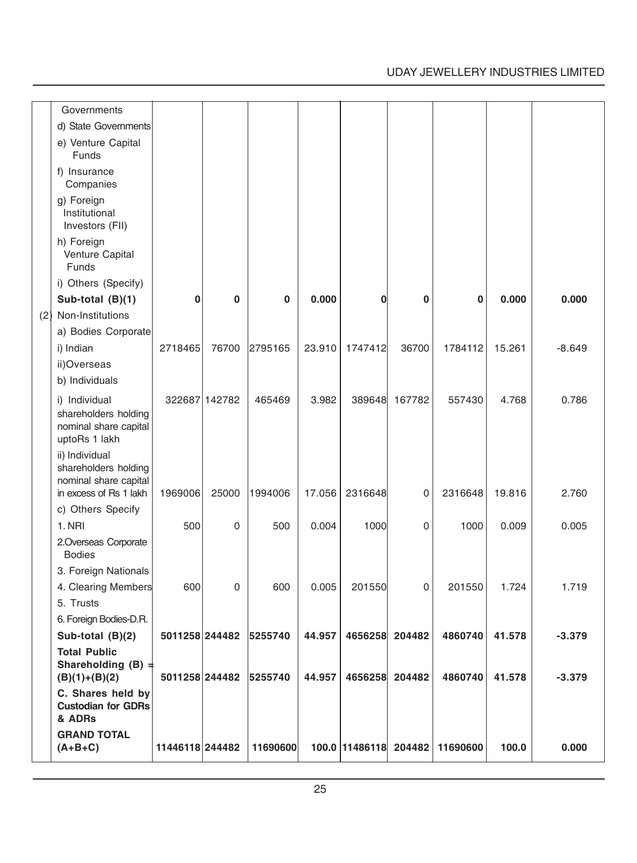# UDAY JEWELLERY INDUSTRIES LIMITED

| Governments                                                                               |                 |               |                        |        |                       |        |          |        |          |
|-------------------------------------------------------------------------------------------|-----------------|---------------|------------------------|--------|-----------------------|--------|----------|--------|----------|
| d) State Governments                                                                      |                 |               |                        |        |                       |        |          |        |          |
| e) Venture Capital<br>Funds                                                               |                 |               |                        |        |                       |        |          |        |          |
| f) Insurance<br>Companies                                                                 |                 |               |                        |        |                       |        |          |        |          |
| g) Foreign<br>Institutional<br>Investors (FII)                                            |                 |               |                        |        |                       |        |          |        |          |
| h) Foreign<br>Venture Capital<br>Funds                                                    |                 |               |                        |        |                       |        |          |        |          |
| i) Others (Specify)                                                                       |                 |               |                        |        |                       |        |          |        |          |
| Sub-total (B)(1)                                                                          | 0               | 0             | 0                      | 0.000  | 0                     | 0      | 0        | 0.000  | 0.000    |
| (2) Non-Institutions<br>a) Bodies Corporate                                               |                 |               |                        |        |                       |        |          |        |          |
| i) Indian                                                                                 | 2718465         | 76700         | 2795165                | 23.910 | 1747412               | 36700  | 1784112  | 15.261 | $-8.649$ |
| ii)Overseas                                                                               |                 |               |                        |        |                       |        |          |        |          |
| b) Individuals                                                                            |                 |               |                        |        |                       |        |          |        |          |
| i) Individual<br>shareholders holding<br>nominal share capital<br>uptoRs 1 lakh           |                 | 322687 142782 | 465469                 | 3.982  | 389648                | 167782 | 557430   | 4.768  | 0.786    |
| ii) Individual<br>shareholders holding<br>nominal share capital<br>in excess of Rs 1 lakh | 1969006         | 25000         | 1994006                | 17.056 | 2316648               | 0      | 2316648  | 19.816 | 2.760    |
| c) Others Specify                                                                         |                 |               |                        |        |                       |        |          |        |          |
| 1. NRI                                                                                    | 500             | 0             | 500                    | 0.004  | 1000                  | 0      | 1000     | 0.009  | 0.005    |
| 2.Overseas Corporate<br><b>Bodies</b>                                                     |                 |               |                        |        |                       |        |          |        |          |
| 3. Foreign Nationals                                                                      |                 |               |                        |        |                       |        |          |        |          |
| 4. Clearing Members                                                                       | 600             | 0             | 600                    | 0.005  | 201550                | 0      | 201550   | 1.724  | 1.719    |
| 5. Trusts                                                                                 |                 |               |                        |        |                       |        |          |        |          |
| 6. Foreign Bodies-D.R.                                                                    |                 |               |                        |        |                       |        |          |        |          |
| Sub-total (B)(2)                                                                          | 5011258 244482  |               | 5255740                | 44.957 | 4656258 204482        |        | 4860740  | 41.578 | $-3.379$ |
| <b>Total Public</b><br>Shareholding (B) :<br>$(B)(1)+(B)(2)$                              |                 |               | 5011258 244482 5255740 | 44.957 | 4656258 204482        |        | 4860740  | 41.578 | $-3.379$ |
| C. Shares held by<br><b>Custodian for GDRs</b><br>& ADRs                                  |                 |               |                        |        |                       |        |          |        |          |
| <b>GRAND TOTAL</b><br>$(A+B+C)$                                                           | 11446118 244482 |               | 11690600               |        | 100.0 11486118 204482 |        | 11690600 | 100.0  | 0.000    |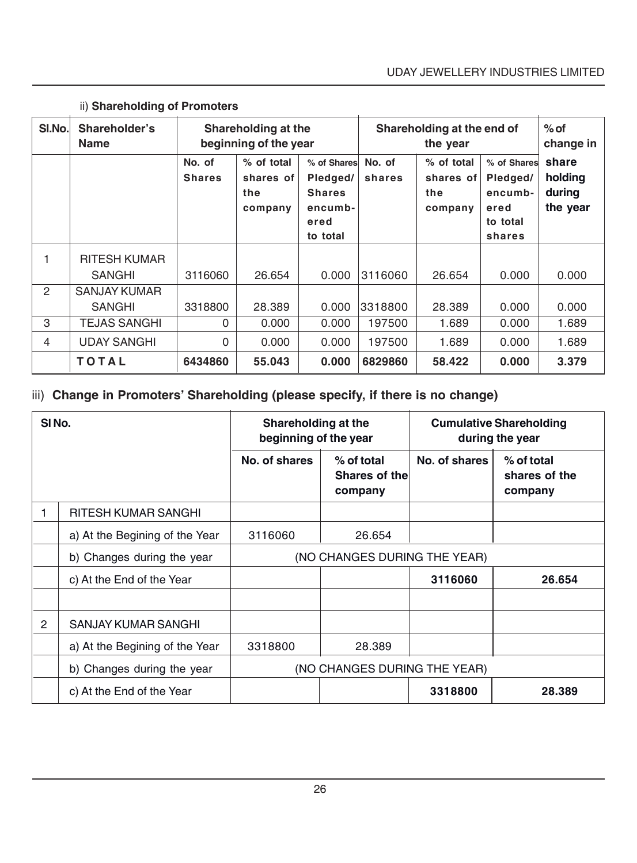| SI.No.         | Shareholder's<br><b>Name</b> | Shareholding at the<br>beginning of the year |                                           |                                                                         | Shareholding at the end of |                                           | $%$ of<br>change in                                              |                                        |
|----------------|------------------------------|----------------------------------------------|-------------------------------------------|-------------------------------------------------------------------------|----------------------------|-------------------------------------------|------------------------------------------------------------------|----------------------------------------|
|                |                              | No. of<br><b>Shares</b>                      | % of total<br>shares of<br>the<br>company | % of Shares<br>Pledged/<br><b>Shares</b><br>encumb-<br>ered<br>to total | No. of<br>shares           | % of total<br>shares of<br>the<br>company | % of Shares<br>Pledged/<br>encumb-<br>ered<br>to total<br>shares | share<br>holding<br>during<br>the year |
| 1              | <b>RITESH KUMAR</b>          |                                              |                                           |                                                                         |                            |                                           |                                                                  |                                        |
|                | <b>SANGHI</b>                | 3116060                                      | 26.654                                    | 0.000                                                                   | 3116060                    | 26.654                                    | 0.000                                                            | 0.000                                  |
| $\overline{2}$ | <b>SANJAY KUMAR</b>          |                                              |                                           |                                                                         |                            |                                           |                                                                  |                                        |
|                | <b>SANGHI</b>                | 3318800                                      | 28,389                                    | 0.000                                                                   | 3318800                    | 28,389                                    | 0.000                                                            | 0.000                                  |
| 3              | <b>TEJAS SANGHI</b>          | 0                                            | 0.000                                     | 0.000                                                                   | 197500                     | 1.689                                     | 0.000                                                            | 1.689                                  |
| $\overline{4}$ | <b>UDAY SANGHI</b>           | 0                                            | 0.000                                     | 0.000                                                                   | 197500                     | 1.689                                     | 0.000                                                            | 1.689                                  |
|                | <b>TOTAL</b>                 | 6434860                                      | 55,043                                    | 0.000                                                                   | 6829860                    | 58.422                                    | 0.000                                                            | 3.379                                  |

# ii) **Shareholding of Promoters**

# iii) **Change in Promoters' Shareholding (please specify, if there is no change)**

| SI <sub>No.</sub> |                                | Shareholding at the<br>beginning of the year |                                        | <b>Cumulative Shareholding</b><br>during the year |                                        |  |
|-------------------|--------------------------------|----------------------------------------------|----------------------------------------|---------------------------------------------------|----------------------------------------|--|
|                   |                                | No. of shares                                | % of total<br>Shares of the<br>company | No. of shares                                     | % of total<br>shares of the<br>company |  |
|                   | RITESH KUMAR SANGHI            |                                              |                                        |                                                   |                                        |  |
|                   | a) At the Begining of the Year | 3116060                                      | 26.654                                 |                                                   |                                        |  |
|                   | b) Changes during the year     | (NO CHANGES DURING THE YEAR)                 |                                        |                                                   |                                        |  |
|                   | c) At the End of the Year      |                                              |                                        | 3116060                                           | 26.654                                 |  |
|                   |                                |                                              |                                        |                                                   |                                        |  |
| 2                 | SANJAY KUMAR SANGHI            |                                              |                                        |                                                   |                                        |  |
|                   | a) At the Begining of the Year | 3318800                                      | 28.389                                 |                                                   |                                        |  |
|                   | b) Changes during the year     |                                              | (NO CHANGES DURING THE YEAR)           |                                                   |                                        |  |
|                   | c) At the End of the Year      |                                              |                                        | 3318800                                           | 28.389                                 |  |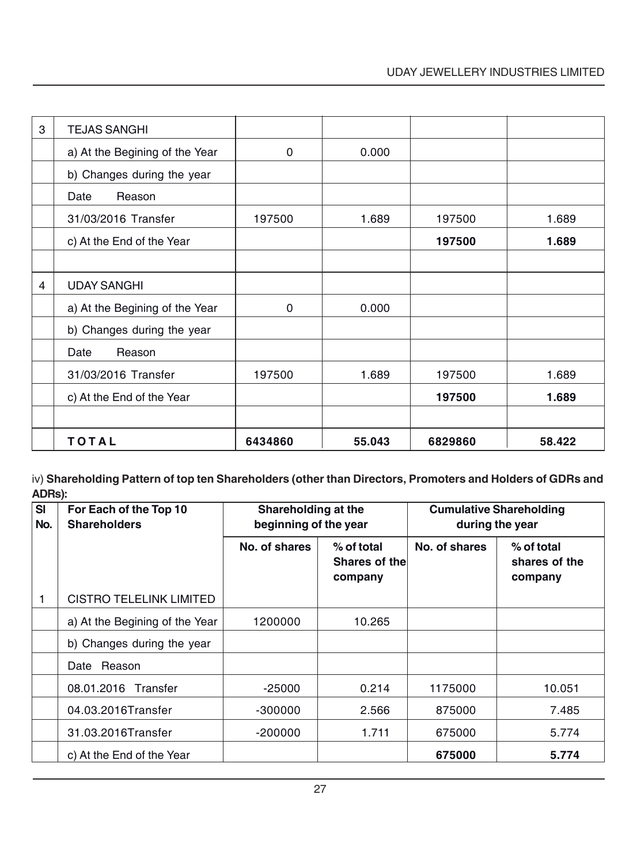| 3 | <b>TEJAS SANGHI</b>            |          |        |         |        |
|---|--------------------------------|----------|--------|---------|--------|
|   | a) At the Begining of the Year | $\Omega$ | 0.000  |         |        |
|   | b) Changes during the year     |          |        |         |        |
|   | Reason<br>Date                 |          |        |         |        |
|   | 31/03/2016 Transfer            | 197500   | 1.689  | 197500  | 1.689  |
|   | c) At the End of the Year      |          |        | 197500  | 1.689  |
|   |                                |          |        |         |        |
| 4 | <b>UDAY SANGHI</b>             |          |        |         |        |
|   | a) At the Begining of the Year | $\Omega$ | 0.000  |         |        |
|   | b) Changes during the year     |          |        |         |        |
|   | Reason<br>Date                 |          |        |         |        |
|   | 31/03/2016 Transfer            | 197500   | 1.689  | 197500  | 1.689  |
|   | c) At the End of the Year      |          |        | 197500  | 1.689  |
|   |                                |          |        |         |        |
|   | TOTAL                          | 6434860  | 55.043 | 6829860 | 58.422 |

iv) **Shareholding Pattern of top ten Shareholders (other than Directors, Promoters and Holders of GDRs and ADRs):**

| $\overline{\mathbf{S}}$<br>No. | For Each of the Top 10<br><b>Shareholders</b> | Shareholding at the<br>beginning of the year |                                        | <b>Cumulative Shareholding</b><br>during the year |                                        |  |
|--------------------------------|-----------------------------------------------|----------------------------------------------|----------------------------------------|---------------------------------------------------|----------------------------------------|--|
|                                |                                               | No. of shares                                | % of total<br>Shares of the<br>company | No. of shares                                     | % of total<br>shares of the<br>company |  |
| 1                              | <b>CISTRO TELELINK LIMITED</b>                |                                              |                                        |                                                   |                                        |  |
|                                | a) At the Begining of the Year                | 1200000                                      | 10.265                                 |                                                   |                                        |  |
|                                | b) Changes during the year                    |                                              |                                        |                                                   |                                        |  |
|                                | Reason<br>Date                                |                                              |                                        |                                                   |                                        |  |
|                                | 08.01.2016 Transfer                           | $-25000$                                     | 0.214                                  | 1175000                                           | 10.051                                 |  |
|                                | 04.03.2016Transfer                            | $-300000$                                    | 2.566                                  | 875000                                            | 7.485                                  |  |
|                                | 31.03.2016Transfer                            | $-200000$                                    | 1.711                                  | 675000                                            | 5.774                                  |  |
|                                | c) At the End of the Year                     |                                              |                                        | 675000                                            | 5.774                                  |  |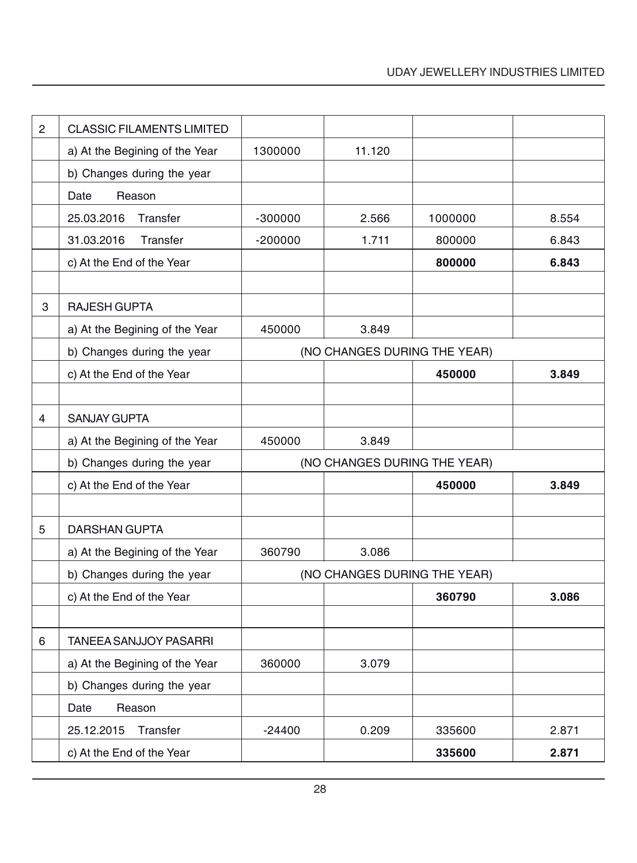| $\overline{c}$ | <b>CLASSIC FILAMENTS LIMITED</b> |           |                              |         |       |
|----------------|----------------------------------|-----------|------------------------------|---------|-------|
|                | a) At the Begining of the Year   | 1300000   | 11.120                       |         |       |
|                | b) Changes during the year       |           |                              |         |       |
|                | Date<br>Reason                   |           |                              |         |       |
|                | 25.03.2016<br>Transfer           | $-300000$ | 2.566                        | 1000000 | 8.554 |
|                | 31.03.2016<br>Transfer           | $-200000$ | 1.711                        | 800000  | 6.843 |
|                | c) At the End of the Year        |           |                              | 800000  | 6.843 |
|                |                                  |           |                              |         |       |
| 3              | <b>RAJESH GUPTA</b>              |           |                              |         |       |
|                | a) At the Begining of the Year   | 450000    | 3.849                        |         |       |
|                | b) Changes during the year       |           | (NO CHANGES DURING THE YEAR) |         |       |
|                | c) At the End of the Year        |           |                              | 450000  | 3.849 |
|                |                                  |           |                              |         |       |
| 4              | <b>SANJAY GUPTA</b>              |           |                              |         |       |
|                | a) At the Begining of the Year   | 450000    | 3.849                        |         |       |
|                | b) Changes during the year       |           | (NO CHANGES DURING THE YEAR) |         |       |
|                | c) At the End of the Year        |           |                              | 450000  | 3.849 |
|                |                                  |           |                              |         |       |
| 5              | <b>DARSHAN GUPTA</b>             |           |                              |         |       |
|                | a) At the Begining of the Year   | 360790    | 3.086                        |         |       |
|                | b) Changes during the year       |           | (NO CHANGES DURING THE YEAR) |         |       |
|                | c) At the End of the Year        |           |                              | 360790  | 3.086 |
|                |                                  |           |                              |         |       |
| 6              | <b>TANEEA SANJJOY PASARRI</b>    |           |                              |         |       |
|                | a) At the Begining of the Year   | 360000    | 3.079                        |         |       |
|                | b) Changes during the year       |           |                              |         |       |
|                | Date<br>Reason                   |           |                              |         |       |
|                | 25.12.2015<br>Transfer           | $-24400$  | 0.209                        | 335600  | 2.871 |
|                | c) At the End of the Year        |           |                              | 335600  | 2.871 |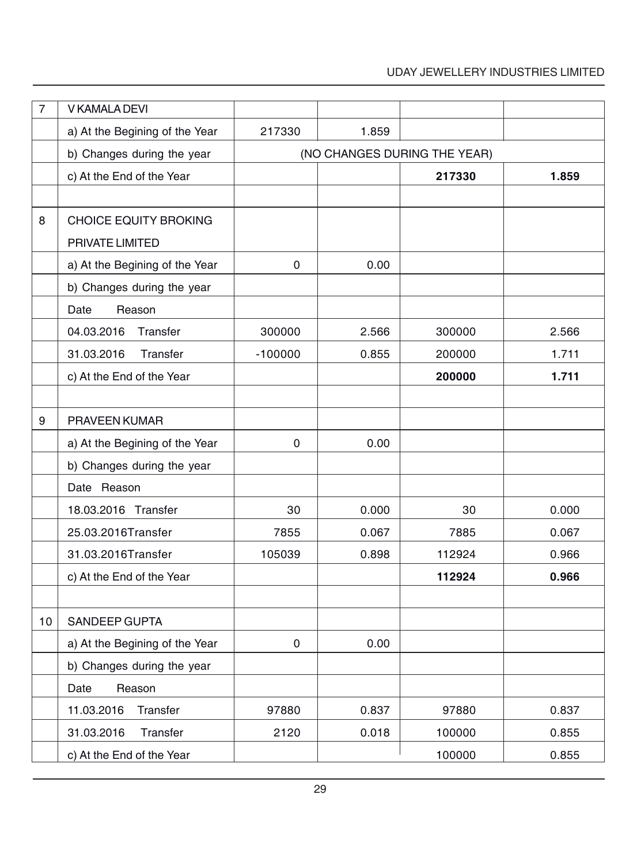# UDAY JEWELLERY INDUSTRIES LIMITED

| $\overline{7}$ | V KAMALA DEVI                  |           |                              |        |       |
|----------------|--------------------------------|-----------|------------------------------|--------|-------|
|                | a) At the Begining of the Year | 217330    | 1.859                        |        |       |
|                | b) Changes during the year     |           | (NO CHANGES DURING THE YEAR) |        |       |
|                | c) At the End of the Year      |           |                              | 217330 | 1.859 |
|                |                                |           |                              |        |       |
| 8              | <b>CHOICE EQUITY BROKING</b>   |           |                              |        |       |
|                | PRIVATE LIMITED                |           |                              |        |       |
|                | a) At the Begining of the Year | 0         | 0.00                         |        |       |
|                | b) Changes during the year     |           |                              |        |       |
|                | Reason<br>Date                 |           |                              |        |       |
|                | 04.03.2016<br>Transfer         | 300000    | 2.566                        | 300000 | 2.566 |
|                | Transfer<br>31.03.2016         | $-100000$ | 0.855                        | 200000 | 1.711 |
|                | c) At the End of the Year      |           |                              | 200000 | 1.711 |
|                |                                |           |                              |        |       |
| 9              | PRAVEEN KUMAR                  |           |                              |        |       |
|                | a) At the Begining of the Year | 0         | 0.00                         |        |       |
|                | b) Changes during the year     |           |                              |        |       |
|                | Date Reason                    |           |                              |        |       |
|                | 18.03.2016 Transfer            | 30        | 0.000                        | 30     | 0.000 |
|                | 25.03.2016Transfer             | 7855      | 0.067                        | 7885   | 0.067 |
|                | 31.03.2016Transfer             | 105039    | 0.898                        | 112924 | 0.966 |
|                | c) At the End of the Year      |           |                              | 112924 | 0.966 |
|                |                                |           |                              |        |       |
| 10             | SANDEEP GUPTA                  |           |                              |        |       |
|                | a) At the Begining of the Year | 0         | 0.00                         |        |       |
|                | b) Changes during the year     |           |                              |        |       |
|                | Date<br>Reason                 |           |                              |        |       |
|                | Transfer<br>11.03.2016         | 97880     | 0.837                        | 97880  | 0.837 |
|                | Transfer<br>31.03.2016         | 2120      | 0.018                        | 100000 | 0.855 |
|                | c) At the End of the Year      |           |                              | 100000 | 0.855 |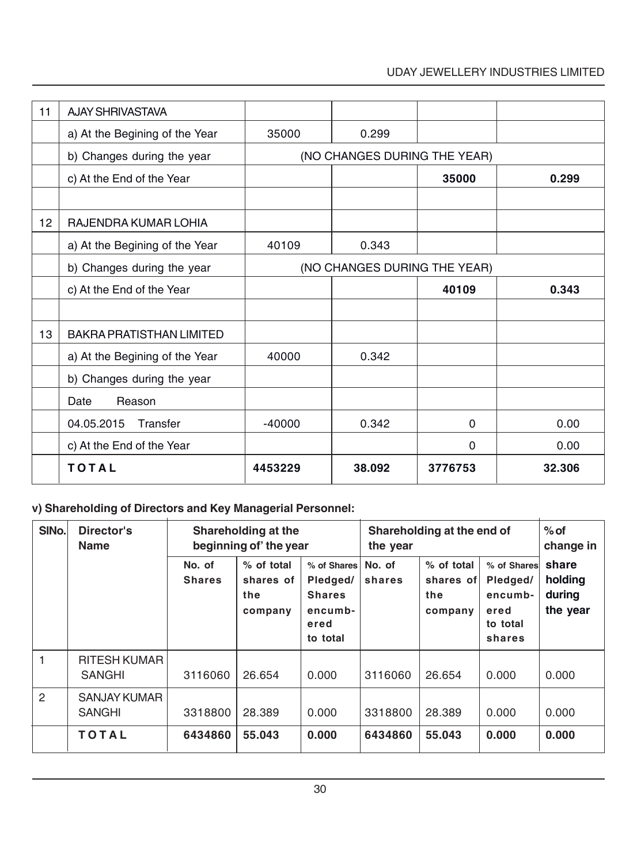# UDAY JEWELLERY INDUSTRIES LIMITED

| 11 | <b>AJAY SHRIVASTAVA</b>         |          |                              |              |        |
|----|---------------------------------|----------|------------------------------|--------------|--------|
|    | a) At the Begining of the Year  | 35000    | 0.299                        |              |        |
|    | b) Changes during the year      |          | (NO CHANGES DURING THE YEAR) |              |        |
|    | c) At the End of the Year       |          |                              | 35000        | 0.299  |
|    |                                 |          |                              |              |        |
| 12 | RAJENDRA KUMAR LOHIA            |          |                              |              |        |
|    | a) At the Begining of the Year  | 40109    | 0.343                        |              |        |
|    | b) Changes during the year      |          | (NO CHANGES DURING THE YEAR) |              |        |
|    | c) At the End of the Year       |          |                              | 40109        | 0.343  |
|    |                                 |          |                              |              |        |
| 13 | <b>BAKRA PRATISTHAN LIMITED</b> |          |                              |              |        |
|    | a) At the Begining of the Year  | 40000    | 0.342                        |              |        |
|    | b) Changes during the year      |          |                              |              |        |
|    | Reason<br>Date                  |          |                              |              |        |
|    | 04.05.2015<br>Transfer          | $-40000$ | 0.342                        | $\mathbf{0}$ | 0.00   |
|    | c) At the End of the Year       |          |                              | $\mathbf{0}$ | 0.00   |
|    | <b>TOTAL</b>                    | 4453229  | 38.092                       | 3776753      | 32.306 |

# **v) Shareholding of Directors and Key Managerial Personnel:**

| SINo.          | Director's<br><b>Name</b>            | Shareholding at the<br>beginning of' the year |                                           |                                                                         | the year         | Shareholding at the end of                |                                                                  | $%$ of<br>change in                    |
|----------------|--------------------------------------|-----------------------------------------------|-------------------------------------------|-------------------------------------------------------------------------|------------------|-------------------------------------------|------------------------------------------------------------------|----------------------------------------|
|                |                                      | No. of<br><b>Shares</b>                       | % of total<br>shares of<br>the<br>company | % of Shares<br>Pledged/<br><b>Shares</b><br>encumb-<br>ered<br>to total | No. of<br>shares | % of total<br>shares of<br>the<br>company | % of Shares<br>Pledged/<br>encumb-<br>ered<br>to total<br>shares | share<br>holding<br>during<br>the year |
|                | <b>RITESH KUMAR</b><br><b>SANGHI</b> | 3116060                                       | 26.654                                    | 0.000                                                                   | 3116060          | 26.654                                    | 0.000                                                            | 0.000                                  |
| $\overline{c}$ | <b>SANJAY KUMAR</b><br><b>SANGHI</b> | 3318800                                       | 28,389                                    | 0.000                                                                   | 3318800          | 28,389                                    | 0.000                                                            | 0.000                                  |
|                | <b>TOTAL</b>                         | 6434860                                       | 55.043                                    | 0.000                                                                   | 6434860          | 55.043                                    | 0.000                                                            | 0.000                                  |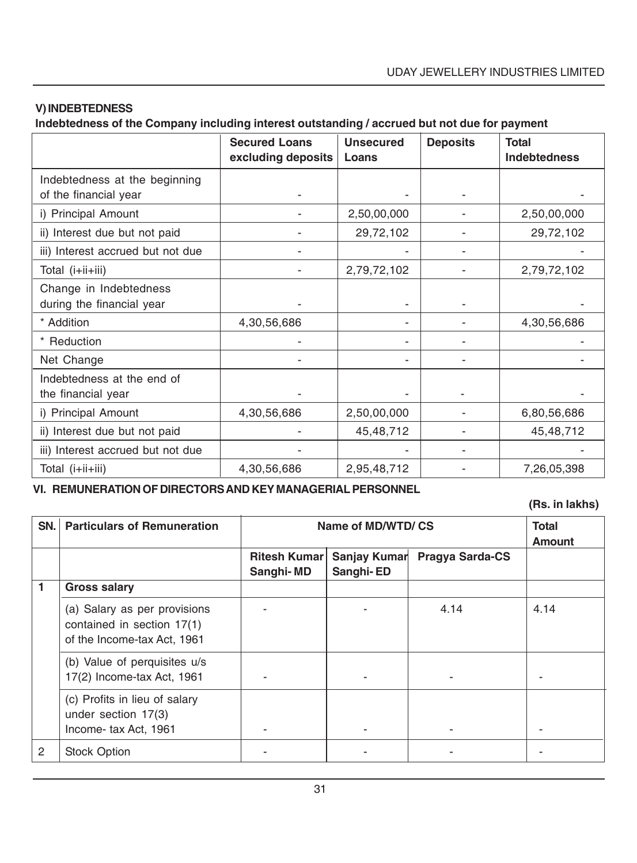# **V) INDEBTEDNESS**

**Indebtedness of the Company including interest outstanding / accrued but not due for payment**

|                                                        | <b>Secured Loans</b><br>excluding deposits | <b>Unsecured</b><br>Loans | <b>Deposits</b> | <b>Total</b><br><b>Indebtedness</b> |
|--------------------------------------------------------|--------------------------------------------|---------------------------|-----------------|-------------------------------------|
| Indebtedness at the beginning<br>of the financial year |                                            |                           |                 |                                     |
| i) Principal Amount                                    |                                            | 2,50,00,000               |                 | 2,50,00,000                         |
| ii) Interest due but not paid                          |                                            | 29,72,102                 |                 | 29,72,102                           |
| iii) Interest accrued but not due                      |                                            |                           |                 |                                     |
| Total (i+ii+iii)                                       |                                            | 2,79,72,102               |                 | 2,79,72,102                         |
| Change in Indebtedness<br>during the financial year    |                                            |                           |                 |                                     |
| * Addition                                             | 4,30,56,686                                |                           |                 | 4,30,56,686                         |
| * Reduction                                            |                                            |                           |                 |                                     |
| Net Change                                             |                                            |                           |                 |                                     |
| Indebtedness at the end of<br>the financial year       |                                            |                           |                 |                                     |
| i) Principal Amount                                    | 4,30,56,686                                | 2,50,00,000               |                 | 6,80,56,686                         |
| ii) Interest due but not paid                          |                                            | 45,48,712                 |                 | 45,48,712                           |
| iii) Interest accrued but not due                      |                                            |                           |                 |                                     |
| Total (i+ii+iii)                                       | 4,30,56,686                                | 2,95,48,712               |                 | 7,26,05,398                         |

**VI. REMUNERATION OF DIRECTORS AND KEY MANAGERIAL PERSONNEL**

**(Rs. in lakhs)**

| SN. | <b>Particulars of Remuneration</b>                                                        | Name of MD/WTD/CS   |              |                 | <b>Total</b><br><b>Amount</b> |
|-----|-------------------------------------------------------------------------------------------|---------------------|--------------|-----------------|-------------------------------|
|     |                                                                                           | <b>Ritesh Kumar</b> | Sanjay Kumar | Pragya Sarda-CS |                               |
|     |                                                                                           | Sanghi-MD           | Sanghi-ED    |                 |                               |
|     | <b>Gross salary</b>                                                                       |                     |              |                 |                               |
|     | (a) Salary as per provisions<br>contained in section 17(1)<br>of the Income-tax Act, 1961 |                     |              | 4.14            | 4.14                          |
|     | (b) Value of perquisites u/s<br>17(2) Income-tax Act, 1961                                |                     |              |                 |                               |
|     | (c) Profits in lieu of salary<br>under section $17(3)$<br>Income-tax Act, 1961            |                     |              |                 |                               |
| 2   | <b>Stock Option</b>                                                                       |                     |              |                 |                               |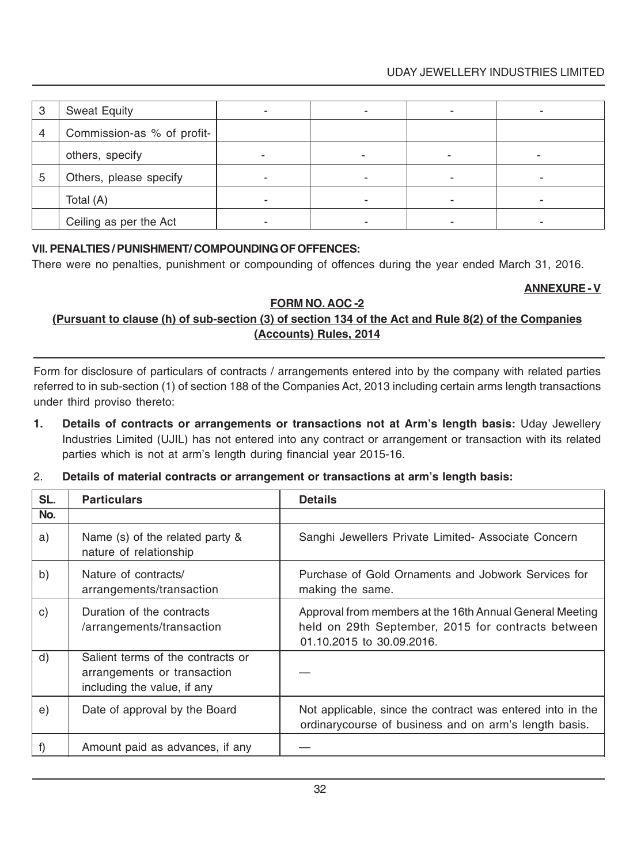# UDAY JEWELLERY INDUSTRIES LIMITED

| 3 | <b>Sweat Equity</b>        |  |   |  |
|---|----------------------------|--|---|--|
| 4 | Commission-as % of profit- |  |   |  |
|   | others, specify            |  | ۰ |  |
| 5 | Others, please specify     |  |   |  |
|   | Total (A)                  |  |   |  |
|   | Ceiling as per the Act     |  |   |  |

#### **VII. PENALTIES / PUNISHMENT/ COMPOUNDING OF OFFENCES:**

There were no penalties, punishment or compounding of offences during the year ended March 31, 2016.

#### **ANNEXURE - V**

# **FORM NO. AOC -2**

# **(Pursuant to clause (h) of sub-section (3) of section 134 of the Act and Rule 8(2) of the Companies (Accounts) Rules, 2014**

Form for disclosure of particulars of contracts / arrangements entered into by the company with related parties referred to in sub-section (1) of section 188 of the Companies Act, 2013 including certain arms length transactions under third proviso thereto:

- **1. Details of contracts or arrangements or transactions not at Arm's length basis:** Uday Jewellery Industries Limited (UJIL) has not entered into any contract or arrangement or transaction with its related parties which is not at arm's length during financial year 2015-16.
- 2. **Details of material contracts or arrangement or transactions at arm's length basis:**

| SL. | <b>Particulars</b>                                                                              | <b>Details</b>                                                                                                                              |
|-----|-------------------------------------------------------------------------------------------------|---------------------------------------------------------------------------------------------------------------------------------------------|
| No. |                                                                                                 |                                                                                                                                             |
| a)  | Name (s) of the related party &<br>nature of relationship                                       | Sanghi Jewellers Private Limited- Associate Concern                                                                                         |
| b)  | Nature of contracts/<br>arrangements/transaction                                                | Purchase of Gold Ornaments and Jobwork Services for<br>making the same.                                                                     |
| c)  | Duration of the contracts<br>/arrangements/transaction                                          | Approval from members at the 16th Annual General Meeting<br>held on 29th September, 2015 for contracts between<br>01.10.2015 to 30.09.2016. |
| d)  | Salient terms of the contracts or<br>arrangements or transaction<br>including the value, if any |                                                                                                                                             |
| e)  | Date of approval by the Board                                                                   | Not applicable, since the contract was entered into in the<br>ordinarycourse of business and on arm's length basis.                         |
|     | Amount paid as advances, if any                                                                 |                                                                                                                                             |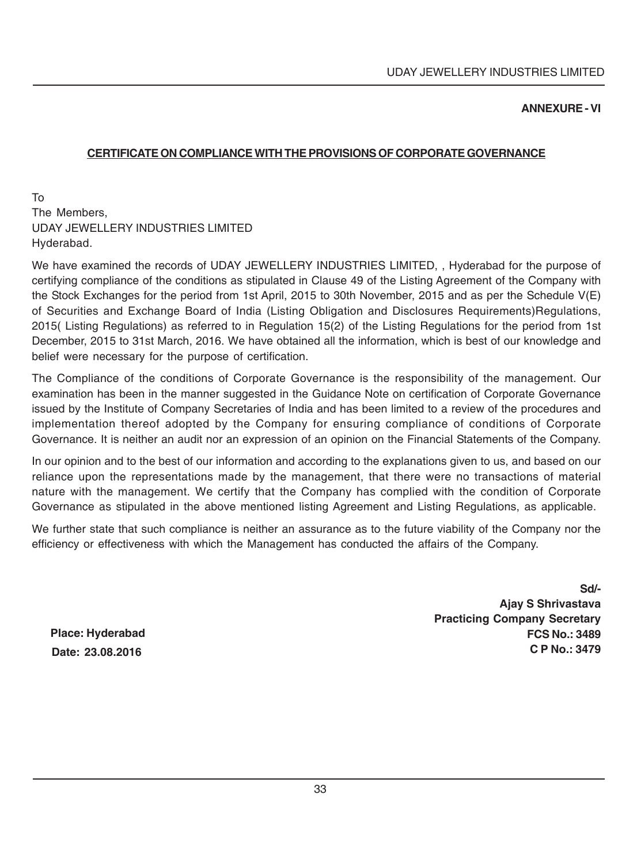#### **ANNEXURE - VI**

#### **CERTIFICATE ON COMPLIANCE WITH THE PROVISIONS OF CORPORATE GOVERNANCE**

To The Members, UDAY JEWELLERY INDUSTRIES LIMITED Hyderabad.

We have examined the records of UDAY JEWELLERY INDUSTRIES LIMITED, , Hyderabad for the purpose of certifying compliance of the conditions as stipulated in Clause 49 of the Listing Agreement of the Company with the Stock Exchanges for the period from 1st April, 2015 to 30th November, 2015 and as per the Schedule V(E) of Securities and Exchange Board of India (Listing Obligation and Disclosures Requirements)Regulations, 2015( Listing Regulations) as referred to in Regulation 15(2) of the Listing Regulations for the period from 1st December, 2015 to 31st March, 2016. We have obtained all the information, which is best of our knowledge and belief were necessary for the purpose of certification.

The Compliance of the conditions of Corporate Governance is the responsibility of the management. Our examination has been in the manner suggested in the Guidance Note on certification of Corporate Governance issued by the Institute of Company Secretaries of India and has been limited to a review of the procedures and implementation thereof adopted by the Company for ensuring compliance of conditions of Corporate Governance. It is neither an audit nor an expression of an opinion on the Financial Statements of the Company.

In our opinion and to the best of our information and according to the explanations given to us, and based on our reliance upon the representations made by the management, that there were no transactions of material nature with the management. We certify that the Company has complied with the condition of Corporate Governance as stipulated in the above mentioned listing Agreement and Listing Regulations, as applicable.

We further state that such compliance is neither an assurance as to the future viability of the Company nor the efficiency or effectiveness with which the Management has conducted the affairs of the Company.

> **Sd/- Ajay S Shrivastava Practicing Company Secretary FCS No.: 3489 C P No.: 3479**

**Place: Hyderabad Date: 23.08.2016**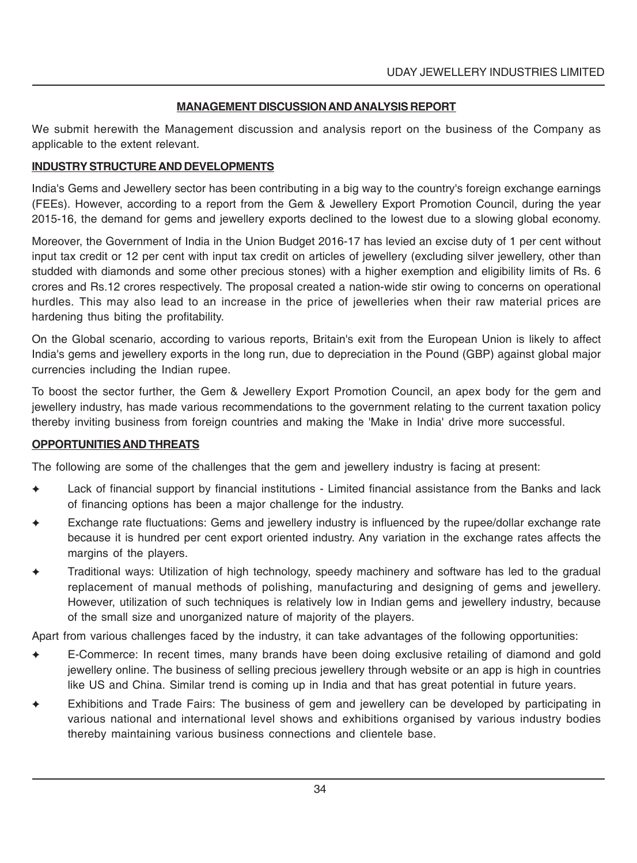#### **MANAGEMENT DISCUSSION AND ANALYSIS REPORT**

We submit herewith the Management discussion and analysis report on the business of the Company as applicable to the extent relevant.

#### **INDUSTRY STRUCTURE AND DEVELOPMENTS**

India's Gems and Jewellery sector has been contributing in a big way to the country's foreign exchange earnings (FEEs). However, according to a report from the Gem & Jewellery Export Promotion Council, during the year 2015-16, the demand for gems and jewellery exports declined to the lowest due to a slowing global economy.

Moreover, the Government of India in the Union Budget 2016-17 has levied an excise duty of 1 per cent without input tax credit or 12 per cent with input tax credit on articles of jewellery (excluding silver jewellery, other than studded with diamonds and some other precious stones) with a higher exemption and eligibility limits of Rs. 6 crores and Rs.12 crores respectively. The proposal created a nation-wide stir owing to concerns on operational hurdles. This may also lead to an increase in the price of jewelleries when their raw material prices are hardening thus biting the profitability.

On the Global scenario, according to various reports, Britain's exit from the European Union is likely to affect India's gems and jewellery exports in the long run, due to depreciation in the Pound (GBP) against global major currencies including the Indian rupee.

To boost the sector further, the Gem & Jewellery Export Promotion Council, an apex body for the gem and jewellery industry, has made various recommendations to the government relating to the current taxation policy thereby inviting business from foreign countries and making the 'Make in India' drive more successful.

#### **OPPORTUNITIES AND THREATS**

The following are some of the challenges that the gem and jewellery industry is facing at present:

- Lack of financial support by financial institutions Limited financial assistance from the Banks and lack of financing options has been a major challenge for the industry.
- Exchange rate fluctuations: Gems and jewellery industry is influenced by the rupee/dollar exchange rate because it is hundred per cent export oriented industry. Any variation in the exchange rates affects the margins of the players.
- ✦ Traditional ways: Utilization of high technology, speedy machinery and software has led to the gradual replacement of manual methods of polishing, manufacturing and designing of gems and jewellery. However, utilization of such techniques is relatively low in Indian gems and jewellery industry, because of the small size and unorganized nature of majority of the players.

Apart from various challenges faced by the industry, it can take advantages of the following opportunities:

- ✦ E-Commerce: In recent times, many brands have been doing exclusive retailing of diamond and gold jewellery online. The business of selling precious jewellery through website or an app is high in countries like US and China. Similar trend is coming up in India and that has great potential in future years.
- Exhibitions and Trade Fairs: The business of gem and jewellery can be developed by participating in various national and international level shows and exhibitions organised by various industry bodies thereby maintaining various business connections and clientele base.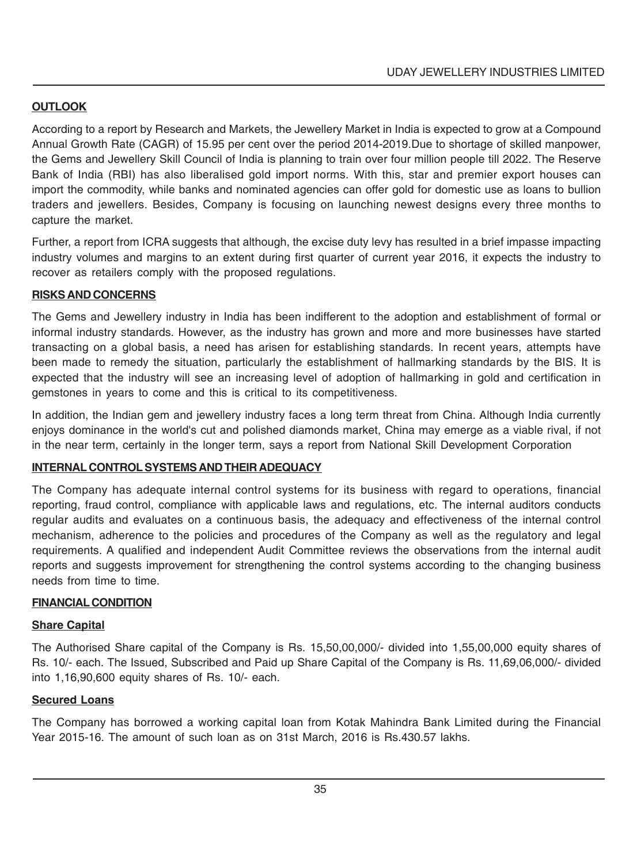### **OUTLOOK**

According to a report by Research and Markets, the Jewellery Market in India is expected to grow at a Compound Annual Growth Rate (CAGR) of 15.95 per cent over the period 2014-2019.Due to shortage of skilled manpower, the Gems and Jewellery Skill Council of India is planning to train over four million people till 2022. The Reserve Bank of India (RBI) has also liberalised gold import norms. With this, star and premier export houses can import the commodity, while banks and nominated agencies can offer gold for domestic use as loans to bullion traders and jewellers. Besides, Company is focusing on launching newest designs every three months to capture the market.

Further, a report from ICRA suggests that although, the excise duty levy has resulted in a brief impasse impacting industry volumes and margins to an extent during first quarter of current year 2016, it expects the industry to recover as retailers comply with the proposed regulations.

### **RISKS AND CONCERNS**

The Gems and Jewellery industry in India has been indifferent to the adoption and establishment of formal or informal industry standards. However, as the industry has grown and more and more businesses have started transacting on a global basis, a need has arisen for establishing standards. In recent years, attempts have been made to remedy the situation, particularly the establishment of hallmarking standards by the BIS. It is expected that the industry will see an increasing level of adoption of hallmarking in gold and certification in gemstones in years to come and this is critical to its competitiveness.

In addition, the Indian gem and jewellery industry faces a long term threat from China. Although India currently enjoys dominance in the world's cut and polished diamonds market, China may emerge as a viable rival, if not in the near term, certainly in the longer term, says a report from National Skill Development Corporation

### **INTERNAL CONTROL SYSTEMS AND THEIR ADEQUACY**

The Company has adequate internal control systems for its business with regard to operations, financial reporting, fraud control, compliance with applicable laws and regulations, etc. The internal auditors conducts regular audits and evaluates on a continuous basis, the adequacy and effectiveness of the internal control mechanism, adherence to the policies and procedures of the Company as well as the regulatory and legal requirements. A qualified and independent Audit Committee reviews the observations from the internal audit reports and suggests improvement for strengthening the control systems according to the changing business needs from time to time.

### **FINANCIAL CONDITION**

### **Share Capital**

The Authorised Share capital of the Company is Rs. 15,50,00,000/- divided into 1,55,00,000 equity shares of Rs. 10/- each. The Issued, Subscribed and Paid up Share Capital of the Company is Rs. 11,69,06,000/- divided into 1,16,90,600 equity shares of Rs. 10/- each.

### **Secured Loans**

The Company has borrowed a working capital loan from Kotak Mahindra Bank Limited during the Financial Year 2015-16. The amount of such loan as on 31st March, 2016 is Rs.430.57 lakhs.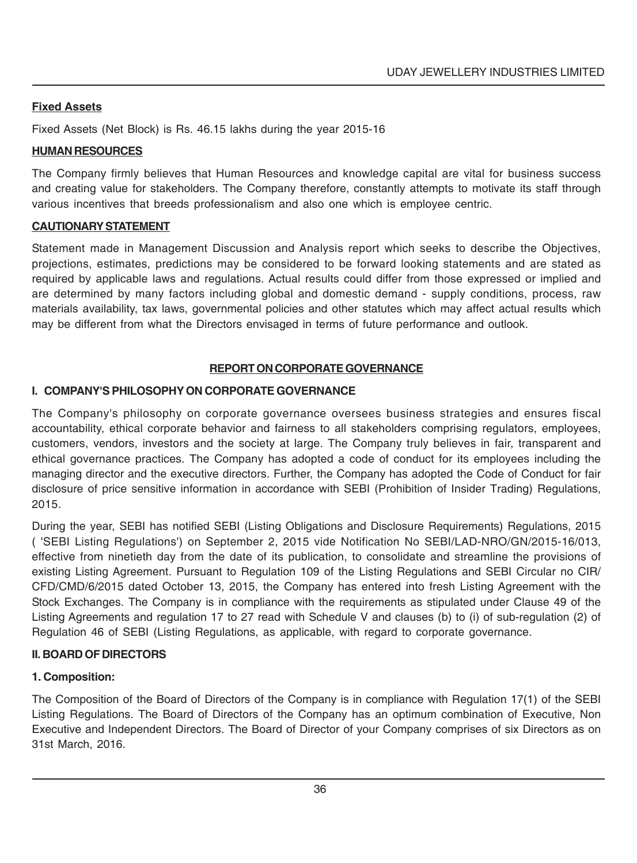### **Fixed Assets**

Fixed Assets (Net Block) is Rs. 46.15 lakhs during the year 2015-16

### **HUMAN RESOURCES**

The Company firmly believes that Human Resources and knowledge capital are vital for business success and creating value for stakeholders. The Company therefore, constantly attempts to motivate its staff through various incentives that breeds professionalism and also one which is employee centric.

### **CAUTIONARY STATEMENT**

Statement made in Management Discussion and Analysis report which seeks to describe the Objectives, projections, estimates, predictions may be considered to be forward looking statements and are stated as required by applicable laws and regulations. Actual results could differ from those expressed or implied and are determined by many factors including global and domestic demand - supply conditions, process, raw materials availability, tax laws, governmental policies and other statutes which may affect actual results which may be different from what the Directors envisaged in terms of future performance and outlook.

### **REPORT ON CORPORATE GOVERNANCE**

### **I. COMPANY'S PHILOSOPHY ON CORPORATE GOVERNANCE**

The Company's philosophy on corporate governance oversees business strategies and ensures fiscal accountability, ethical corporate behavior and fairness to all stakeholders comprising regulators, employees, customers, vendors, investors and the society at large. The Company truly believes in fair, transparent and ethical governance practices. The Company has adopted a code of conduct for its employees including the managing director and the executive directors. Further, the Company has adopted the Code of Conduct for fair disclosure of price sensitive information in accordance with SEBI (Prohibition of Insider Trading) Regulations, 2015.

During the year, SEBI has notified SEBI (Listing Obligations and Disclosure Requirements) Regulations, 2015 ( 'SEBI Listing Regulations') on September 2, 2015 vide Notification No SEBI/LAD-NRO/GN/2015-16/013, effective from ninetieth day from the date of its publication, to consolidate and streamline the provisions of existing Listing Agreement. Pursuant to Regulation 109 of the Listing Regulations and SEBI Circular no CIR/ CFD/CMD/6/2015 dated October 13, 2015, the Company has entered into fresh Listing Agreement with the Stock Exchanges. The Company is in compliance with the requirements as stipulated under Clause 49 of the Listing Agreements and regulation 17 to 27 read with Schedule V and clauses (b) to (i) of sub-regulation (2) of Regulation 46 of SEBI (Listing Regulations, as applicable, with regard to corporate governance.

### **II. BOARD OF DIRECTORS**

### **1. Composition:**

The Composition of the Board of Directors of the Company is in compliance with Regulation 17(1) of the SEBI Listing Regulations. The Board of Directors of the Company has an optimum combination of Executive, Non Executive and Independent Directors. The Board of Director of your Company comprises of six Directors as on 31st March, 2016.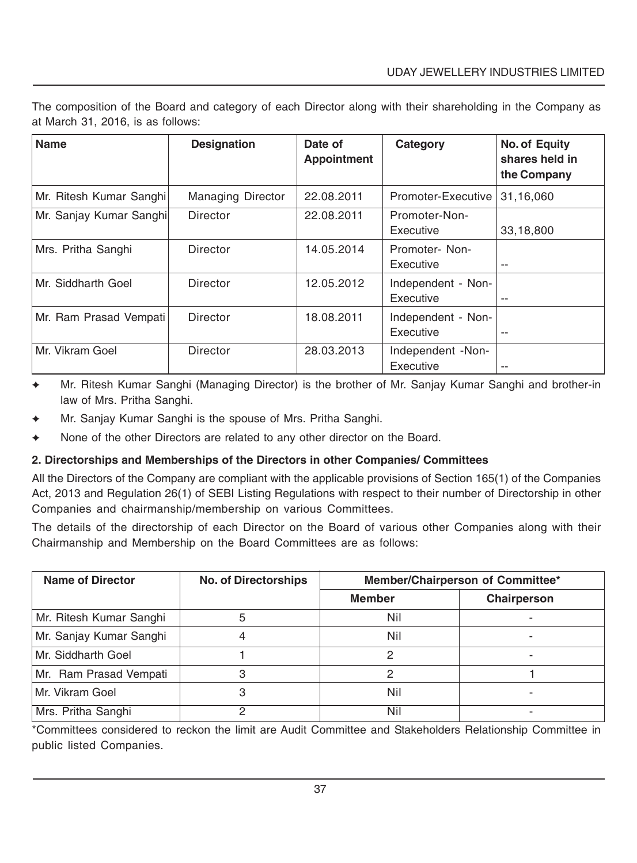The composition of the Board and category of each Director along with their shareholding in the Company as at March 31, 2016, is as follows:

| <b>Name</b>             | <b>Designation</b>       | Date of<br><b>Appointment</b> | Category                        | No. of Equity<br>shares held in<br>the Company |
|-------------------------|--------------------------|-------------------------------|---------------------------------|------------------------------------------------|
| Mr. Ritesh Kumar Sanghi | <b>Managing Director</b> | 22.08.2011                    | Promoter-Executive              | 31,16,060                                      |
| Mr. Sanjay Kumar Sanghi | Director                 | 22.08.2011                    | Promoter-Non-<br>Executive      | 33,18,800                                      |
| Mrs. Pritha Sanghi      | Director                 | 14.05.2014                    | Promoter-Non-<br>Executive      | --                                             |
| Mr. Siddharth Goel      | Director                 | 12.05.2012                    | Independent - Non-<br>Executive | $-$                                            |
| Mr. Ram Prasad Vempati  | Director                 | 18.08.2011                    | Independent - Non-<br>Executive | $-$                                            |
| Mr. Vikram Goel         | Director                 | 28.03.2013                    | Independent -Non-<br>Executive  | --                                             |

- Mr. Ritesh Kumar Sanghi (Managing Director) is the brother of Mr. Sanjay Kumar Sanghi and brother-in law of Mrs. Pritha Sanghi.
- Mr. Sanjay Kumar Sanghi is the spouse of Mrs. Pritha Sanghi.
- None of the other Directors are related to any other director on the Board.

### **2. Directorships and Memberships of the Directors in other Companies/ Committees**

All the Directors of the Company are compliant with the applicable provisions of Section 165(1) of the Companies Act, 2013 and Regulation 26(1) of SEBI Listing Regulations with respect to their number of Directorship in other Companies and chairmanship/membership on various Committees.

The details of the directorship of each Director on the Board of various other Companies along with their Chairmanship and Membership on the Board Committees are as follows:

| Name of Director        | <b>No. of Directorships</b> | Member/Chairperson of Committee* |             |
|-------------------------|-----------------------------|----------------------------------|-------------|
|                         |                             | <b>Member</b>                    | Chairperson |
| Mr. Ritesh Kumar Sanghi | 5                           | Nil                              |             |
| Mr. Sanjay Kumar Sanghi |                             | Nil                              |             |
| Mr. Siddharth Goel      |                             |                                  |             |
| Mr. Ram Prasad Vempati  |                             |                                  |             |
| Mr. Vikram Goel         |                             | Nil                              |             |
| Mrs. Pritha Sanghi      |                             | Nil                              |             |

\*Committees considered to reckon the limit are Audit Committee and Stakeholders Relationship Committee in public listed Companies.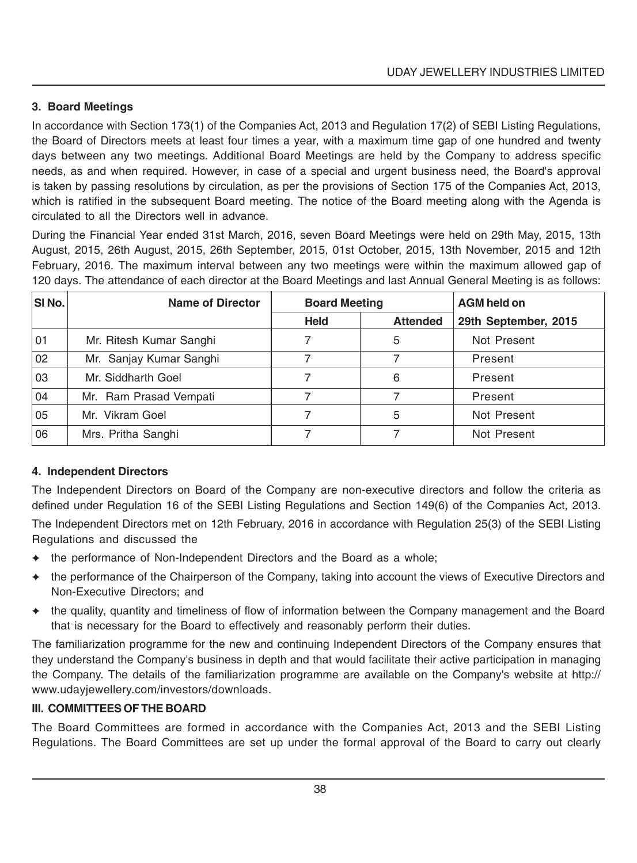### **3. Board Meetings**

In accordance with Section 173(1) of the Companies Act, 2013 and Regulation 17(2) of SEBI Listing Regulations, the Board of Directors meets at least four times a year, with a maximum time gap of one hundred and twenty days between any two meetings. Additional Board Meetings are held by the Company to address specific needs, as and when required. However, in case of a special and urgent business need, the Board's approval is taken by passing resolutions by circulation, as per the provisions of Section 175 of the Companies Act, 2013, which is ratified in the subsequent Board meeting. The notice of the Board meeting along with the Agenda is circulated to all the Directors well in advance.

During the Financial Year ended 31st March, 2016, seven Board Meetings were held on 29th May, 2015, 13th August, 2015, 26th August, 2015, 26th September, 2015, 01st October, 2015, 13th November, 2015 and 12th February, 2016. The maximum interval between any two meetings were within the maximum allowed gap of 120 days. The attendance of each director at the Board Meetings and last Annual General Meeting is as follows:

| SI No. | <b>Name of Director</b> | <b>Board Meeting</b> |                 | <b>AGM held on</b>   |
|--------|-------------------------|----------------------|-----------------|----------------------|
|        |                         | <b>Held</b>          | <b>Attended</b> | 29th September, 2015 |
| 01     | Mr. Ritesh Kumar Sanghi |                      | 5               | Not Present          |
| 02     | Mr. Sanjay Kumar Sanghi |                      |                 | Present              |
| 03     | Mr. Siddharth Goel      |                      | 6               | Present              |
| 04     | Mr. Ram Prasad Vempati  |                      |                 | Present              |
| 05     | Mr. Vikram Goel         |                      | 5               | Not Present          |
| 06     | Mrs. Pritha Sanghi      |                      |                 | Not Present          |

### **4. Independent Directors**

The Independent Directors on Board of the Company are non-executive directors and follow the criteria as defined under Regulation 16 of the SEBI Listing Regulations and Section 149(6) of the Companies Act, 2013.

The Independent Directors met on 12th February, 2016 in accordance with Regulation 25(3) of the SEBI Listing Regulations and discussed the

- ✦ the performance of Non-Independent Directors and the Board as a whole;
- ✦ the performance of the Chairperson of the Company, taking into account the views of Executive Directors and Non-Executive Directors; and
- ✦ the quality, quantity and timeliness of flow of information between the Company management and the Board that is necessary for the Board to effectively and reasonably perform their duties.

The familiarization programme for the new and continuing Independent Directors of the Company ensures that they understand the Company's business in depth and that would facilitate their active participation in managing the Company. The details of the familiarization programme are available on the Company's website at http:// www.udayjewellery.com/investors/downloads.

### **III. COMMITTEES OF THE BOARD**

The Board Committees are formed in accordance with the Companies Act, 2013 and the SEBI Listing Regulations. The Board Committees are set up under the formal approval of the Board to carry out clearly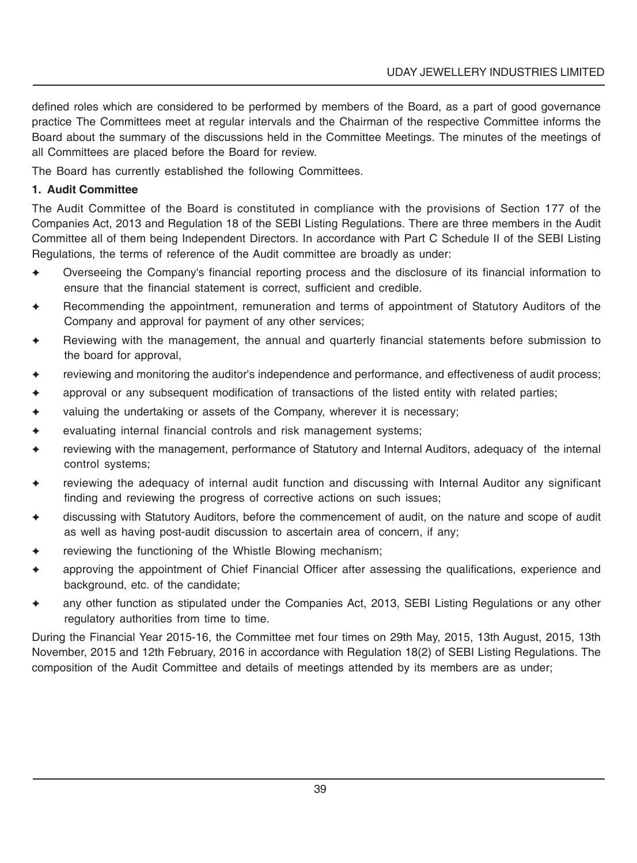defined roles which are considered to be performed by members of the Board, as a part of good governance practice The Committees meet at regular intervals and the Chairman of the respective Committee informs the Board about the summary of the discussions held in the Committee Meetings. The minutes of the meetings of all Committees are placed before the Board for review.

The Board has currently established the following Committees.

### **1. Audit Committee**

The Audit Committee of the Board is constituted in compliance with the provisions of Section 177 of the Companies Act, 2013 and Regulation 18 of the SEBI Listing Regulations. There are three members in the Audit Committee all of them being Independent Directors. In accordance with Part C Schedule II of the SEBI Listing Regulations, the terms of reference of the Audit committee are broadly as under:

- ✦ Overseeing the Company's financial reporting process and the disclosure of its financial information to ensure that the financial statement is correct, sufficient and credible.
- ✦ Recommending the appointment, remuneration and terms of appointment of Statutory Auditors of the Company and approval for payment of any other services;
- Reviewing with the management, the annual and quarterly financial statements before submission to the board for approval,
- ✦ reviewing and monitoring the auditor's independence and performance, and effectiveness of audit process;
- ✦ approval or any subsequent modification of transactions of the listed entity with related parties;
- $\triangleleft$  valuing the undertaking or assets of the Company, wherever it is necessary;
- ✦ evaluating internal financial controls and risk management systems;
- ✦ reviewing with the management, performance of Statutory and Internal Auditors, adequacy of the internal control systems;
- reviewing the adequacy of internal audit function and discussing with Internal Auditor any significant finding and reviewing the progress of corrective actions on such issues;
- discussing with Statutory Auditors, before the commencement of audit, on the nature and scope of audit as well as having post-audit discussion to ascertain area of concern, if any;
- reviewing the functioning of the Whistle Blowing mechanism;
- ✦ approving the appointment of Chief Financial Officer after assessing the qualifications, experience and background, etc. of the candidate;
- any other function as stipulated under the Companies Act, 2013, SEBI Listing Regulations or any other regulatory authorities from time to time.

During the Financial Year 2015-16, the Committee met four times on 29th May, 2015, 13th August, 2015, 13th November, 2015 and 12th February, 2016 in accordance with Regulation 18(2) of SEBI Listing Regulations. The composition of the Audit Committee and details of meetings attended by its members are as under;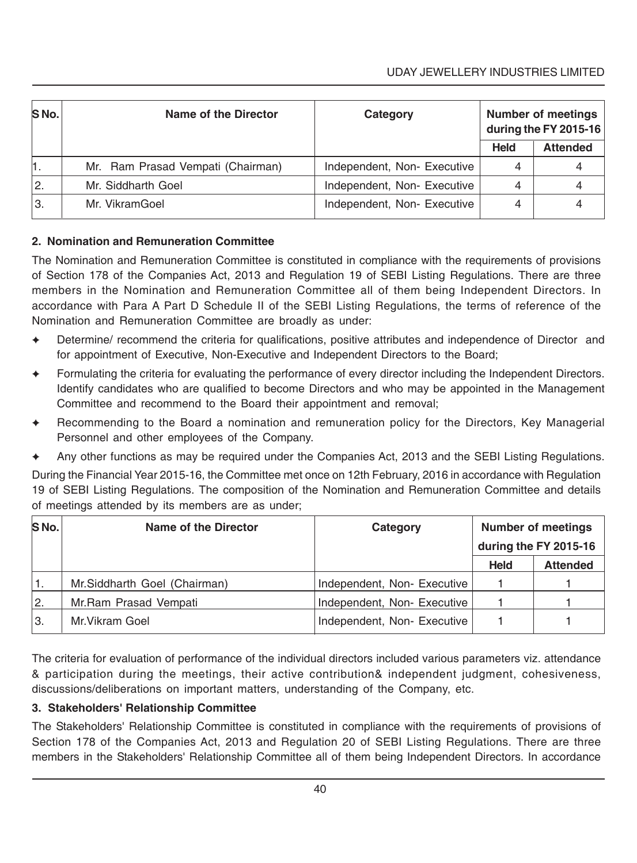| S No. | Name of the Director              | Category                   |             | <b>Number of meetings</b><br>during the FY 2015-16 |
|-------|-----------------------------------|----------------------------|-------------|----------------------------------------------------|
|       |                                   |                            | <b>Held</b> | <b>Attended</b>                                    |
| 1.    | Mr. Ram Prasad Vempati (Chairman) | Independent, Non-Executive |             |                                                    |
| 2.    | Mr. Siddharth Goel                | Independent, Non-Executive | 4           |                                                    |
| Ιз.   | Mr. VikramGoel                    | Independent, Non-Executive |             |                                                    |

### **2. Nomination and Remuneration Committee**

The Nomination and Remuneration Committee is constituted in compliance with the requirements of provisions of Section 178 of the Companies Act, 2013 and Regulation 19 of SEBI Listing Regulations. There are three members in the Nomination and Remuneration Committee all of them being Independent Directors. In accordance with Para A Part D Schedule II of the SEBI Listing Regulations, the terms of reference of the Nomination and Remuneration Committee are broadly as under:

- Determine/ recommend the criteria for qualifications, positive attributes and independence of Director and for appointment of Executive, Non-Executive and Independent Directors to the Board;
- Formulating the criteria for evaluating the performance of every director including the Independent Directors. Identify candidates who are qualified to become Directors and who may be appointed in the Management Committee and recommend to the Board their appointment and removal;
- Recommending to the Board a nomination and remuneration policy for the Directors, Key Managerial Personnel and other employees of the Company.
- ✦ Any other functions as may be required under the Companies Act, 2013 and the SEBI Listing Regulations.

During the Financial Year 2015-16, the Committee met once on 12th February, 2016 in accordance with Regulation 19 of SEBI Listing Regulations. The composition of the Nomination and Remuneration Committee and details of meetings attended by its members are as under;

| S No. | Name of the Director         | Category                   |             | <b>Number of meetings</b> |
|-------|------------------------------|----------------------------|-------------|---------------------------|
|       |                              |                            |             | during the FY 2015-16     |
|       |                              |                            | <b>Held</b> | <b>Attended</b>           |
|       | Mr.Siddharth Goel (Chairman) | Independent, Non-Executive |             |                           |
| 12.   | Mr.Ram Prasad Vempati        | Independent, Non-Executive |             |                           |
| ۱з.   | Mr. Vikram Goel              | Independent, Non-Executive |             |                           |

The criteria for evaluation of performance of the individual directors included various parameters viz. attendance & participation during the meetings, their active contribution& independent judgment, cohesiveness, discussions/deliberations on important matters, understanding of the Company, etc.

### **3. Stakeholders' Relationship Committee**

The Stakeholders' Relationship Committee is constituted in compliance with the requirements of provisions of Section 178 of the Companies Act, 2013 and Regulation 20 of SEBI Listing Regulations. There are three members in the Stakeholders' Relationship Committee all of them being Independent Directors. In accordance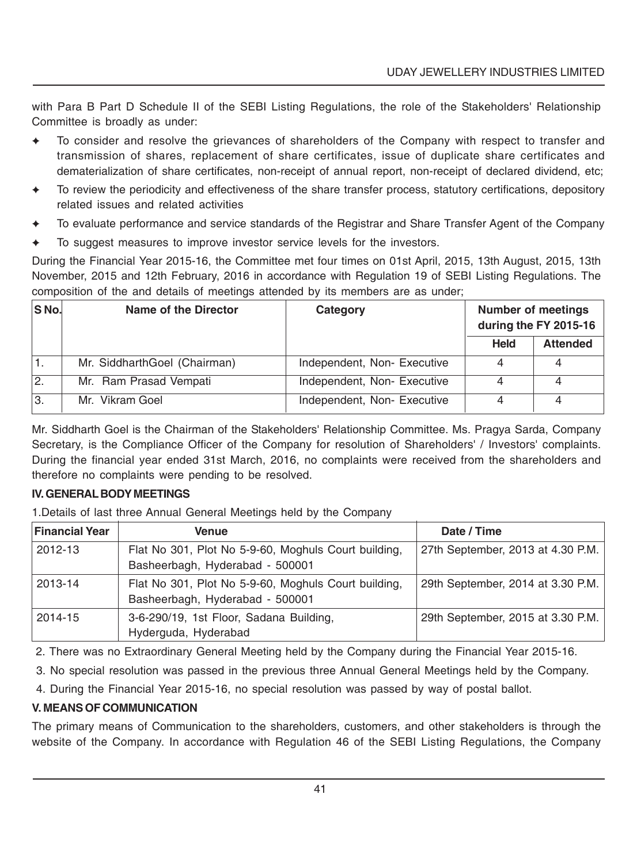with Para B Part D Schedule II of the SEBI Listing Regulations, the role of the Stakeholders' Relationship Committee is broadly as under:

- To consider and resolve the grievances of shareholders of the Company with respect to transfer and transmission of shares, replacement of share certificates, issue of duplicate share certificates and dematerialization of share certificates, non-receipt of annual report, non-receipt of declared dividend, etc;
- ✦ To review the periodicity and effectiveness of the share transfer process, statutory certifications, depository related issues and related activities
- ✦ To evaluate performance and service standards of the Registrar and Share Transfer Agent of the Company
- To suggest measures to improve investor service levels for the investors.

During the Financial Year 2015-16, the Committee met four times on 01st April, 2015, 13th August, 2015, 13th November, 2015 and 12th February, 2016 in accordance with Regulation 19 of SEBI Listing Regulations. The composition of the and details of meetings attended by its members are as under;

| <b>SNo.</b> | Name of the Director         | Category                   | <b>Number of meetings</b><br>during the FY 2015-16 |                 |
|-------------|------------------------------|----------------------------|----------------------------------------------------|-----------------|
|             |                              |                            | <b>Held</b>                                        | <b>Attended</b> |
|             | Mr. SiddharthGoel (Chairman) | Independent, Non-Executive |                                                    |                 |
| I2.         | Mr. Ram Prasad Vempati       | Independent, Non-Executive |                                                    |                 |
| IЗ.         | Mr. Vikram Goel              | Independent, Non-Executive |                                                    |                 |

Mr. Siddharth Goel is the Chairman of the Stakeholders' Relationship Committee. Ms. Pragya Sarda, Company Secretary, is the Compliance Officer of the Company for resolution of Shareholders' / Investors' complaints. During the financial year ended 31st March, 2016, no complaints were received from the shareholders and therefore no complaints were pending to be resolved.

### **IV. GENERAL BODY MEETINGS**

1.Details of last three Annual General Meetings held by the Company

| <b>Financial Year</b> | <b>Venue</b>                                                                            | Date / Time                       |
|-----------------------|-----------------------------------------------------------------------------------------|-----------------------------------|
| 2012-13               | Flat No 301, Plot No 5-9-60, Moghuls Court building,<br>Basheerbagh, Hyderabad - 500001 | 27th September, 2013 at 4.30 P.M. |
| 2013-14               | Flat No 301, Plot No 5-9-60, Moghuls Court building,<br>Basheerbagh, Hyderabad - 500001 | 29th September, 2014 at 3.30 P.M. |
| 2014-15               | 3-6-290/19, 1st Floor, Sadana Building,<br>Hyderguda, Hyderabad                         | 29th September, 2015 at 3.30 P.M. |

2. There was no Extraordinary General Meeting held by the Company during the Financial Year 2015-16.

3. No special resolution was passed in the previous three Annual General Meetings held by the Company.

4. During the Financial Year 2015-16, no special resolution was passed by way of postal ballot.

### **V. MEANS OF COMMUNICATION**

The primary means of Communication to the shareholders, customers, and other stakeholders is through the website of the Company. In accordance with Regulation 46 of the SEBI Listing Regulations, the Company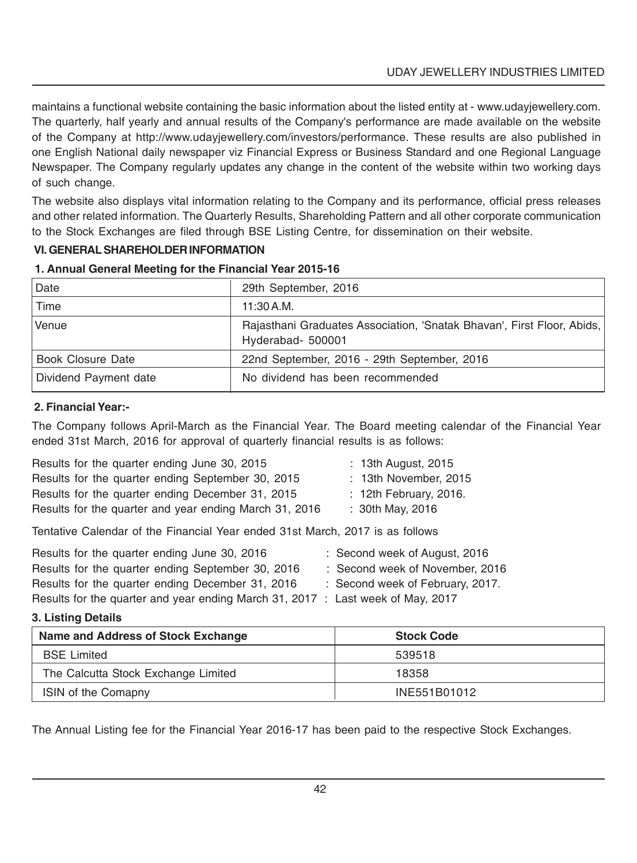maintains a functional website containing the basic information about the listed entity at - www.udayjewellery.com. The quarterly, half yearly and annual results of the Company's performance are made available on the website of the Company at http://www.udayjewellery.com/investors/performance. These results are also published in one English National daily newspaper viz Financial Express or Business Standard and one Regional Language Newspaper. The Company regularly updates any change in the content of the website within two working days of such change.

The website also displays vital information relating to the Company and its performance, official press releases and other related information. The Quarterly Results, Shareholding Pattern and all other corporate communication to the Stock Exchanges are filed through BSE Listing Centre, for dissemination on their website.

### **VI. GENERAL SHAREHOLDER INFORMATION**

| l Date                | 29th September, 2016                                                                        |
|-----------------------|---------------------------------------------------------------------------------------------|
| Time                  | 11:30 A.M.                                                                                  |
| Venue                 | Rajasthani Graduates Association, 'Snatak Bhavan', First Floor, Abids,<br>Hyderabad- 500001 |
| Book Closure Date     | 22nd September, 2016 - 29th September, 2016                                                 |
| Dividend Payment date | No dividend has been recommended                                                            |

### **1. Annual General Meeting for the Financial Year 2015-16**

### **2. Financial Year:-**

The Company follows April-March as the Financial Year. The Board meeting calendar of the Financial Year ended 31st March, 2016 for approval of quarterly financial results is as follows:

| Results for the quarter ending June 30, 2015                                  | : 13th August, 2015           |
|-------------------------------------------------------------------------------|-------------------------------|
| Results for the quarter ending September 30, 2015                             | : 13th November, 2015         |
| Results for the quarter ending December 31, 2015                              | : 12th February, 2016.        |
| Results for the quarter and year ending March 31, 2016                        | : 30th May, 2016              |
| Tentative Calendar of the Financial Year ended 31st March, 2017 is as follows |                               |
| Results for the quarter ending June 30, 2016                                  | : Second week of August, 2016 |

| Hesults for the quarter ending June 30, 2016                                    | : Second week of August, 2016    |
|---------------------------------------------------------------------------------|----------------------------------|
| Results for the quarter ending September 30, 2016                               | : Second week of November, 2016  |
| Results for the quarter ending December 31, 2016                                | : Second week of February, 2017. |
| Results for the quarter and year ending March 31, 2017 : Last week of May, 2017 |                                  |

### **3. Listing Details**

| Name and Address of Stock Exchange  | <b>Stock Code</b> |
|-------------------------------------|-------------------|
| <b>BSE</b> Limited                  | 539518            |
| The Calcutta Stock Exchange Limited | 18358             |
| <b>ISIN of the Comapny</b>          | INE551B01012      |

The Annual Listing fee for the Financial Year 2016-17 has been paid to the respective Stock Exchanges.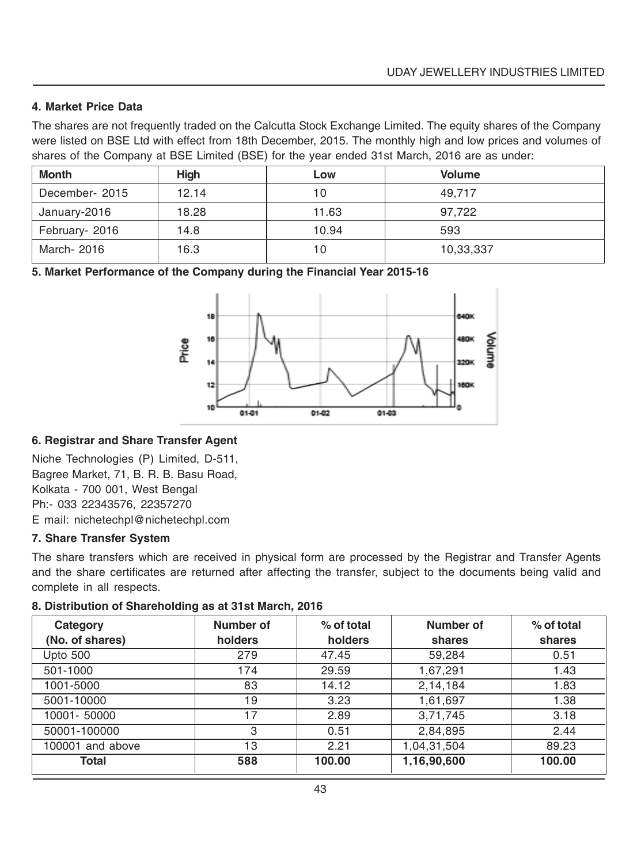### **4. Market Price Data**

The shares are not frequently traded on the Calcutta Stock Exchange Limited. The equity shares of the Company were listed on BSE Ltd with effect from 18th December, 2015. The monthly high and low prices and volumes of shares of the Company at BSE Limited (BSE) for the year ended 31st March, 2016 are as under:

| Month          | Hiah  | Low   | <b>Volume</b> |
|----------------|-------|-------|---------------|
| December-2015  | 12.14 | 10    | 49.717        |
| January-2016   | 18.28 | 11.63 | 97.722        |
| February- 2016 | 14.8  | 10.94 | 593           |
| March- 2016    | 16.3  | 10    | 10,33,337     |

**5. Market Performance of the Company during the Financial Year 2015-16**



### **6. Registrar and Share Transfer Agent**

Niche Technologies (P) Limited, D-511, Bagree Market, 71, B. R. B. Basu Road, Kolkata - 700 001, West Bengal Ph:- 033 22343576, 22357270 E mail: nichetechpl@nichetechpl.com

### **7. Share Transfer System**

The share transfers which are received in physical form are processed by the Registrar and Transfer Agents and the share certificates are returned after affecting the transfer, subject to the documents being valid and complete in all respects.

### **8. Distribution of Shareholding as at 31st March, 2016**

| Category<br>(No. of shares) | Number of<br>holders | % of total<br>holders | Number of<br>shares | $%$ of total<br>shares |
|-----------------------------|----------------------|-----------------------|---------------------|------------------------|
| Upto 500                    | 279                  | 47.45                 | 59,284              | 0.51                   |
| 501-1000                    | 174                  | 29.59                 | 1,67,291            | 1.43                   |
| 1001-5000                   | 83                   | 14.12                 | 2,14,184            | 1.83                   |
| 5001-10000                  | 19                   | 3.23                  | 1,61,697            | 1.38                   |
| 10001-50000                 | 17                   | 2.89                  | 3,71,745            | 3.18                   |
| 50001-100000                | 3                    | 0.51                  | 2,84,895            | 2.44                   |
| 100001 and above            | 13                   | 2.21                  | 1,04,31,504         | 89.23                  |
| Total                       | 588                  | 100.00                | 1,16,90,600         | 100.00                 |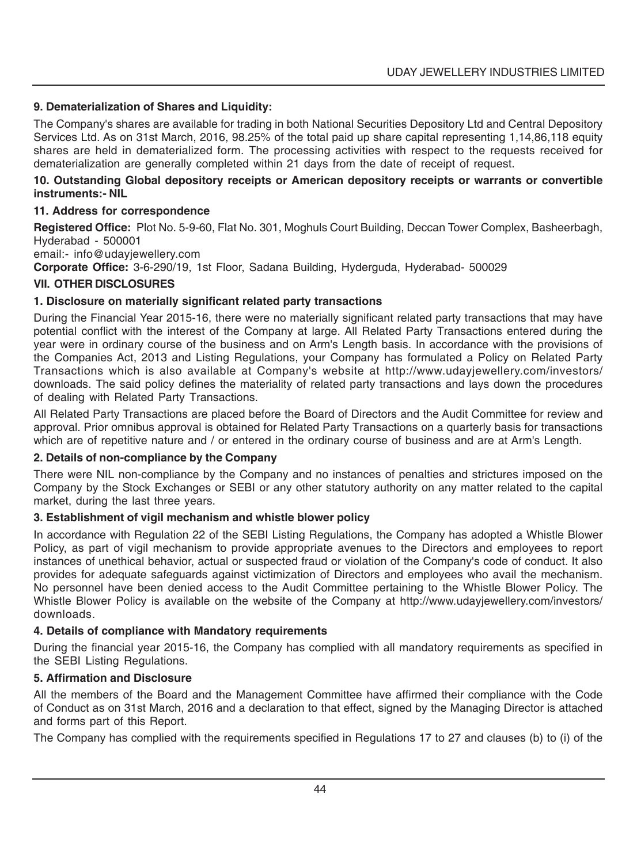### **9. Dematerialization of Shares and Liquidity:**

The Company's shares are available for trading in both National Securities Depository Ltd and Central Depository Services Ltd. As on 31st March, 2016, 98.25% of the total paid up share capital representing 1,14,86,118 equity shares are held in dematerialized form. The processing activities with respect to the requests received for dematerialization are generally completed within 21 days from the date of receipt of request.

### **10. Outstanding Global depository receipts or American depository receipts or warrants or convertible instruments:- NIL**

### **11. Address for correspondence**

**Registered Office:** Plot No. 5-9-60, Flat No. 301, Moghuls Court Building, Deccan Tower Complex, Basheerbagh, Hyderabad - 500001

email:- info@udayjewellery.com

**Corporate Office:** 3-6-290/19, 1st Floor, Sadana Building, Hyderguda, Hyderabad- 500029

### **VII. OTHER DISCLOSURES**

### **1. Disclosure on materially significant related party transactions**

During the Financial Year 2015-16, there were no materially significant related party transactions that may have potential conflict with the interest of the Company at large. All Related Party Transactions entered during the year were in ordinary course of the business and on Arm's Length basis. In accordance with the provisions of the Companies Act, 2013 and Listing Regulations, your Company has formulated a Policy on Related Party Transactions which is also available at Company's website at http://www.udayjewellery.com/investors/ downloads. The said policy defines the materiality of related party transactions and lays down the procedures of dealing with Related Party Transactions.

All Related Party Transactions are placed before the Board of Directors and the Audit Committee for review and approval. Prior omnibus approval is obtained for Related Party Transactions on a quarterly basis for transactions which are of repetitive nature and / or entered in the ordinary course of business and are at Arm's Length.

### **2. Details of non-compliance by the Company**

There were NIL non-compliance by the Company and no instances of penalties and strictures imposed on the Company by the Stock Exchanges or SEBI or any other statutory authority on any matter related to the capital market, during the last three years.

### **3. Establishment of vigil mechanism and whistle blower policy**

In accordance with Regulation 22 of the SEBI Listing Regulations, the Company has adopted a Whistle Blower Policy, as part of vigil mechanism to provide appropriate avenues to the Directors and employees to report instances of unethical behavior, actual or suspected fraud or violation of the Company's code of conduct. It also provides for adequate safeguards against victimization of Directors and employees who avail the mechanism. No personnel have been denied access to the Audit Committee pertaining to the Whistle Blower Policy. The Whistle Blower Policy is available on the website of the Company at http://www.udayjewellery.com/investors/ downloads.

### **4. Details of compliance with Mandatory requirements**

During the financial year 2015-16, the Company has complied with all mandatory requirements as specified in the SEBI Listing Regulations.

### **5. Affirmation and Disclosure**

All the members of the Board and the Management Committee have affirmed their compliance with the Code of Conduct as on 31st March, 2016 and a declaration to that effect, signed by the Managing Director is attached and forms part of this Report.

The Company has complied with the requirements specified in Regulations 17 to 27 and clauses (b) to (i) of the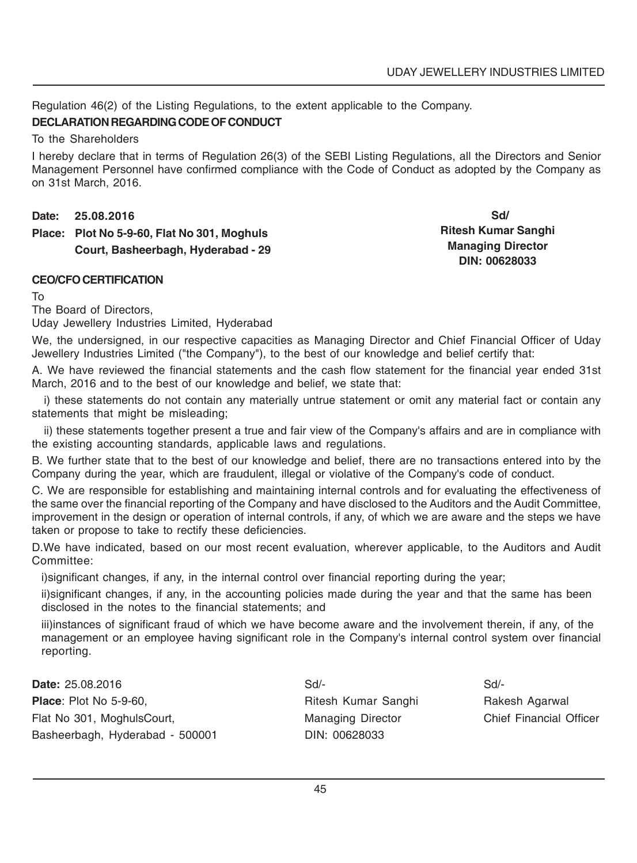Regulation 46(2) of the Listing Regulations, to the extent applicable to the Company.

### **DECLARATION REGARDING CODE OF CONDUCT**

To the Shareholders

I hereby declare that in terms of Regulation 26(3) of the SEBI Listing Regulations, all the Directors and Senior Management Personnel have confirmed compliance with the Code of Conduct as adopted by the Company as on 31st March, 2016.

**Date: 25.08.2016**

**Place: Plot No 5-9-60, Flat No 301, Moghuls Court, Basheerbagh, Hyderabad - 29**

 **Sd/ Ritesh Kumar Sanghi Managing Director DIN: 00628033**

### **CEO/CFO CERTIFICATION**

To

The Board of Directors,

Uday Jewellery Industries Limited, Hyderabad

We, the undersigned, in our respective capacities as Managing Director and Chief Financial Officer of Uday Jewellery Industries Limited ("the Company"), to the best of our knowledge and belief certify that:

A. We have reviewed the financial statements and the cash flow statement for the financial year ended 31st March, 2016 and to the best of our knowledge and belief, we state that:

i) these statements do not contain any materially untrue statement or omit any material fact or contain any statements that might be misleading;

ii) these statements together present a true and fair view of the Company's affairs and are in compliance with the existing accounting standards, applicable laws and regulations.

B. We further state that to the best of our knowledge and belief, there are no transactions entered into by the Company during the year, which are fraudulent, illegal or violative of the Company's code of conduct.

C. We are responsible for establishing and maintaining internal controls and for evaluating the effectiveness of the same over the financial reporting of the Company and have disclosed to the Auditors and the Audit Committee, improvement in the design or operation of internal controls, if any, of which we are aware and the steps we have taken or propose to take to rectify these deficiencies.

D.We have indicated, based on our most recent evaluation, wherever applicable, to the Auditors and Audit Committee:

i)significant changes, if any, in the internal control over financial reporting during the year;

ii)significant changes, if any, in the accounting policies made during the year and that the same has been disclosed in the notes to the financial statements; and

iii)instances of significant fraud of which we have become aware and the involvement therein, if any, of the management or an employee having significant role in the Company's internal control system over financial reporting.

**Date:** 25.08.2016 Sd/- Sd/- Sd/- Sd/- Sd/- Sd/- Sd/-**Place**: Plot No 5-9-60, **Ritesh Kumar Sanghi Rakesh Agarwal** Rakesh Agarwal Flat No 301, MoghulsCourt, The Managing Director Chief Financial Officer Basheerbagh, Hyderabad - 500001 DIN: 00628033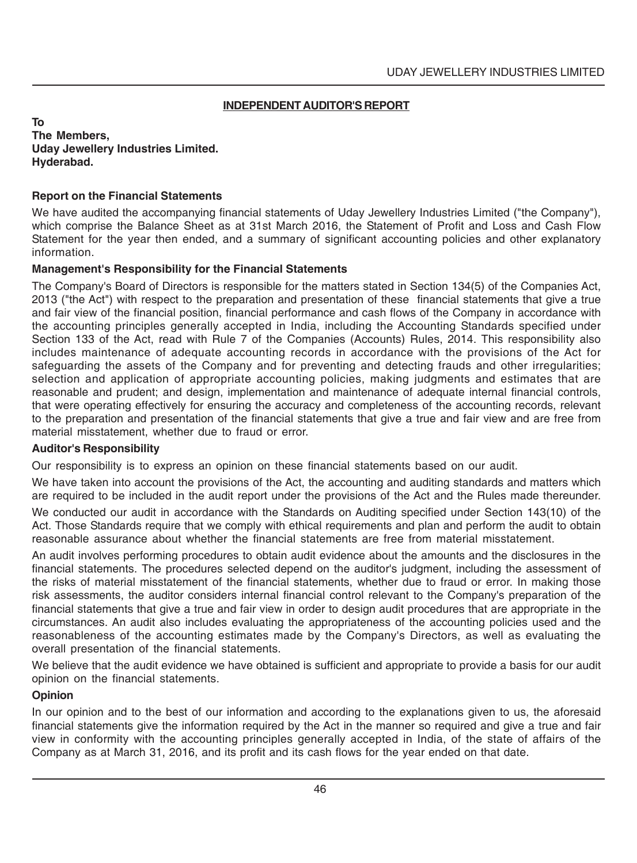### **INDEPENDENT AUDITOR'S REPORT**

**To The Members, Uday Jewellery Industries Limited. Hyderabad.**

### **Report on the Financial Statements**

We have audited the accompanying financial statements of Uday Jewellery Industries Limited ("the Company"), which comprise the Balance Sheet as at 31st March 2016, the Statement of Profit and Loss and Cash Flow Statement for the year then ended, and a summary of significant accounting policies and other explanatory information.

### **Management's Responsibility for the Financial Statements**

The Company's Board of Directors is responsible for the matters stated in Section 134(5) of the Companies Act, 2013 ("the Act") with respect to the preparation and presentation of these financial statements that give a true and fair view of the financial position, financial performance and cash flows of the Company in accordance with the accounting principles generally accepted in India, including the Accounting Standards specified under Section 133 of the Act, read with Rule 7 of the Companies (Accounts) Rules, 2014. This responsibility also includes maintenance of adequate accounting records in accordance with the provisions of the Act for safeguarding the assets of the Company and for preventing and detecting frauds and other irregularities; selection and application of appropriate accounting policies, making judgments and estimates that are reasonable and prudent; and design, implementation and maintenance of adequate internal financial controls, that were operating effectively for ensuring the accuracy and completeness of the accounting records, relevant to the preparation and presentation of the financial statements that give a true and fair view and are free from material misstatement, whether due to fraud or error.

### **Auditor's Responsibility**

Our responsibility is to express an opinion on these financial statements based on our audit.

We have taken into account the provisions of the Act, the accounting and auditing standards and matters which are required to be included in the audit report under the provisions of the Act and the Rules made thereunder.

We conducted our audit in accordance with the Standards on Auditing specified under Section 143(10) of the Act. Those Standards require that we comply with ethical requirements and plan and perform the audit to obtain reasonable assurance about whether the financial statements are free from material misstatement.

An audit involves performing procedures to obtain audit evidence about the amounts and the disclosures in the financial statements. The procedures selected depend on the auditor's judgment, including the assessment of the risks of material misstatement of the financial statements, whether due to fraud or error. In making those risk assessments, the auditor considers internal financial control relevant to the Company's preparation of the financial statements that give a true and fair view in order to design audit procedures that are appropriate in the circumstances. An audit also includes evaluating the appropriateness of the accounting policies used and the reasonableness of the accounting estimates made by the Company's Directors, as well as evaluating the overall presentation of the financial statements.

We believe that the audit evidence we have obtained is sufficient and appropriate to provide a basis for our audit opinion on the financial statements.

### **Opinion**

In our opinion and to the best of our information and according to the explanations given to us, the aforesaid financial statements give the information required by the Act in the manner so required and give a true and fair view in conformity with the accounting principles generally accepted in India, of the state of affairs of the Company as at March 31, 2016, and its profit and its cash flows for the year ended on that date.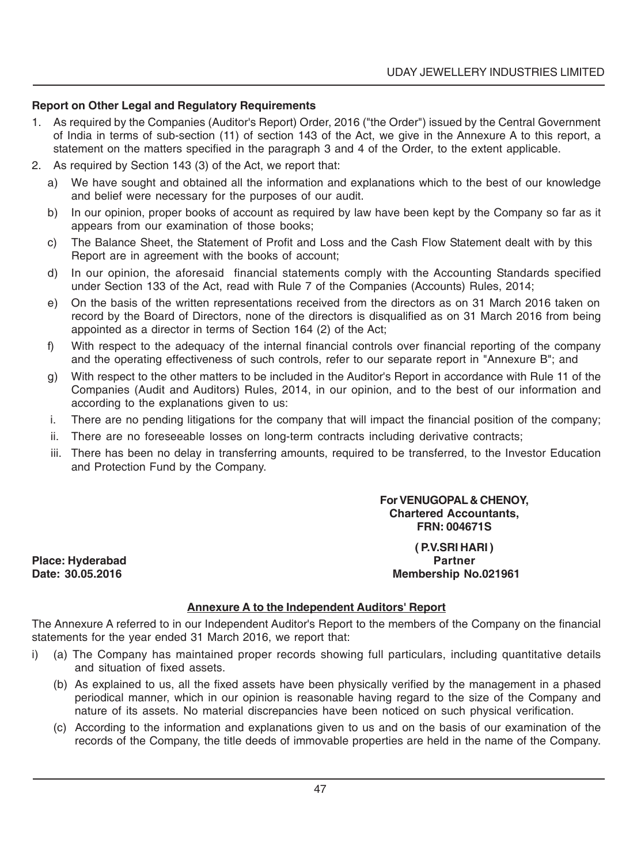### **Report on Other Legal and Regulatory Requirements**

- 1. As required by the Companies (Auditor's Report) Order, 2016 ("the Order") issued by the Central Government of India in terms of sub-section (11) of section 143 of the Act, we give in the Annexure A to this report, a statement on the matters specified in the paragraph 3 and 4 of the Order, to the extent applicable.
- 2. As required by Section 143 (3) of the Act, we report that:
	- a) We have sought and obtained all the information and explanations which to the best of our knowledge and belief were necessary for the purposes of our audit.
	- b) In our opinion, proper books of account as required by law have been kept by the Company so far as it appears from our examination of those books;
	- c) The Balance Sheet, the Statement of Profit and Loss and the Cash Flow Statement dealt with by this Report are in agreement with the books of account;
	- d) In our opinion, the aforesaid financial statements comply with the Accounting Standards specified under Section 133 of the Act, read with Rule 7 of the Companies (Accounts) Rules, 2014;
	- e) On the basis of the written representations received from the directors as on 31 March 2016 taken on record by the Board of Directors, none of the directors is disqualified as on 31 March 2016 from being appointed as a director in terms of Section 164 (2) of the Act;
	- f) With respect to the adequacy of the internal financial controls over financial reporting of the company and the operating effectiveness of such controls, refer to our separate report in "Annexure B"; and
	- g) With respect to the other matters to be included in the Auditor's Report in accordance with Rule 11 of the Companies (Audit and Auditors) Rules, 2014, in our opinion, and to the best of our information and according to the explanations given to us:
	- i. There are no pending litigations for the company that will impact the financial position of the company;
	- ii. There are no foreseeable losses on long-term contracts including derivative contracts;
	- iii. There has been no delay in transferring amounts, required to be transferred, to the Investor Education and Protection Fund by the Company.

**Place: Hyderabad Partner**

**For VENUGOPAL & CHENOY, Chartered Accountants, FRN: 004671S**

## **( P.V.SRI HARI ) Date: 30.05.2016 Membership No.021961**

### **Annexure A to the Independent Auditors' Report**

The Annexure A referred to in our Independent Auditor's Report to the members of the Company on the financial statements for the year ended 31 March 2016, we report that:

- i) (a) The Company has maintained proper records showing full particulars, including quantitative details and situation of fixed assets.
	- (b) As explained to us, all the fixed assets have been physically verified by the management in a phased periodical manner, which in our opinion is reasonable having regard to the size of the Company and nature of its assets. No material discrepancies have been noticed on such physical verification.
	- (c) According to the information and explanations given to us and on the basis of our examination of the records of the Company, the title deeds of immovable properties are held in the name of the Company.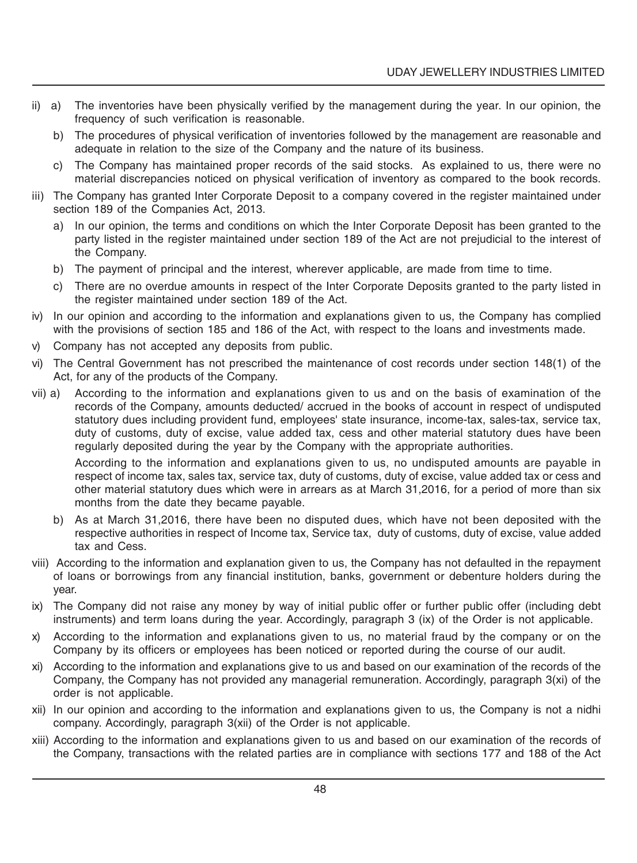- ii) a) The inventories have been physically verified by the management during the year. In our opinion, the frequency of such verification is reasonable.
	- b) The procedures of physical verification of inventories followed by the management are reasonable and adequate in relation to the size of the Company and the nature of its business.
	- c) The Company has maintained proper records of the said stocks. As explained to us, there were no material discrepancies noticed on physical verification of inventory as compared to the book records.
- iii) The Company has granted Inter Corporate Deposit to a company covered in the register maintained under section 189 of the Companies Act, 2013.
	- a) In our opinion, the terms and conditions on which the Inter Corporate Deposit has been granted to the party listed in the register maintained under section 189 of the Act are not prejudicial to the interest of the Company.
	- b) The payment of principal and the interest, wherever applicable, are made from time to time.
	- c) There are no overdue amounts in respect of the Inter Corporate Deposits granted to the party listed in the register maintained under section 189 of the Act.
- iv) In our opinion and according to the information and explanations given to us, the Company has complied with the provisions of section 185 and 186 of the Act, with respect to the loans and investments made.
- v) Company has not accepted any deposits from public.
- vi) The Central Government has not prescribed the maintenance of cost records under section 148(1) of the Act, for any of the products of the Company.
- vii) a) According to the information and explanations given to us and on the basis of examination of the records of the Company, amounts deducted/ accrued in the books of account in respect of undisputed statutory dues including provident fund, employees' state insurance, income-tax, sales-tax, service tax, duty of customs, duty of excise, value added tax, cess and other material statutory dues have been regularly deposited during the year by the Company with the appropriate authorities.

According to the information and explanations given to us, no undisputed amounts are payable in respect of income tax, sales tax, service tax, duty of customs, duty of excise, value added tax or cess and other material statutory dues which were in arrears as at March 31,2016, for a period of more than six months from the date they became payable.

- b) As at March 31,2016, there have been no disputed dues, which have not been deposited with the respective authorities in respect of Income tax, Service tax, duty of customs, duty of excise, value added tax and Cess.
- viii) According to the information and explanation given to us, the Company has not defaulted in the repayment of loans or borrowings from any financial institution, banks, government or debenture holders during the year.
- ix) The Company did not raise any money by way of initial public offer or further public offer (including debt instruments) and term loans during the year. Accordingly, paragraph 3 (ix) of the Order is not applicable.
- x) According to the information and explanations given to us, no material fraud by the company or on the Company by its officers or employees has been noticed or reported during the course of our audit.
- xi) According to the information and explanations give to us and based on our examination of the records of the Company, the Company has not provided any managerial remuneration. Accordingly, paragraph 3(xi) of the order is not applicable.
- xii) In our opinion and according to the information and explanations given to us, the Company is not a nidhi company. Accordingly, paragraph 3(xii) of the Order is not applicable.
- xiii) According to the information and explanations given to us and based on our examination of the records of the Company, transactions with the related parties are in compliance with sections 177 and 188 of the Act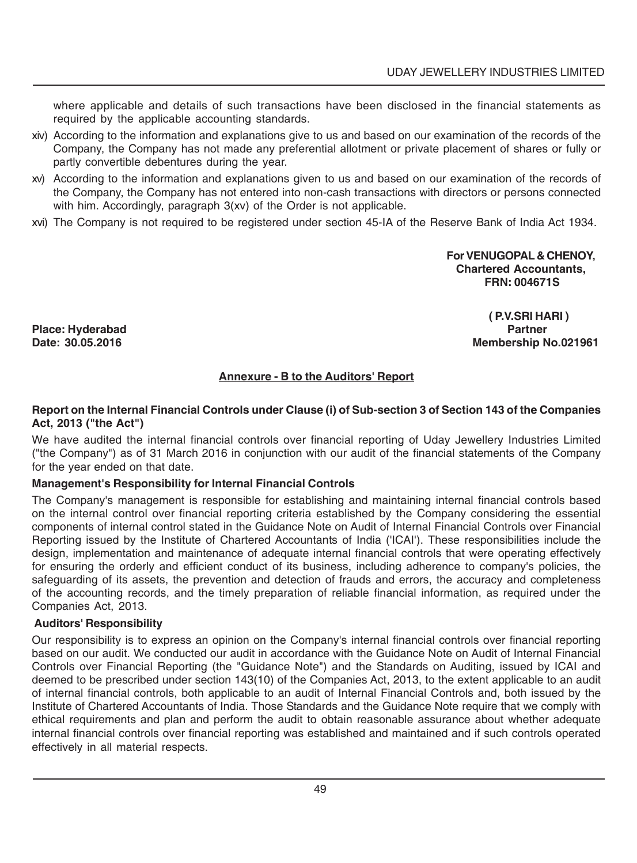where applicable and details of such transactions have been disclosed in the financial statements as required by the applicable accounting standards.

- xiv) According to the information and explanations give to us and based on our examination of the records of the Company, the Company has not made any preferential allotment or private placement of shares or fully or partly convertible debentures during the year.
- xv) According to the information and explanations given to us and based on our examination of the records of the Company, the Company has not entered into non-cash transactions with directors or persons connected with him. Accordingly, paragraph 3(xv) of the Order is not applicable.
- xvi) The Company is not required to be registered under section 45-IA of the Reserve Bank of India Act 1934.

**For VENUGOPAL & CHENOY, Chartered Accountants, FRN: 004671S**

**Place: Hyderabad Partner**

 **( P.V.SRI HARI ) Membership No.021961** 

### **Annexure - B to the Auditors' Report**

### **Report on the Internal Financial Controls under Clause (i) of Sub-section 3 of Section 143 of the Companies Act, 2013 ("the Act")**

We have audited the internal financial controls over financial reporting of Uday Jewellery Industries Limited ("the Company") as of 31 March 2016 in conjunction with our audit of the financial statements of the Company for the year ended on that date.

### **Management's Responsibility for Internal Financial Controls**

The Company's management is responsible for establishing and maintaining internal financial controls based on the internal control over financial reporting criteria established by the Company considering the essential components of internal control stated in the Guidance Note on Audit of Internal Financial Controls over Financial Reporting issued by the Institute of Chartered Accountants of India ('ICAI'). These responsibilities include the design, implementation and maintenance of adequate internal financial controls that were operating effectively for ensuring the orderly and efficient conduct of its business, including adherence to company's policies, the safeguarding of its assets, the prevention and detection of frauds and errors, the accuracy and completeness of the accounting records, and the timely preparation of reliable financial information, as required under the Companies Act, 2013.

### **Auditors' Responsibility**

Our responsibility is to express an opinion on the Company's internal financial controls over financial reporting based on our audit. We conducted our audit in accordance with the Guidance Note on Audit of Internal Financial Controls over Financial Reporting (the "Guidance Note") and the Standards on Auditing, issued by ICAI and deemed to be prescribed under section 143(10) of the Companies Act, 2013, to the extent applicable to an audit of internal financial controls, both applicable to an audit of Internal Financial Controls and, both issued by the Institute of Chartered Accountants of India. Those Standards and the Guidance Note require that we comply with ethical requirements and plan and perform the audit to obtain reasonable assurance about whether adequate internal financial controls over financial reporting was established and maintained and if such controls operated effectively in all material respects.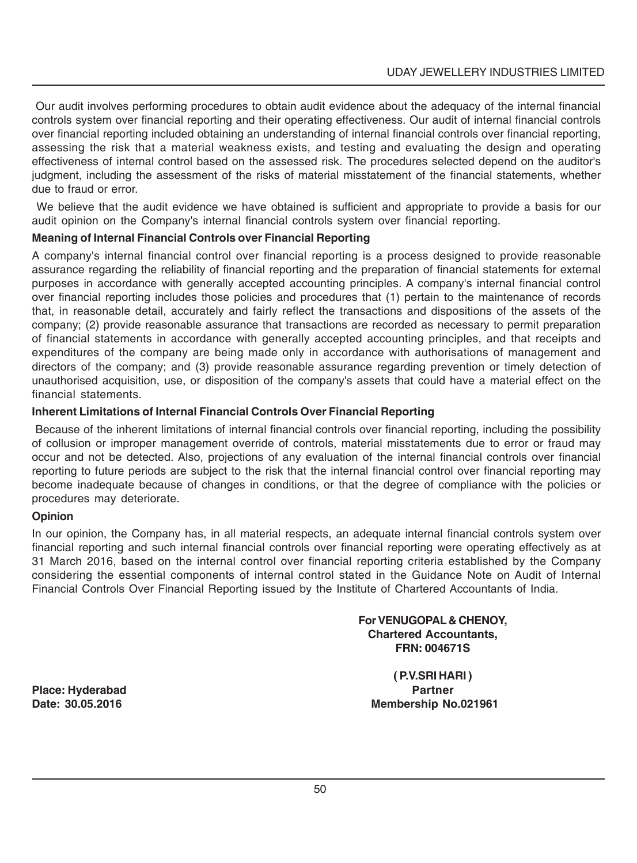Our audit involves performing procedures to obtain audit evidence about the adequacy of the internal financial controls system over financial reporting and their operating effectiveness. Our audit of internal financial controls over financial reporting included obtaining an understanding of internal financial controls over financial reporting, assessing the risk that a material weakness exists, and testing and evaluating the design and operating effectiveness of internal control based on the assessed risk. The procedures selected depend on the auditor's judgment, including the assessment of the risks of material misstatement of the financial statements, whether due to fraud or error.

 We believe that the audit evidence we have obtained is sufficient and appropriate to provide a basis for our audit opinion on the Company's internal financial controls system over financial reporting.

### **Meaning of Internal Financial Controls over Financial Reporting**

A company's internal financial control over financial reporting is a process designed to provide reasonable assurance regarding the reliability of financial reporting and the preparation of financial statements for external purposes in accordance with generally accepted accounting principles. A company's internal financial control over financial reporting includes those policies and procedures that (1) pertain to the maintenance of records that, in reasonable detail, accurately and fairly reflect the transactions and dispositions of the assets of the company; (2) provide reasonable assurance that transactions are recorded as necessary to permit preparation of financial statements in accordance with generally accepted accounting principles, and that receipts and expenditures of the company are being made only in accordance with authorisations of management and directors of the company; and (3) provide reasonable assurance regarding prevention or timely detection of unauthorised acquisition, use, or disposition of the company's assets that could have a material effect on the financial statements.

### **Inherent Limitations of Internal Financial Controls Over Financial Reporting**

 Because of the inherent limitations of internal financial controls over financial reporting, including the possibility of collusion or improper management override of controls, material misstatements due to error or fraud may occur and not be detected. Also, projections of any evaluation of the internal financial controls over financial reporting to future periods are subject to the risk that the internal financial control over financial reporting may become inadequate because of changes in conditions, or that the degree of compliance with the policies or procedures may deteriorate.

### **Opinion**

In our opinion, the Company has, in all material respects, an adequate internal financial controls system over financial reporting and such internal financial controls over financial reporting were operating effectively as at 31 March 2016, based on the internal control over financial reporting criteria established by the Company considering the essential components of internal control stated in the Guidance Note on Audit of Internal Financial Controls Over Financial Reporting issued by the Institute of Chartered Accountants of India.

> **For VENUGOPAL & CHENOY, Chartered Accountants, FRN: 004671S**

**Place: Hyderabad Partner**

**( P.V.SRI HARI ) Date: 30.05.2016 Membership No.021961**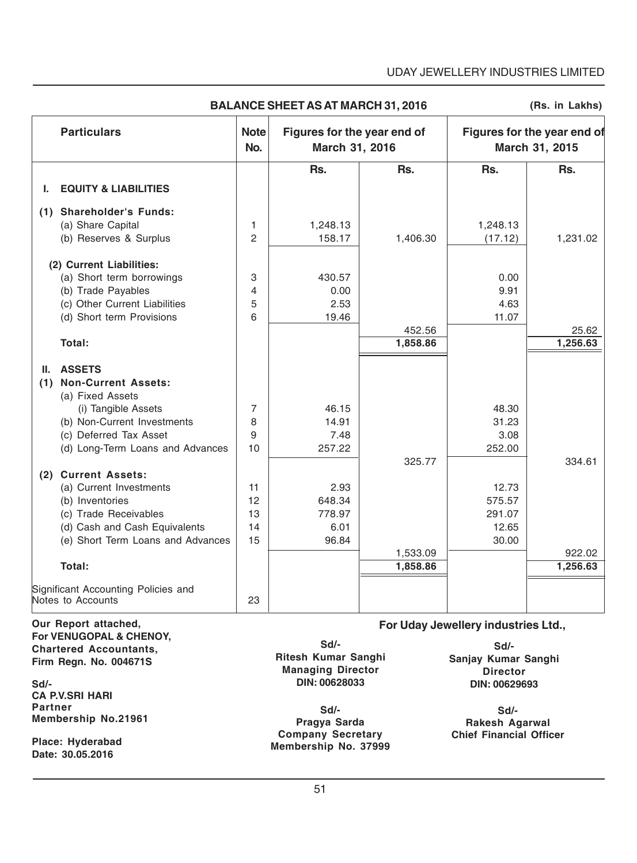### UDAY JEWELLERY INDUSTRIES LIMITED

|     | <b>Particulars</b>                  | <b>Note</b><br>No. | Figures for the year end of<br>March 31, 2016 |          |          | Figures for the year end of<br>March 31, 2015 |
|-----|-------------------------------------|--------------------|-----------------------------------------------|----------|----------|-----------------------------------------------|
|     |                                     |                    | Rs.                                           | Rs.      | Rs.      | Rs.                                           |
| ı.  | <b>EQUITY &amp; LIABILITIES</b>     |                    |                                               |          |          |                                               |
|     | (1) Shareholder's Funds:            |                    |                                               |          |          |                                               |
|     | (a) Share Capital                   | 1                  | 1,248.13                                      |          | 1,248.13 |                                               |
|     | (b) Reserves & Surplus              | 2                  | 158.17                                        | 1,406.30 | (17.12)  | 1,231.02                                      |
|     | (2) Current Liabilities:            |                    |                                               |          |          |                                               |
|     | (a) Short term borrowings           | 3                  | 430.57                                        |          | 0.00     |                                               |
|     | (b) Trade Payables                  | 4                  | 0.00                                          |          | 9.91     |                                               |
|     | (c) Other Current Liabilities       | 5                  | 2.53                                          |          | 4.63     |                                               |
|     | (d) Short term Provisions           | 6                  | 19.46                                         |          | 11.07    |                                               |
|     |                                     |                    |                                               | 452.56   |          | 25.62                                         |
|     | Total:                              |                    |                                               | 1,858.86 |          | 1,256.63                                      |
| II. | <b>ASSETS</b>                       |                    |                                               |          |          |                                               |
| (1) | <b>Non-Current Assets:</b>          |                    |                                               |          |          |                                               |
|     | (a) Fixed Assets                    |                    |                                               |          |          |                                               |
|     | (i) Tangible Assets                 | 7                  | 46.15                                         |          | 48.30    |                                               |
|     | (b) Non-Current Investments         | 8                  | 14.91                                         |          | 31.23    |                                               |
|     | (c) Deferred Tax Asset              | 9                  | 7.48                                          |          | 3.08     |                                               |
|     | (d) Long-Term Loans and Advances    | 10                 | 257.22                                        |          | 252.00   |                                               |
|     |                                     |                    |                                               | 325.77   |          | 334.61                                        |
|     | (2) Current Assets:                 |                    |                                               |          |          |                                               |
|     | (a) Current Investments             | 11                 | 2.93                                          |          | 12.73    |                                               |
|     | (b) Inventories                     | 12                 | 648.34                                        |          | 575.57   |                                               |
|     | (c) Trade Receivables               | 13                 | 778.97                                        |          | 291.07   |                                               |
|     | (d) Cash and Cash Equivalents       | 14                 | 6.01                                          |          | 12.65    |                                               |
|     | (e) Short Term Loans and Advances   | 15                 | 96.84                                         |          | 30.00    |                                               |
|     |                                     |                    |                                               | 1,533.09 |          | 922.02                                        |
|     | Total:                              |                    |                                               | 1,858.86 |          | 1,256.63                                      |
|     | Significant Accounting Policies and |                    |                                               |          |          |                                               |
|     | Notes to Accounts                   | 23                 |                                               |          |          |                                               |

**BALANCE SHEET AS AT MARCH 31, 2016**

**(Rs. in Lakhs)**

**Our Report attached, For VENUGOPAL & CHENOY, Chartered Accountants, Firm Regn. No. 004671S**

**Sd/- CA P.V.SRI HARI Partner Membership No.21961**

**Place: Hyderabad Date: 30.05.2016**

**Sd/- Ritesh Kumar Sanghi Managing Director DIN: 00628033**

**Sd/- Pragya Sarda Company Secretary Membership No. 37999**

**Sd/- Sanjay Kumar Sanghi Director DIN: 00629693**

**For Uday Jewellery industries Ltd.,**

**Sd/- Rakesh Agarwal Chief Financial Officer**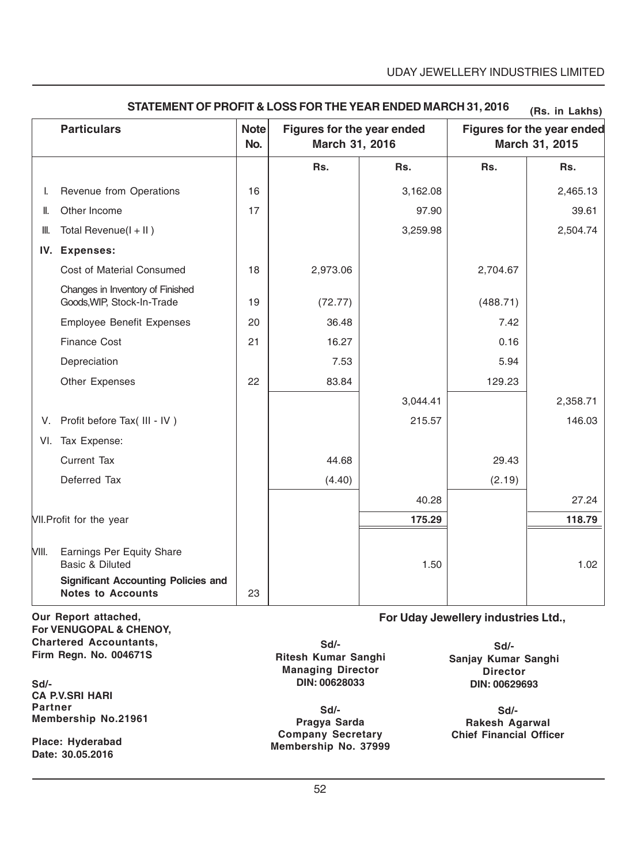|       |                                                                        |                    |                                              |          |          | (ns. III Laniis)                             |
|-------|------------------------------------------------------------------------|--------------------|----------------------------------------------|----------|----------|----------------------------------------------|
|       | <b>Particulars</b>                                                     | <b>Note</b><br>No. | Figures for the year ended<br>March 31, 2016 |          |          | Figures for the year ended<br>March 31, 2015 |
|       |                                                                        |                    | Rs.                                          | Rs.      | Rs.      | Rs.                                          |
| I.    | Revenue from Operations                                                | 16                 |                                              | 3,162.08 |          | 2,465.13                                     |
| II.   | Other Income                                                           | 17                 |                                              | 97.90    |          | 39.61                                        |
| III.  | Total Revenue( $I + II$ )                                              |                    |                                              | 3,259.98 |          | 2,504.74                                     |
|       | IV. Expenses:                                                          |                    |                                              |          |          |                                              |
|       | Cost of Material Consumed                                              | 18                 | 2,973.06                                     |          | 2,704.67 |                                              |
|       | Changes in Inventory of Finished<br>Goods, WIP, Stock-In-Trade         | 19                 | (72.77)                                      |          | (488.71) |                                              |
|       | <b>Employee Benefit Expenses</b>                                       | 20                 | 36.48                                        |          | 7.42     |                                              |
|       | <b>Finance Cost</b>                                                    | 21                 | 16.27                                        |          | 0.16     |                                              |
|       | Depreciation                                                           |                    | 7.53                                         |          | 5.94     |                                              |
|       | Other Expenses                                                         | 22                 | 83.84                                        |          | 129.23   |                                              |
|       |                                                                        |                    |                                              | 3,044.41 |          | 2,358.71                                     |
|       | V. Profit before Tax( III - IV)                                        |                    |                                              | 215.57   |          | 146.03                                       |
|       | VI. Tax Expense:                                                       |                    |                                              |          |          |                                              |
|       | <b>Current Tax</b>                                                     |                    | 44.68                                        |          | 29.43    |                                              |
|       | Deferred Tax                                                           |                    | (4.40)                                       |          | (2.19)   |                                              |
|       |                                                                        |                    |                                              | 40.28    |          | 27.24                                        |
|       | VII. Profit for the year                                               |                    |                                              | 175.29   |          | 118.79                                       |
| VIII. | <b>Earnings Per Equity Share</b><br>Basic & Diluted                    |                    |                                              | 1.50     |          | 1.02                                         |
|       | <b>Significant Accounting Policies and</b><br><b>Notes to Accounts</b> | 23                 |                                              |          |          |                                              |

### **STATEMENT OF PROFIT & LOSS FOR THE YEAR ENDED MARCH 31, 2016 (Rs. in Lakhs)**

**Our Report attached, For VENUGOPAL & CHENOY, Chartered Accountants, Firm Regn. No. 004671S**

**Sd/- CA P.V.SRI HARI Partner Membership No.21961**

**Place: Hyderabad Date: 30.05.2016**

**Sd/- Ritesh Kumar Sanghi Managing Director DIN: 00628033**

**Sd/- Pragya Sarda Company Secretary Membership No. 37999**

**For Uday Jewellery industries Ltd.,**

**Sd/- Sanjay Kumar Sanghi Director DIN: 00629693**

**Sd/- Rakesh Agarwal Chief Financial Officer**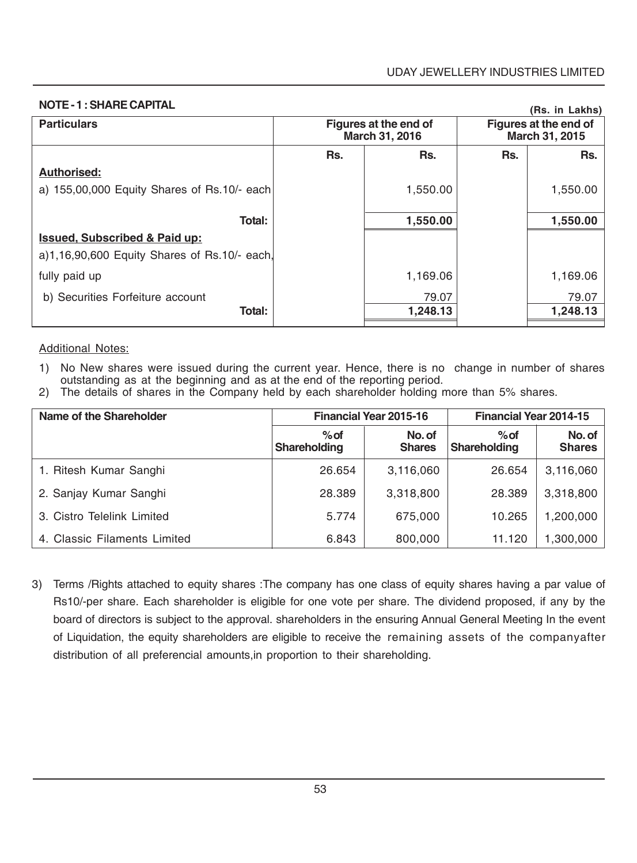| <b>NOTE - 1: SHARE CAPITAL</b>               |     |                                         |                                         | (Rs. in Lakhs) |
|----------------------------------------------|-----|-----------------------------------------|-----------------------------------------|----------------|
| <b>Particulars</b>                           |     | Figures at the end of<br>March 31, 2016 | Figures at the end of<br>March 31, 2015 |                |
|                                              | Rs. | Rs.                                     | Rs.                                     | Rs.            |
| Authorised:                                  |     |                                         |                                         |                |
| a) 155,00,000 Equity Shares of Rs.10/- each  |     | 1,550.00                                |                                         | 1,550.00       |
|                                              |     |                                         |                                         |                |
| Total:                                       |     | 1,550.00                                |                                         | 1,550.00       |
| <b>Issued, Subscribed &amp; Paid up:</b>     |     |                                         |                                         |                |
| a)1,16,90,600 Equity Shares of Rs.10/- each. |     |                                         |                                         |                |
| fully paid up                                |     | 1,169.06                                |                                         | 1,169.06       |
| b) Securities Forfeiture account             |     | 79.07                                   |                                         | 79.07          |
| Total:                                       |     | 1,248.13                                |                                         | 1,248.13       |
|                                              |     |                                         |                                         |                |

### **NOTE - 1 : SHARE CAPITAL**

### Additional Notes:

- 1) No New shares were issued during the current year. Hence, there is no change in number of shares outstanding as at the beginning and as at the end of the reporting period.
- 2) The details of shares in the Company held by each shareholder holding more than 5% shares.

| Name of the Shareholder      |                               | <b>Financial Year 2015-16</b> | <b>Financial Year 2014-15</b> |                         |
|------------------------------|-------------------------------|-------------------------------|-------------------------------|-------------------------|
|                              | $%$ of<br><b>Shareholding</b> | No. of<br><b>Shares</b>       | $%$ of<br><b>Shareholding</b> | No. of<br><b>Shares</b> |
| 1. Ritesh Kumar Sanghi       | 26.654                        | 3,116,060                     | 26.654                        | 3,116,060               |
| 2. Sanjay Kumar Sanghi       | 28,389                        | 3,318,800                     | 28,389                        | 3,318,800               |
| 3. Cistro Telelink Limited   | 5.774                         | 675,000                       | 10.265                        | 1.200.000               |
| 4. Classic Filaments Limited | 6.843                         | 800,000                       | 11.120                        | 1,300,000               |

3) Terms /Rights attached to equity shares :The company has one class of equity shares having a par value of Rs10/-per share. Each shareholder is eligible for one vote per share. The dividend proposed, if any by the board of directors is subject to the approval. shareholders in the ensuring Annual General Meeting In the event of Liquidation, the equity shareholders are eligible to receive the remaining assets of the companyafter distribution of all preferencial amounts,in proportion to their shareholding.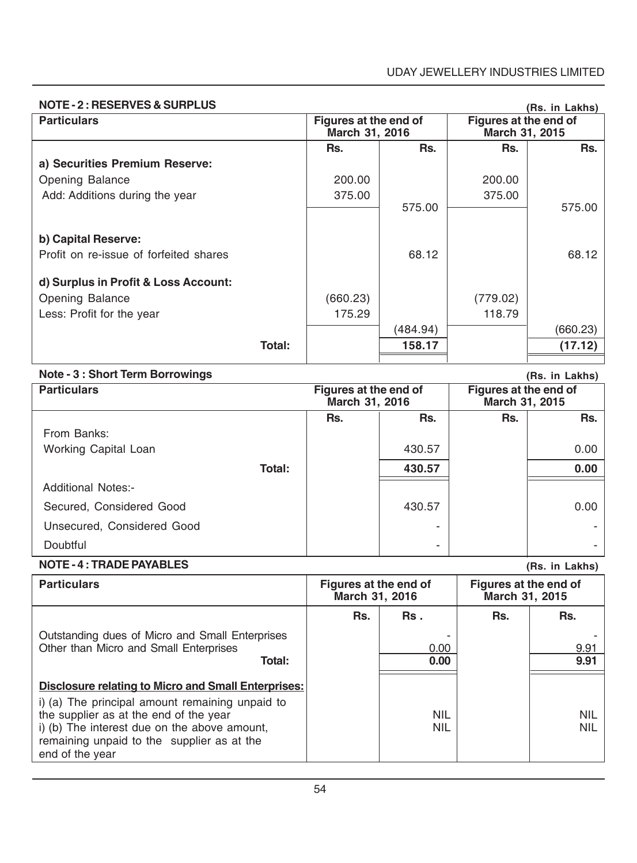### **NOTE - 2 : RESERVES & SURPLUS**

| <b>NOTE - 2: RESERVES &amp; SURPLUS</b> |        |                                         |          |                                         | (Rs. in Lakhs) |
|-----------------------------------------|--------|-----------------------------------------|----------|-----------------------------------------|----------------|
| <b>Particulars</b>                      |        | Figures at the end of<br>March 31, 2016 |          | Figures at the end of<br>March 31, 2015 |                |
|                                         |        | Rs.                                     | Rs.      | Rs.                                     | Rs.            |
| a) Securities Premium Reserve:          |        |                                         |          |                                         |                |
| Opening Balance                         |        | 200.00                                  |          | 200.00                                  |                |
| Add: Additions during the year          |        | 375.00                                  |          | 375.00                                  |                |
|                                         |        |                                         | 575.00   |                                         | 575.00         |
|                                         |        |                                         |          |                                         |                |
| b) Capital Reserve:                     |        |                                         |          |                                         |                |
| Profit on re-issue of forfeited shares  |        |                                         | 68.12    |                                         | 68.12          |
|                                         |        |                                         |          |                                         |                |
| d) Surplus in Profit & Loss Account:    |        |                                         |          |                                         |                |
| Opening Balance                         |        | (660.23)                                |          | (779.02)                                |                |
| Less: Profit for the year               |        | 175.29                                  |          | 118.79                                  |                |
|                                         |        |                                         | (484.94) |                                         | (660.23)       |
|                                         | Total: |                                         | 158.17   |                                         | (17.12)        |
|                                         |        |                                         |          |                                         |                |

|  |  |  |  | Note - 3 : Short Term Borrowings |
|--|--|--|--|----------------------------------|
|--|--|--|--|----------------------------------|

| Note - 3 : Short Term Borrowings |        |                                         |        |                                         | (Rs. in Lakhs) |
|----------------------------------|--------|-----------------------------------------|--------|-----------------------------------------|----------------|
| <b>Particulars</b>               |        | Figures at the end of<br>March 31, 2016 |        | Figures at the end of<br>March 31, 2015 |                |
|                                  |        | Rs.                                     | Rs.    | Rs.                                     | Rs.            |
| From Banks:                      |        |                                         |        |                                         |                |
| Working Capital Loan             |        |                                         | 430.57 |                                         | 0.00           |
|                                  | Total: |                                         | 430.57 |                                         | 0.00           |
| <b>Additional Notes:-</b>        |        |                                         |        |                                         |                |
| Secured, Considered Good         |        |                                         | 430.57 |                                         | 0.00           |
| Unsecured, Considered Good       |        |                                         |        |                                         |                |
| Doubtful                         |        |                                         | -      |                                         |                |

### **NOTE - 4 : TRADE PAYABLES**

| <b>NOTE - 4: TRADE PAYABLES</b>                                                                                                                                                                                                                                          |                                         |                          |                                         | (Rs. in Lakhs)           |
|--------------------------------------------------------------------------------------------------------------------------------------------------------------------------------------------------------------------------------------------------------------------------|-----------------------------------------|--------------------------|-----------------------------------------|--------------------------|
| <b>Particulars</b>                                                                                                                                                                                                                                                       | Figures at the end of<br>March 31, 2016 |                          | Figures at the end of<br>March 31, 2015 |                          |
|                                                                                                                                                                                                                                                                          | Rs.                                     | Rs.                      | Rs.                                     | Rs.                      |
| Outstanding dues of Micro and Small Enterprises<br>Other than Micro and Small Enterprises<br>Total:                                                                                                                                                                      |                                         | 0.00<br>0.00             |                                         | 9.91<br>9.91             |
| <b>Disclosure relating to Micro and Small Enterprises:</b><br>i) (a) The principal amount remaining unpaid to<br>the supplier as at the end of the year<br>i) (b) The interest due on the above amount,<br>remaining unpaid to the supplier as at the<br>end of the year |                                         | <b>NIL</b><br><b>NIL</b> |                                         | <b>NIL</b><br><b>NIL</b> |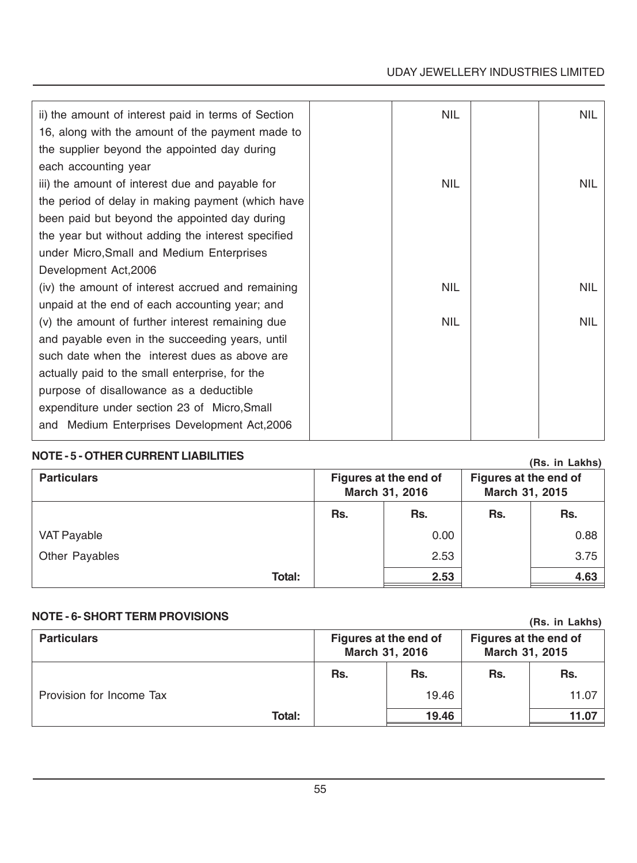### UDAY JEWELLERY INDUSTRIES LIMITED

| ii) the amount of interest paid in terms of Section<br>16, along with the amount of the payment made to<br>the supplier beyond the appointed day during | <b>NIL</b> | <b>NIL</b> |
|---------------------------------------------------------------------------------------------------------------------------------------------------------|------------|------------|
| each accounting year                                                                                                                                    |            |            |
| iii) the amount of interest due and payable for                                                                                                         | <b>NIL</b> | <b>NIL</b> |
| the period of delay in making payment (which have                                                                                                       |            |            |
| been paid but beyond the appointed day during                                                                                                           |            |            |
| the year but without adding the interest specified                                                                                                      |            |            |
| under Micro, Small and Medium Enterprises                                                                                                               |            |            |
| Development Act, 2006                                                                                                                                   |            |            |
| (iv) the amount of interest accrued and remaining                                                                                                       | <b>NIL</b> | <b>NIL</b> |
| unpaid at the end of each accounting year; and                                                                                                          |            |            |
| (v) the amount of further interest remaining due                                                                                                        | <b>NIL</b> | <b>NIL</b> |
| and payable even in the succeeding years, until                                                                                                         |            |            |
| such date when the interest dues as above are                                                                                                           |            |            |
| actually paid to the small enterprise, for the                                                                                                          |            |            |
| purpose of disallowance as a deductible                                                                                                                 |            |            |
| expenditure under section 23 of Micro, Small                                                                                                            |            |            |
| and Medium Enterprises Development Act, 2006                                                                                                            |            |            |

### **NOTE - 5 - OTHER CURRENT LIABILITIES**

## **Particulars Particulars Particulars Figures at the end of Figures at the end of Figures at the end of March 31, 2016 March 31, 2015** Rs. | Rs. | Rs. | Rs. VAT Payable 0.88 Other Payables 2.53 3.75 **Total: 2.53 4.63 (Rs. in Lakhs)**

### **NOTE - 6- SHORT TERM PROVISIONS**

**(Rs. in Lakhs)**

| <b>Particulars</b>       |     | Figures at the end of<br>March 31, 2016 | Figures at the end of<br>March 31, 2015 |       |
|--------------------------|-----|-----------------------------------------|-----------------------------------------|-------|
|                          | Rs. | Rs.                                     | Rs.                                     | Rs.   |
| Provision for Income Tax |     | 19.46                                   |                                         | 11.07 |
| Total:                   |     | 19.46                                   |                                         | 11.07 |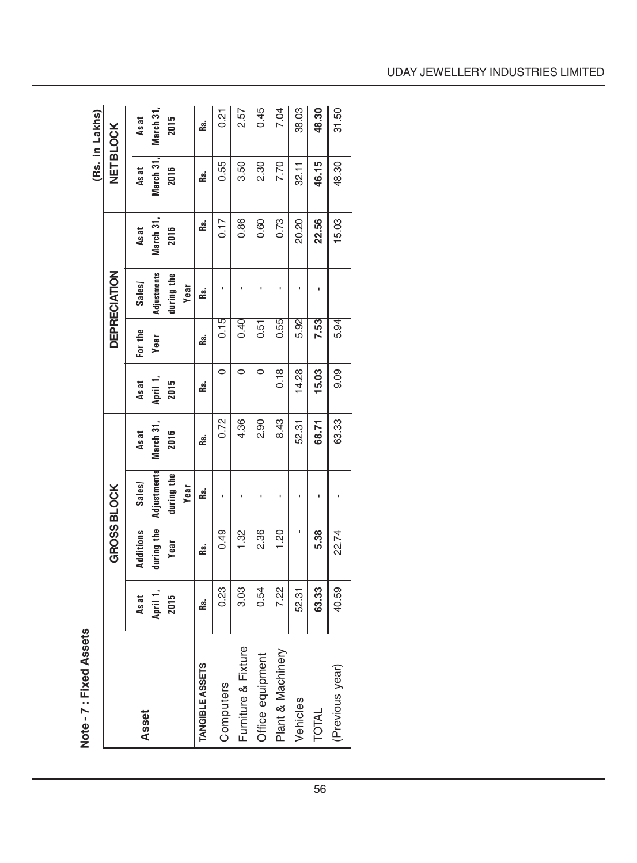Note - 7 : Fixed Assets **Note - 7 : Fixed Assets**

|                        |                  |                    |                           |                   |                  |             |                           |                   |                   | (Rs. in Lakhs)   |
|------------------------|------------------|--------------------|---------------------------|-------------------|------------------|-------------|---------------------------|-------------------|-------------------|------------------|
|                        |                  | <b>GROSS BLOCK</b> |                           |                   |                  |             | <b>DEPRECIATION</b>       |                   |                   | <b>NETBLOCK</b>  |
| Asset                  | Asat             | Additions          | Sales/                    | Asat              | As at            | For the     | Sales                     | As at             | Asat              | Asat             |
|                        | April 1,<br>2015 | turing the<br>Year | Adjustments<br>during the | March 31,<br>2016 | April 1,<br>2015 | <b>Year</b> | Adjustments<br>during the | March 31,<br>2016 | March 31,<br>2016 | March 31<br>2015 |
|                        |                  |                    | Year                      |                   |                  |             | Year                      |                   |                   |                  |
| <b>TANGIBLE ASSETS</b> | Rs.              | Rs.                | æ.                        | æ.                | Rs.              | ks.         | æ.                        | Rs.               | Rs.               | æ.               |
| Computers              | 0.23             | 0.49               |                           | 0.72              | $\circ$          | 0.15        |                           | 0.17              | 0.55              | 0.21             |
| Furniture & Fixture    | 3.03             | $\frac{2}{3}$      |                           | 4.36              | $\circ$          | 0.40        |                           | 0.86              | 3.50              | 2.57             |
| Office equipment       | 0.54             | 2.36               | ı                         | 2.90              | 0                | 0.51        |                           | 0.60              | 2.30              | 0.45             |
| Plant & Machinery      | 7.22             | 1.20               |                           | 8.43              | 0.18             | 0.55        |                           | 0.73              | 7.70              | 7.04             |
| Vehicles               | 52.31            |                    | ı                         | 52.31             | 14.28            | 5.92        |                           | 20.20             | 32.11             | 38.03            |
| <b>TOTAL</b>           | 63.33            | 5.38               | ı                         | 68.71             | 15.03            | 7.53        |                           | 22.56             | 46.15             | 48.30            |
| (Previous year)        | 40.59            | 22.74              |                           | 63.33             | 0.09             | 5.94        |                           | 15.03             | 48.30             | 31.50            |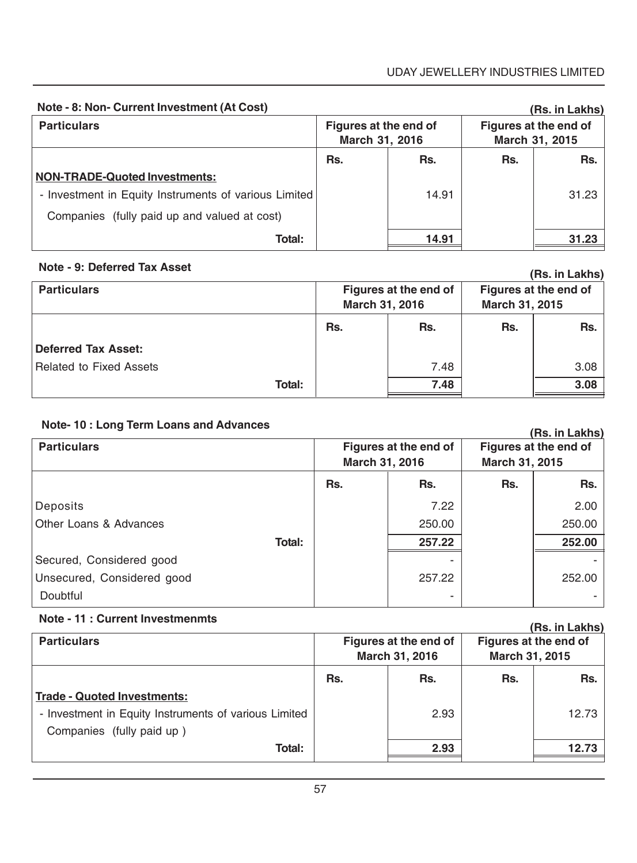| Note - 8: Non- Current Investment (At Cost)           |                                         |       |                                         | (Rs. in Lakhs) |
|-------------------------------------------------------|-----------------------------------------|-------|-----------------------------------------|----------------|
| <b>Particulars</b>                                    | Figures at the end of<br>March 31, 2016 |       | Figures at the end of<br>March 31, 2015 |                |
|                                                       | Rs.                                     | Rs.   | Rs.                                     | Rs.            |
| NON-TRADE-Quoted Investments:                         |                                         |       |                                         |                |
| - Investment in Equity Instruments of various Limited |                                         | 14.91 |                                         | 31.23          |
| Companies (fully paid up and valued at cost)          |                                         |       |                                         |                |
| Total:                                                |                                         | 14.91 |                                         | 31.23          |

### **Note - 9: Deferred Tax Asset**

|                                |                                         |      |                                         | ו המוחד והיה (נודד) |
|--------------------------------|-----------------------------------------|------|-----------------------------------------|---------------------|
| <b>Particulars</b>             | Figures at the end of<br>March 31, 2016 |      | Figures at the end of<br>March 31, 2015 |                     |
|                                | Rs.                                     | Rs.  | Rs.                                     | Rs.                 |
| <b>Deferred Tax Asset:</b>     |                                         |      |                                         |                     |
| <b>Related to Fixed Assets</b> |                                         | 7.48 |                                         | 3.08                |
| Total:                         |                                         | 7.48 |                                         | 3.08                |

## **Note- 10 : Long Term Loans and Advances**

| <b>Particulars</b>         |     | Figures at the end of<br>March 31, 2016 |     | (RS. In Lakns)<br>Figures at the end of<br>March 31, 2015 |  |
|----------------------------|-----|-----------------------------------------|-----|-----------------------------------------------------------|--|
|                            | Rs. | Rs.                                     | Rs. | Rs.                                                       |  |
| Deposits                   |     | 7.22                                    |     | 2.00                                                      |  |
| Other Loans & Advances     |     | 250.00                                  |     | 250.00                                                    |  |
| Total:                     |     | 257.22                                  |     | 252.00                                                    |  |
| Secured, Considered good   |     |                                         |     |                                                           |  |
| Unsecured, Considered good |     | 257.22                                  |     | 252.00                                                    |  |
| Doubtful                   |     |                                         |     |                                                           |  |

### **Note - 11 : Current Investmenmts**

|                                                       |                                         |      |                                                | <u>(NS. III Laniis)</u> |
|-------------------------------------------------------|-----------------------------------------|------|------------------------------------------------|-------------------------|
| <b>Particulars</b>                                    | Figures at the end of<br>March 31, 2016 |      | Figures at the end of<br><b>March 31, 2015</b> |                         |
|                                                       |                                         |      |                                                |                         |
|                                                       | Rs.                                     | Rs.  | Rs.                                            | Rs.                     |
| <b>Trade - Quoted Investments:</b>                    |                                         |      |                                                |                         |
| - Investment in Equity Instruments of various Limited |                                         | 2.93 |                                                | 12.73                   |
| Companies (fully paid up)                             |                                         |      |                                                |                         |
| Total:                                                |                                         | 2.93 |                                                | 12.73                   |
|                                                       |                                         |      |                                                |                         |

# **(Rs. in Lakhs)**

## **(Rs. in Lakhs)**

**(Rs. in Lakhs)**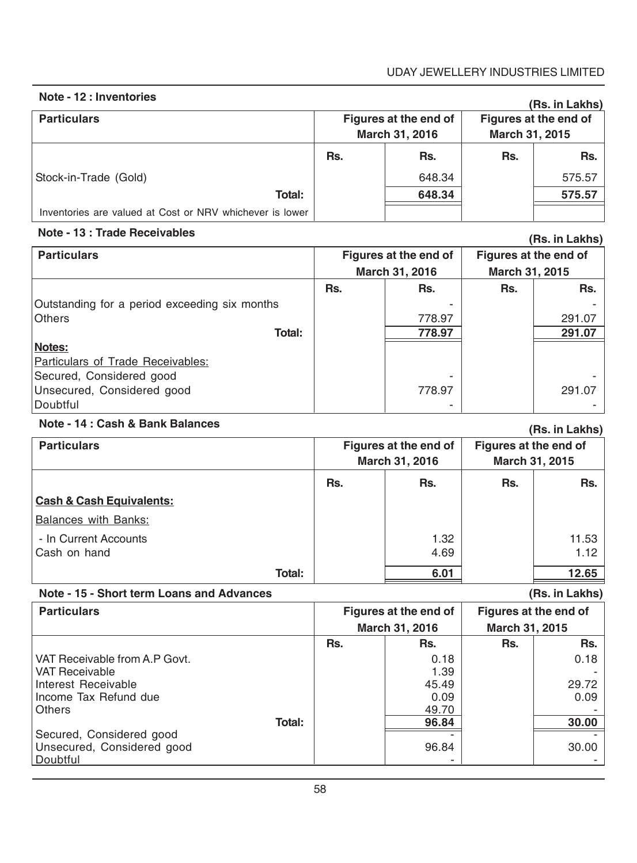### UDAY JEWELLERY INDUSTRIES LIMITED

### **Note - 12 : Inventories**

| .                                                        |                       |        |                | (Rs. in Lakhs) |                                         |  |
|----------------------------------------------------------|-----------------------|--------|----------------|----------------|-----------------------------------------|--|
| <b>Particulars</b>                                       | Figures at the end of |        | March 31, 2016 |                | Figures at the end of<br>March 31, 2015 |  |
|                                                          |                       |        |                |                |                                         |  |
|                                                          | Rs.                   | Rs.    | Rs.            | Rs.            |                                         |  |
| Stock-in-Trade (Gold)                                    |                       | 648.34 |                | 575.57         |                                         |  |
| Total:                                                   |                       | 648.34 |                | 575.57         |                                         |  |
| Inventories are valued at Cost or NRV whichever is lower |                       |        |                |                |                                         |  |

### **Note - 13 : Trade Receivables**

| Note - 13 : Trage Receivables<br>(Rs. in Lakhs) |                |                       |                       |        |
|-------------------------------------------------|----------------|-----------------------|-----------------------|--------|
| <b>Particulars</b>                              |                | Figures at the end of | Figures at the end of |        |
|                                                 | March 31, 2016 |                       | March 31, 2015        |        |
|                                                 | Rs.            | Rs.                   | Rs.                   | Rs.    |
| Outstanding for a period exceeding six months   |                |                       |                       |        |
| <b>Others</b>                                   |                | 778.97                |                       | 291.07 |
| Total:                                          |                | 778.97                |                       | 291.07 |
| Notes:                                          |                |                       |                       |        |
| Particulars of Trade Receivables:               |                |                       |                       |        |
| Secured, Considered good                        |                |                       |                       |        |
| Unsecured, Considered good                      |                | 778.97                |                       | 291.07 |
| Doubtful                                        |                |                       |                       |        |

### **Note - 14 : Cash & Bank Balances**

| Note - 14 : Cash & Bank Balances    |     |                                         |     | (Rs. in Lakhs)                          |
|-------------------------------------|-----|-----------------------------------------|-----|-----------------------------------------|
| <b>Particulars</b>                  |     | Figures at the end of<br>March 31, 2016 |     | Figures at the end of<br>March 31, 2015 |
|                                     | Rs. | Rs.                                     | Rs. | Rs.                                     |
| <b>Cash &amp; Cash Equivalents:</b> |     |                                         |     |                                         |
| Balances with Banks:                |     |                                         |     |                                         |
| - In Current Accounts               |     | 1.32                                    |     | 11.53                                   |
| Cash on hand                        |     | 4.69                                    |     | 1.12                                    |
| Total:                              |     | 6.01                                    |     | 12.65                                   |

### **Note - 15 - Short term Loans and Advances**

**(Rs. in Lakhs)**

| <b>Particulars</b>            |     | Figures at the end of |                | Figures at the end of |
|-------------------------------|-----|-----------------------|----------------|-----------------------|
|                               |     | March 31, 2016        | March 31, 2015 |                       |
|                               | Rs. | Rs.                   | Rs.            | Rs.                   |
| VAT Receivable from A.P Govt. |     | 0.18                  |                | 0.18                  |
| l VAT Receivable              |     | 1.39                  |                |                       |
| Interest Receivable           |     | 45.49                 |                | 29.72                 |
| Income Tax Refund due         |     | 0.09                  |                | 0.09                  |
| <b>Others</b>                 |     | 49.70                 |                |                       |
| <b>Total:</b>                 |     | 96.84                 |                | 30.00                 |
| Secured, Considered good      |     |                       |                |                       |
| Unsecured, Considered good    |     | 96.84                 |                | 30.00                 |
| Doubtful                      |     |                       |                |                       |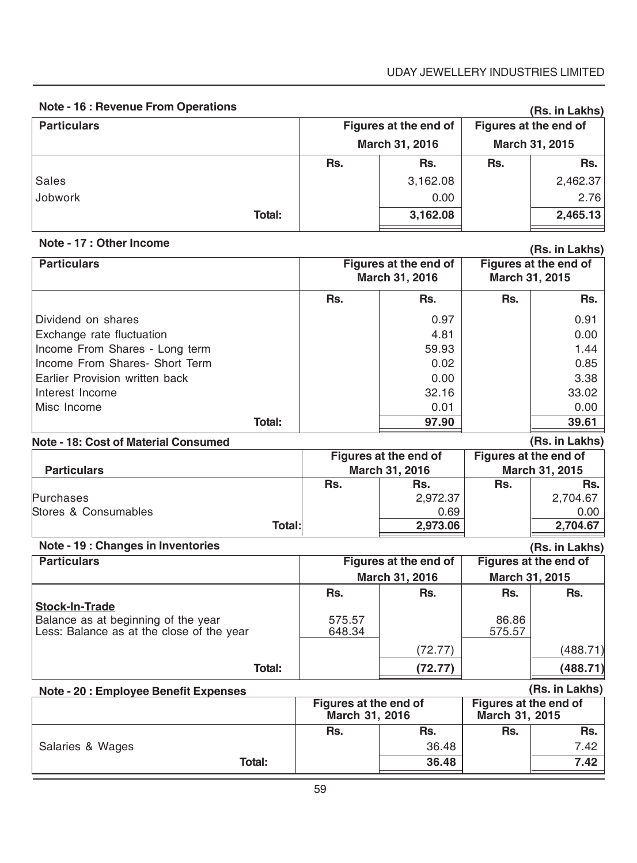| <b>Note - 16 : Revenue From Operations</b>                                       |                                         |                                         |                                         | (Rs. in Lakhs)        |
|----------------------------------------------------------------------------------|-----------------------------------------|-----------------------------------------|-----------------------------------------|-----------------------|
| <b>Particulars</b>                                                               |                                         | Figures at the end of                   | Figures at the end of                   |                       |
|                                                                                  |                                         | March 31, 2016                          |                                         | March 31, 2015        |
|                                                                                  | Rs.                                     | Rs.                                     | Rs.                                     | Rs.                   |
| <b>Sales</b>                                                                     |                                         | 3,162.08                                |                                         | 2,462.37              |
| Jobwork                                                                          |                                         | 0.00                                    |                                         | 2.76                  |
| Total:                                                                           |                                         | 3,162.08                                |                                         | 2,465.13              |
| Note - 17 : Other Income                                                         |                                         |                                         |                                         | (Rs. in Lakhs)        |
| <b>Particulars</b>                                                               |                                         | Figures at the end of<br>March 31, 2016 | March 31, 2015                          | Figures at the end of |
|                                                                                  | Rs.                                     | Rs.                                     | Rs.                                     | Rs.                   |
| Dividend on shares                                                               |                                         | 0.97                                    |                                         | 0.91                  |
| Exchange rate fluctuation                                                        |                                         | 4.81                                    |                                         | 0.00                  |
| Income From Shares - Long term                                                   |                                         | 59.93                                   |                                         | 1.44                  |
| Income From Shares- Short Term                                                   |                                         | 0.02                                    |                                         | 0.85                  |
| Earlier Provision written back                                                   |                                         | 0.00                                    |                                         | 3.38                  |
| Interest Income                                                                  |                                         | 32.16                                   |                                         | 33.02                 |
| Misc Income                                                                      |                                         | 0.01                                    |                                         | 0.00                  |
| Total:                                                                           |                                         | 97.90                                   |                                         | 39.61                 |
| <b>Note - 18: Cost of Material Consumed</b>                                      |                                         |                                         |                                         | (Rs. in Lakhs)        |
| <b>Particulars</b>                                                               |                                         | Figures at the end of<br>March 31, 2016 | Figures at the end of<br>March 31, 2015 |                       |
|                                                                                  | Rs.                                     | Rs.                                     | Rs.                                     | Rs.                   |
| Purchases                                                                        |                                         | 2,972.37                                |                                         | 2,704.67              |
| Stores & Consumables                                                             |                                         | 0.69                                    |                                         | 0.00                  |
| Total:                                                                           |                                         | 2,973.06                                |                                         | 2,704.67              |
| Note - 19 : Changes in Inventories                                               |                                         |                                         |                                         | (Rs. in Lakhs)        |
| <b>Particulars</b>                                                               |                                         | Figures at the end of                   |                                         | Figures at the end of |
|                                                                                  |                                         | March 31, 2016                          | March 31, 2015                          |                       |
|                                                                                  | Rs.                                     | Rs.                                     | Rs.                                     | Rs.                   |
| <b>Stock-In-Trade</b>                                                            |                                         |                                         |                                         |                       |
| Balance as at beginning of the year<br>Less: Balance as at the close of the year | 575.57<br>648.34                        |                                         | 86.86<br>575.57                         |                       |
|                                                                                  |                                         | (72.77)                                 |                                         | (488.71)              |
| Total:                                                                           |                                         | (72.77)                                 |                                         | (488.71)              |
| Note - 20 : Employee Benefit Expenses                                            |                                         |                                         |                                         | (Rs. in Lakhs)        |
|                                                                                  | Figures at the end of<br>March 31, 2016 |                                         | Figures at the end of<br>March 31, 2015 |                       |
|                                                                                  | Rs.                                     | Rs.                                     | Rs.                                     | Rs.                   |
| Salaries & Wages                                                                 |                                         | 36.48                                   |                                         | 7.42                  |
| Total:                                                                           |                                         | 36.48                                   |                                         | 7.42                  |

**Total: 36.48 7.42**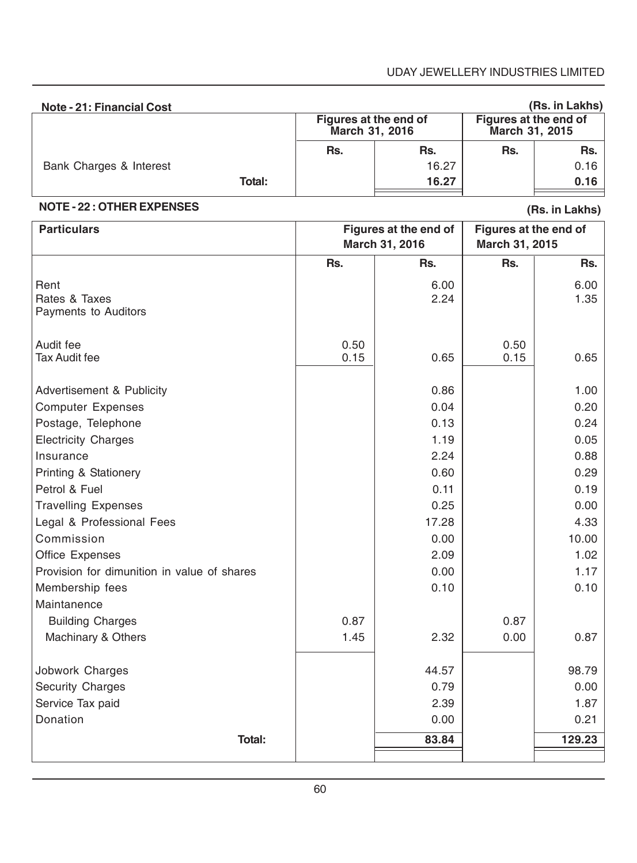| Note - 21: Financial Cost |        |                |                       |                                         | (Rs. in Lakhs) |
|---------------------------|--------|----------------|-----------------------|-----------------------------------------|----------------|
|                           |        | March 31, 2016 | Figures at the end of | Figures at the end of<br>March 31, 2015 |                |
|                           |        | Rs.            | Rs.                   | Rs.                                     | Rs.            |
| Bank Charges & Interest   |        |                | 16.27                 |                                         | 0.16           |
|                           | Total: |                | 16.27                 |                                         | 0.16           |

### **NOTE - 22 : OTHER EXPENSES**

**(Rs. in Lakhs)**

| <b>Particulars</b>                            |              | Figures at the end of<br>March 31, 2016 |              | Figures at the end of<br>March 31, 2015 |
|-----------------------------------------------|--------------|-----------------------------------------|--------------|-----------------------------------------|
|                                               | Rs.          | Rs.                                     | Rs.          | Rs.                                     |
| Rent<br>Rates & Taxes<br>Payments to Auditors |              | 6.00<br>2.24                            |              | 6.00<br>1.35                            |
| Audit fee<br><b>Tax Audit fee</b>             | 0.50<br>0.15 | 0.65                                    | 0.50<br>0.15 | 0.65                                    |
| Advertisement & Publicity                     |              | 0.86                                    |              | 1.00                                    |
| <b>Computer Expenses</b>                      |              | 0.04                                    |              | 0.20                                    |
| Postage, Telephone                            |              | 0.13                                    |              | 0.24                                    |
| <b>Electricity Charges</b>                    |              | 1.19                                    |              | 0.05                                    |
| Insurance                                     |              | 2.24                                    |              | 0.88                                    |
| Printing & Stationery                         |              | 0.60                                    |              | 0.29                                    |
| Petrol & Fuel                                 |              | 0.11                                    |              | 0.19                                    |
| <b>Travelling Expenses</b>                    |              | 0.25                                    |              | 0.00                                    |
| Legal & Professional Fees                     |              | 17.28                                   |              | 4.33                                    |
| Commission                                    |              | 0.00                                    |              | 10.00                                   |
| Office Expenses                               |              | 2.09                                    |              | 1.02                                    |
| Provision for dimunition in value of shares   |              | 0.00                                    |              | 1.17                                    |
| Membership fees                               |              | 0.10                                    |              | 0.10                                    |
| Maintanence                                   |              |                                         |              |                                         |
| <b>Building Charges</b>                       | 0.87         |                                         | 0.87         |                                         |
| Machinary & Others                            | 1.45         | 2.32                                    | 0.00         | 0.87                                    |
| Jobwork Charges                               |              | 44.57                                   |              | 98.79                                   |
| Security Charges                              |              | 0.79                                    |              | 0.00                                    |
| Service Tax paid                              |              | 2.39                                    |              | 1.87                                    |
| Donation                                      |              | 0.00                                    |              | 0.21                                    |
| Total:                                        |              | 83.84                                   |              | 129.23                                  |
|                                               |              |                                         |              |                                         |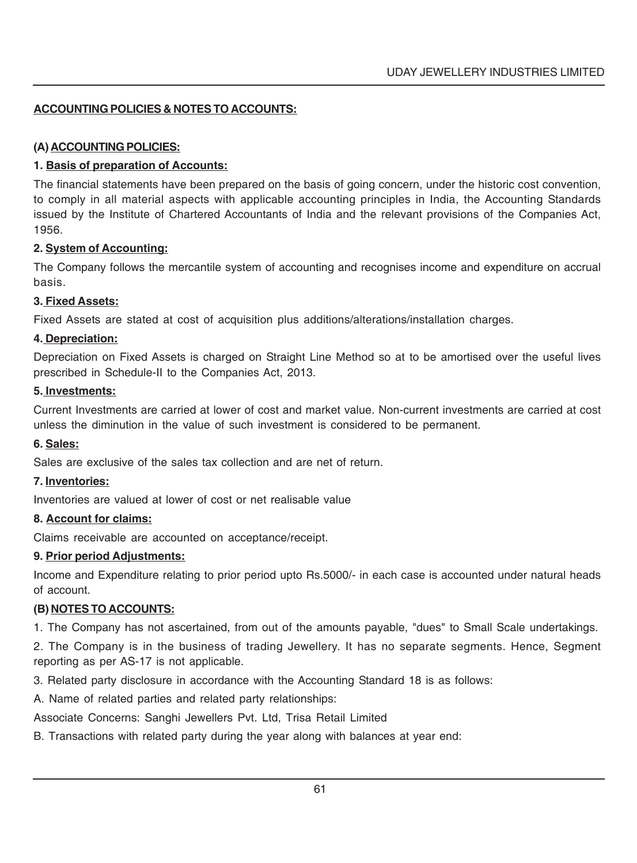### **ACCOUNTING POLICIES & NOTES TO ACCOUNTS:**

### **(A) ACCOUNTING POLICIES:**

### **1. Basis of preparation of Accounts:**

The financial statements have been prepared on the basis of going concern, under the historic cost convention, to comply in all material aspects with applicable accounting principles in India, the Accounting Standards issued by the Institute of Chartered Accountants of India and the relevant provisions of the Companies Act, 1956.

### **2. System of Accounting:**

The Company follows the mercantile system of accounting and recognises income and expenditure on accrual basis.

### **3. Fixed Assets:**

Fixed Assets are stated at cost of acquisition plus additions/alterations/installation charges.

### **4. Depreciation:**

Depreciation on Fixed Assets is charged on Straight Line Method so at to be amortised over the useful lives prescribed in Schedule-II to the Companies Act, 2013.

### **5. Investments:**

Current Investments are carried at lower of cost and market value. Non-current investments are carried at cost unless the diminution in the value of such investment is considered to be permanent.

### **6. Sales:**

Sales are exclusive of the sales tax collection and are net of return.

### **7. Inventories:**

Inventories are valued at lower of cost or net realisable value

### **8. Account for claims:**

Claims receivable are accounted on acceptance/receipt.

### **9. Prior period Adjustments:**

Income and Expenditure relating to prior period upto Rs.5000/- in each case is accounted under natural heads of account.

### **(B) NOTES TO ACCOUNTS:**

1. The Company has not ascertained, from out of the amounts payable, "dues" to Small Scale undertakings.

2. The Company is in the business of trading Jewellery. It has no separate segments. Hence, Segment reporting as per AS-17 is not applicable.

3. Related party disclosure in accordance with the Accounting Standard 18 is as follows:

A. Name of related parties and related party relationships:

Associate Concerns: Sanghi Jewellers Pvt. Ltd, Trisa Retail Limited

B. Transactions with related party during the year along with balances at year end: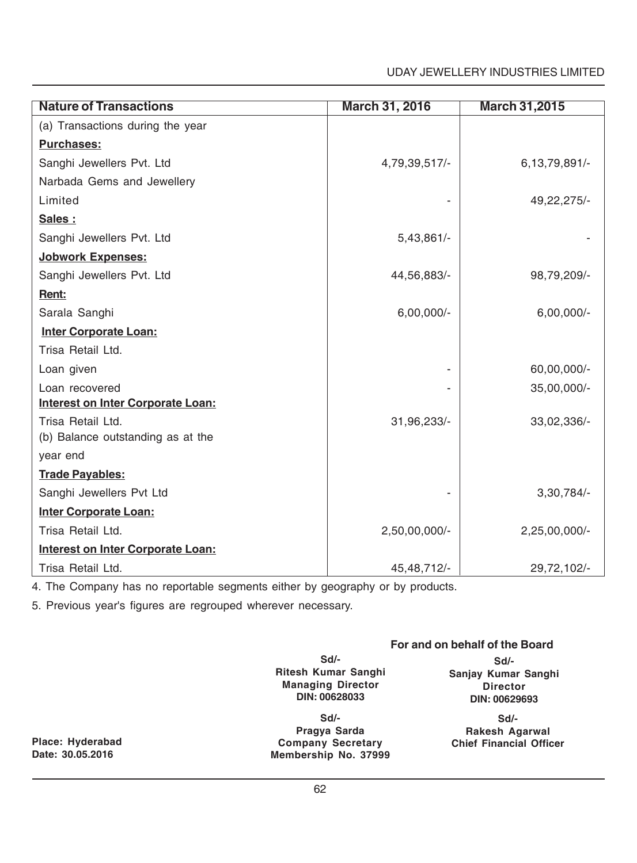### UDAY JEWELLERY INDUSTRIES LIMITED

| <b>Nature of Transactions</b>            | <b>March 31, 2016</b> | <b>March 31,2015</b> |
|------------------------------------------|-----------------------|----------------------|
| (a) Transactions during the year         |                       |                      |
| <b>Purchases:</b>                        |                       |                      |
| Sanghi Jewellers Pvt. Ltd                | 4,79,39,517/-         | 6,13,79,891/-        |
| Narbada Gems and Jewellery               |                       |                      |
| Limited                                  |                       | 49,22,275/-          |
| Sales:                                   |                       |                      |
| Sanghi Jewellers Pvt. Ltd                | $5,43,861/-$          |                      |
| Jobwork Expenses:                        |                       |                      |
| Sanghi Jewellers Pvt. Ltd                | 44,56,883/-           | 98,79,209/-          |
| Rent:                                    |                       |                      |
| Sarala Sanghi                            | $6,00,000/-$          | $6,00,000/-$         |
| <b>Inter Corporate Loan:</b>             |                       |                      |
| Trisa Retail Ltd.                        |                       |                      |
| Loan given                               |                       | 60,00,000/-          |
| Loan recovered                           |                       | 35,00,000/-          |
| <b>Interest on Inter Corporate Loan:</b> |                       |                      |
| Trisa Retail Ltd.                        | 31,96,233/-           | 33,02,336/-          |
| (b) Balance outstanding as at the        |                       |                      |
| year end                                 |                       |                      |
| <b>Trade Payables:</b>                   |                       |                      |
| Sanghi Jewellers Pvt Ltd                 |                       | 3,30,784/            |
| <b>Inter Corporate Loan:</b>             |                       |                      |
| Trisa Retail Ltd.                        | 2,50,00,000/-         | 2,25,00,000/-        |
| <b>Interest on Inter Corporate Loan:</b> |                       |                      |
| Trisa Retail Ltd.                        | 45, 48, 712/-         | 29,72,102/-          |

4. The Company has no reportable segments either by geography or by products.

5. Previous year's figures are regrouped wherever necessary.

### **For and on behalf of the Board**

**Sd/- Ritesh Kumar Sanghi Managing Director DIN: 00628033**

**Place: Hyderabad Chief Financial Officer Company Secretary Sd/- Pragya Sarda Membership No. 37999**

**Sd/- Sanjay Kumar Sanghi Director DIN: 00629693**

**Sd/- Rakesh Agarwal**<br>Chief Financial Officer

**Date: 30.05.2016**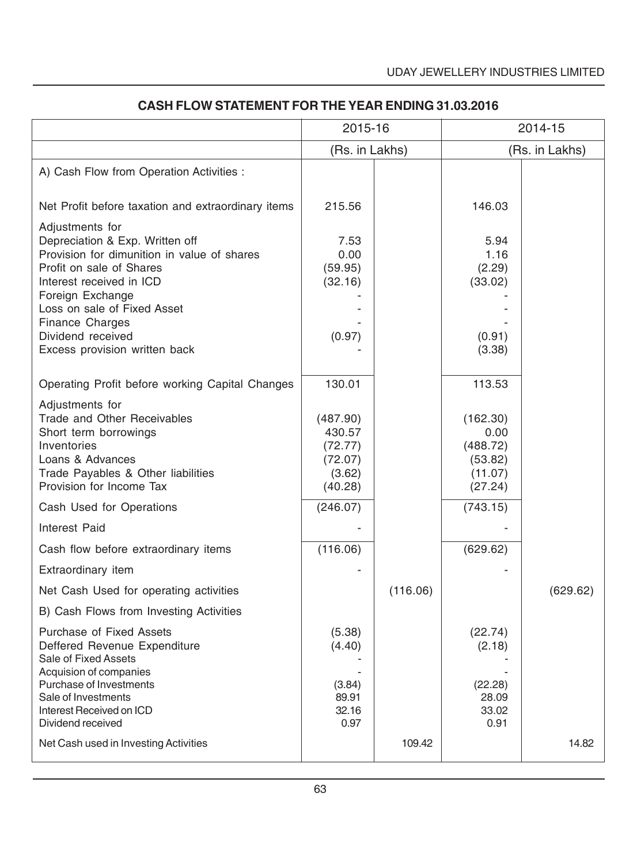|                                                                                                                                                                                                                                                                                              | 2015-16                                                       |          | 2014-15                                                       |          |
|----------------------------------------------------------------------------------------------------------------------------------------------------------------------------------------------------------------------------------------------------------------------------------------------|---------------------------------------------------------------|----------|---------------------------------------------------------------|----------|
|                                                                                                                                                                                                                                                                                              | (Rs. in Lakhs)                                                |          | (Rs. in Lakhs)                                                |          |
| A) Cash Flow from Operation Activities :                                                                                                                                                                                                                                                     |                                                               |          |                                                               |          |
| Net Profit before taxation and extraordinary items                                                                                                                                                                                                                                           | 215.56                                                        |          | 146.03                                                        |          |
| Adjustments for<br>Depreciation & Exp. Written off<br>Provision for dimunition in value of shares<br>Profit on sale of Shares<br>Interest received in ICD<br>Foreign Exchange<br>Loss on sale of Fixed Asset<br><b>Finance Charges</b><br>Dividend received<br>Excess provision written back | 7.53<br>0.00<br>(59.95)<br>(32.16)<br>(0.97)                  |          | 5.94<br>1.16<br>(2.29)<br>(33.02)<br>(0.91)<br>(3.38)         |          |
| Operating Profit before working Capital Changes                                                                                                                                                                                                                                              | 130.01                                                        |          | 113.53                                                        |          |
| Adjustments for<br><b>Trade and Other Receivables</b><br>Short term borrowings<br>Inventories<br>Loans & Advances<br>Trade Payables & Other liabilities<br>Provision for Income Tax                                                                                                          | (487.90)<br>430.57<br>(72.77)<br>(72.07)<br>(3.62)<br>(40.28) |          | (162.30)<br>0.00<br>(488.72)<br>(53.82)<br>(11.07)<br>(27.24) |          |
| Cash Used for Operations                                                                                                                                                                                                                                                                     | (246.07)                                                      |          | (743.15)                                                      |          |
| Interest Paid                                                                                                                                                                                                                                                                                |                                                               |          |                                                               |          |
| Cash flow before extraordinary items                                                                                                                                                                                                                                                         | (116.06)                                                      |          | (629.62)                                                      |          |
| Extraordinary item                                                                                                                                                                                                                                                                           |                                                               |          |                                                               |          |
| Net Cash Used for operating activities                                                                                                                                                                                                                                                       |                                                               | (116.06) |                                                               | (629.62) |
| B) Cash Flows from Investing Activities                                                                                                                                                                                                                                                      |                                                               |          |                                                               |          |
| <b>Purchase of Fixed Assets</b><br>Deffered Revenue Expenditure<br>Sale of Fixed Assets<br>Acquision of companies<br>Purchase of Investments<br>Sale of Investments<br>Interest Received on ICD                                                                                              | (5.38)<br>(4.40)<br>(3.84)<br>89.91<br>32.16                  |          | (22.74)<br>(2.18)<br>(22.28)<br>28.09<br>33.02                |          |
| Dividend received<br>Net Cash used in Investing Activities                                                                                                                                                                                                                                   | 0.97                                                          | 109.42   | 0.91                                                          | 14.82    |

## **CASH FLOW STATEMENT FOR THE YEAR ENDING 31.03.2016**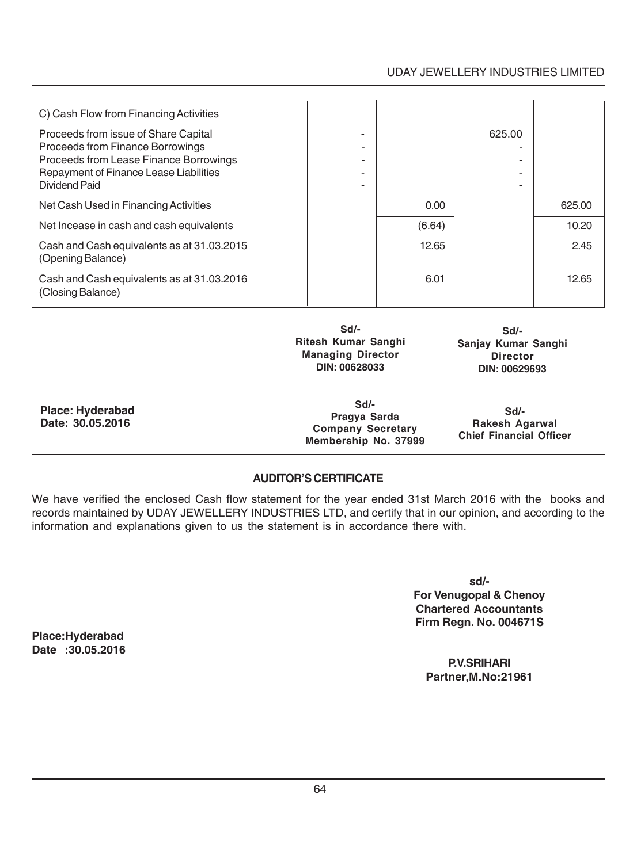### UDAY JEWELLERY INDUSTRIES LIMITED

| C) Cash Flow from Financing Activities                                   |        |        |        |
|--------------------------------------------------------------------------|--------|--------|--------|
| Proceeds from issue of Share Capital<br>Proceeds from Finance Borrowings |        | 625.00 |        |
| Proceeds from Lease Finance Borrowings                                   |        |        |        |
| Repayment of Finance Lease Liabilities                                   |        |        |        |
| Dividend Paid                                                            |        |        |        |
| Net Cash Used in Financing Activities                                    | 0.00   |        | 625.00 |
| Net Incease in cash and cash equivalents                                 | (6.64) |        | 10.20  |
| Cash and Cash equivalents as at 31.03.2015<br>(Opening Balance)          | 12.65  |        | 2.45   |
| Cash and Cash equivalents as at 31.03.2016<br>(Closing Balance)          | 6.01   |        | 12.65  |
|                                                                          |        |        |        |

**Sd/- Ritesh Kumar Sanghi Managing Director DIN: 00628033**

**Sd/- Sanjay Kumar Sanghi Director DIN: 00629693**

**Place: Hyderabad Date: 30.05.2016**

**Sd/- Pragya Sarda Company Secretary Membership No. 37999**

**Sd/- Rakesh Agarwal Chief Financial Officer**

### **AUDITOR'S CERTIFICATE**

We have verified the enclosed Cash flow statement for the year ended 31st March 2016 with the books and records maintained by UDAY JEWELLERY INDUSTRIES LTD, and certify that in our opinion, and according to the information and explanations given to us the statement is in accordance there with.

> **sd/- For Venugopal & Chenoy Chartered Accountants Firm Regn. No. 004671S**

**P.V.SRIHARI Partner,M.No:21961**

**Place:Hyderabad Date :30.05.2016**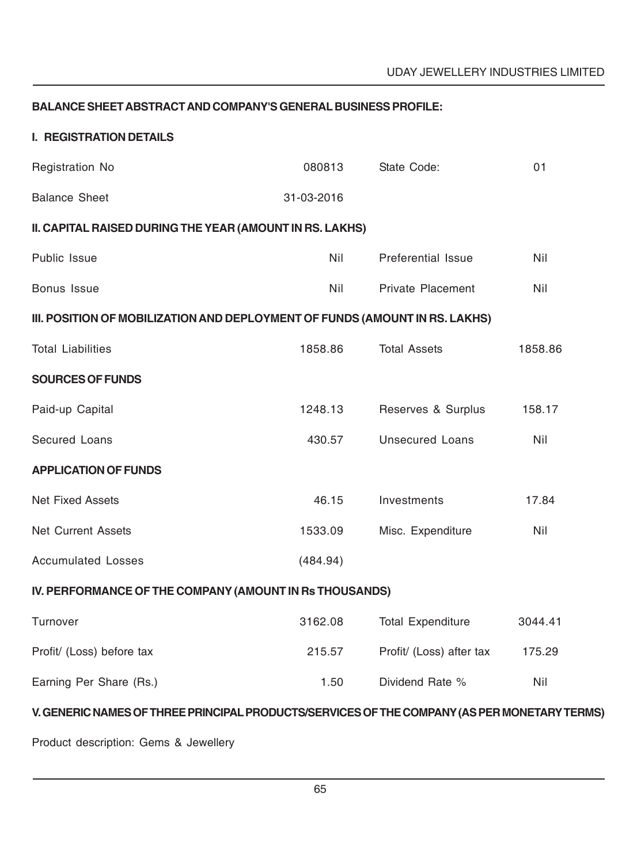### **BALANCE SHEET ABSTRACT AND COMPANY'S GENERAL BUSINESS PROFILE:**

### **I. REGISTRATION DETAILS**

| Registration No                                                                              | 080813     | State Code:              | 01      |  |
|----------------------------------------------------------------------------------------------|------------|--------------------------|---------|--|
| <b>Balance Sheet</b>                                                                         | 31-03-2016 |                          |         |  |
| II. CAPITAL RAISED DURING THE YEAR (AMOUNT IN RS. LAKHS)                                     |            |                          |         |  |
| Public Issue                                                                                 | Nil        | Preferential Issue       | Nil     |  |
| Bonus Issue                                                                                  | Nil        | <b>Private Placement</b> | Nil     |  |
| III. POSITION OF MOBILIZATION AND DEPLOYMENT OF FUNDS (AMOUNT IN RS. LAKHS)                  |            |                          |         |  |
| <b>Total Liabilities</b>                                                                     | 1858.86    | <b>Total Assets</b>      | 1858.86 |  |
| <b>SOURCES OF FUNDS</b>                                                                      |            |                          |         |  |
| Paid-up Capital                                                                              | 1248.13    | Reserves & Surplus       | 158.17  |  |
| <b>Secured Loans</b>                                                                         | 430.57     | <b>Unsecured Loans</b>   | Nil     |  |
| <b>APPLICATION OF FUNDS</b>                                                                  |            |                          |         |  |
| <b>Net Fixed Assets</b>                                                                      | 46.15      | Investments              | 17.84   |  |
| <b>Net Current Assets</b>                                                                    | 1533.09    | Misc. Expenditure        | Nil     |  |
| <b>Accumulated Losses</b>                                                                    | (484.94)   |                          |         |  |
| IV. PERFORMANCE OF THE COMPANY (AMOUNT IN Rs THOUSANDS)                                      |            |                          |         |  |
| Turnover                                                                                     | 3162.08    | <b>Total Expenditure</b> | 3044.41 |  |
| Profit/ (Loss) before tax                                                                    | 215.57     | Profit/ (Loss) after tax | 175.29  |  |
| Earning Per Share (Rs.)                                                                      | 1.50       | Dividend Rate %          | Nil     |  |
| V. GENERIC NAMES OF THREE PRINCIPAL PRODUCTS/SERVICES OF THE COMPANY (AS PER MONETARY TERMS) |            |                          |         |  |

Product description: Gems & Jewellery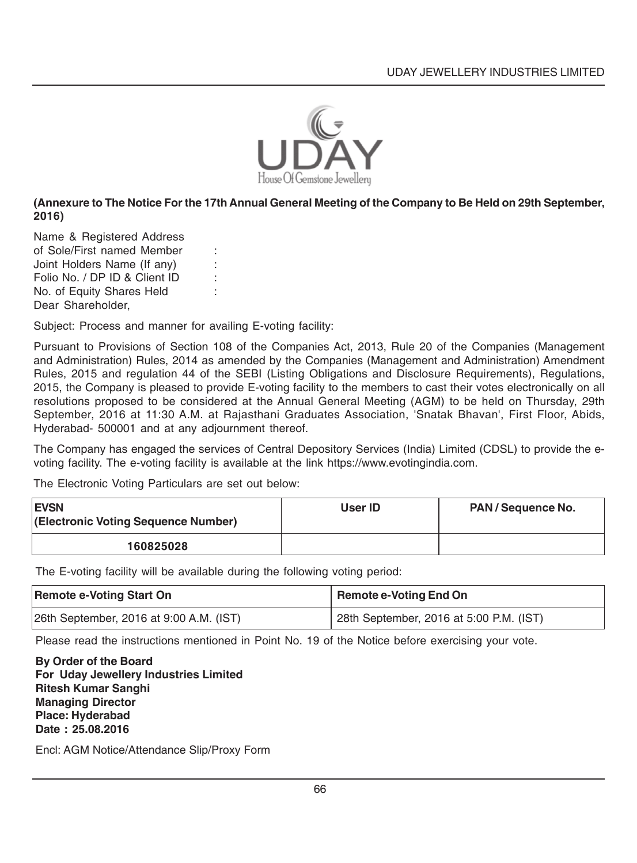

### **(Annexure to The Notice For the 17th Annual General Meeting of the Company to Be Held on 29th September, 2016)**

Name & Registered Address of Sole/First named Member : Joint Holders Name (If any) : Folio No. / DP ID & Client ID : No. of Equity Shares Held : Dear Shareholder,

Subject: Process and manner for availing E-voting facility:

Pursuant to Provisions of Section 108 of the Companies Act, 2013, Rule 20 of the Companies (Management and Administration) Rules, 2014 as amended by the Companies (Management and Administration) Amendment Rules, 2015 and regulation 44 of the SEBI (Listing Obligations and Disclosure Requirements), Regulations, 2015, the Company is pleased to provide E-voting facility to the members to cast their votes electronically on all resolutions proposed to be considered at the Annual General Meeting (AGM) to be held on Thursday, 29th September, 2016 at 11:30 A.M. at Rajasthani Graduates Association, 'Snatak Bhavan', First Floor, Abids, Hyderabad- 500001 and at any adjournment thereof.

The Company has engaged the services of Central Depository Services (India) Limited (CDSL) to provide the evoting facility. The e-voting facility is available at the link https://www.evotingindia.com.

The Electronic Voting Particulars are set out below:

| <b>EVSN</b><br>(Electronic Voting Sequence Number) | User ID | PAN/Sequence No. |
|----------------------------------------------------|---------|------------------|
| 160825028                                          |         |                  |

The E-voting facility will be available during the following voting period:

| <b>Remote e-Voting Start On</b>         | <b>Remote e-Voting End On</b>           |
|-----------------------------------------|-----------------------------------------|
| 26th September, 2016 at 9:00 A.M. (IST) | 28th September, 2016 at 5:00 P.M. (IST) |

Please read the instructions mentioned in Point No. 19 of the Notice before exercising your vote.

**By Order of the Board For Uday Jewellery Industries Limited Ritesh Kumar Sanghi Managing Director Place: Hyderabad Date : 25.08.2016**

Encl: AGM Notice/Attendance Slip/Proxy Form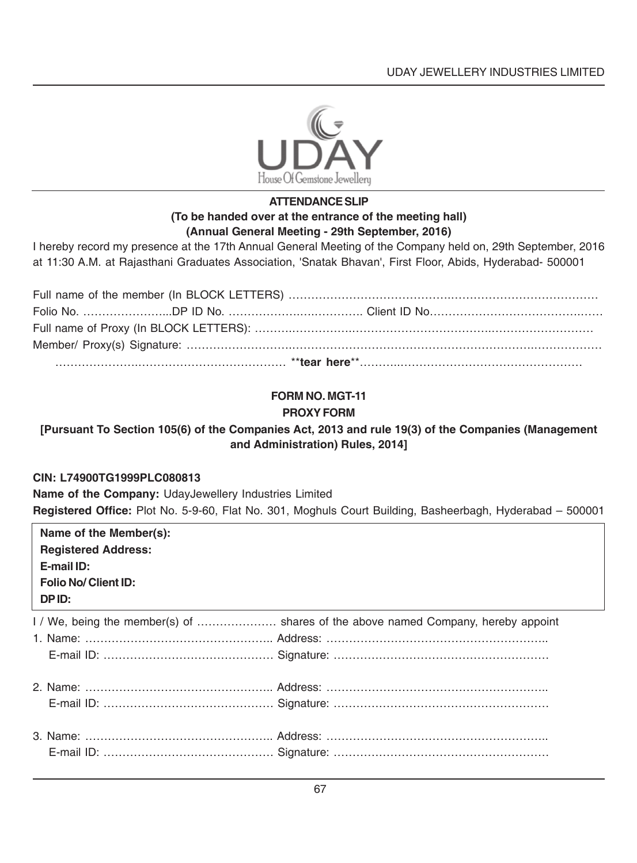

### **ATTENDANCE SLIP (To be handed over at the entrance of the meeting hall) (Annual General Meeting - 29th September, 2016)**

I hereby record my presence at the 17th Annual General Meeting of the Company held on, 29th September, 2016 at 11:30 A.M. at Rajasthani Graduates Association, 'Snatak Bhavan', First Floor, Abids, Hyderabad- 500001

### **FORM NO. MGT-11 PROXY FORM**

### **[Pursuant To Section 105(6) of the Companies Act, 2013 and rule 19(3) of the Companies (Management and Administration) Rules, 2014]**

### **CIN: L74900TG1999PLC080813**

**Name of the Company:** UdayJewellery Industries Limited **Registered Office:** Plot No. 5-9-60, Flat No. 301, Moghuls Court Building, Basheerbagh, Hyderabad – 500001

| Name of the Member(s):<br><b>Registered Address:</b><br>E-mail ID:<br><b>Folio No/ Client ID:</b><br>DPID: |                                                                                   |
|------------------------------------------------------------------------------------------------------------|-----------------------------------------------------------------------------------|
|                                                                                                            | I / We, being the member(s) of  shares of the above named Company, hereby appoint |
|                                                                                                            |                                                                                   |
|                                                                                                            |                                                                                   |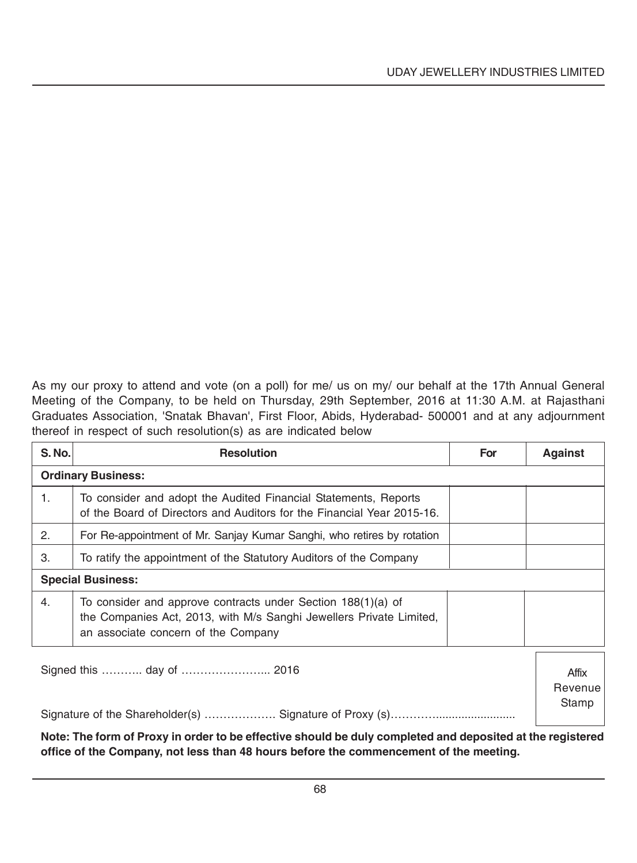As my our proxy to attend and vote (on a poll) for me/ us on my/ our behalf at the 17th Annual General Meeting of the Company, to be held on Thursday, 29th September, 2016 at 11:30 A.M. at Rajasthani Graduates Association, 'Snatak Bhavan', First Floor, Abids, Hyderabad- 500001 and at any adjournment thereof in respect of such resolution(s) as are indicated below

| <b>S. No.</b>             | <b>Resolution</b>                                                                                                                                                          | For | <b>Against</b>   |
|---------------------------|----------------------------------------------------------------------------------------------------------------------------------------------------------------------------|-----|------------------|
|                           | <b>Ordinary Business:</b>                                                                                                                                                  |     |                  |
| 1.                        | To consider and adopt the Audited Financial Statements, Reports<br>of the Board of Directors and Auditors for the Financial Year 2015-16.                                  |     |                  |
| 2.                        | For Re-appointment of Mr. Sanjay Kumar Sanghi, who retires by rotation                                                                                                     |     |                  |
| 3.                        | To ratify the appointment of the Statutory Auditors of the Company                                                                                                         |     |                  |
| <b>Special Business:</b>  |                                                                                                                                                                            |     |                  |
| 4.                        | To consider and approve contracts under Section 188(1)(a) of<br>the Companies Act, 2013, with M/s Sanghi Jewellers Private Limited,<br>an associate concern of the Company |     |                  |
| Signed this  day of  2016 |                                                                                                                                                                            |     | Affix<br>Revenue |
|                           |                                                                                                                                                                            |     | Stamp            |

**Note: The form of Proxy in order to be effective should be duly completed and deposited at the registered office of the Company, not less than 48 hours before the commencement of the meeting.**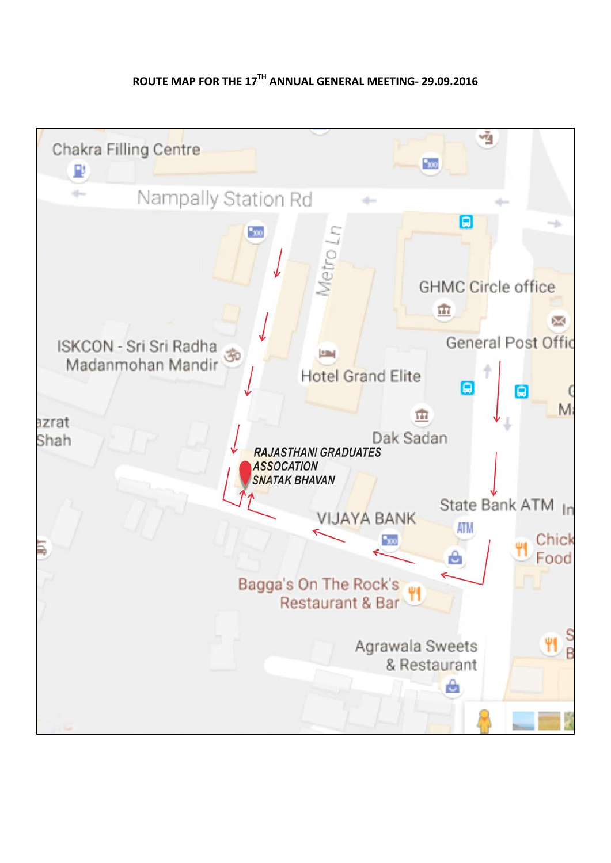## **ROUTE MAP FOR THE 17TH ANNUAL GENERAL MEETING- 29.09.2016**